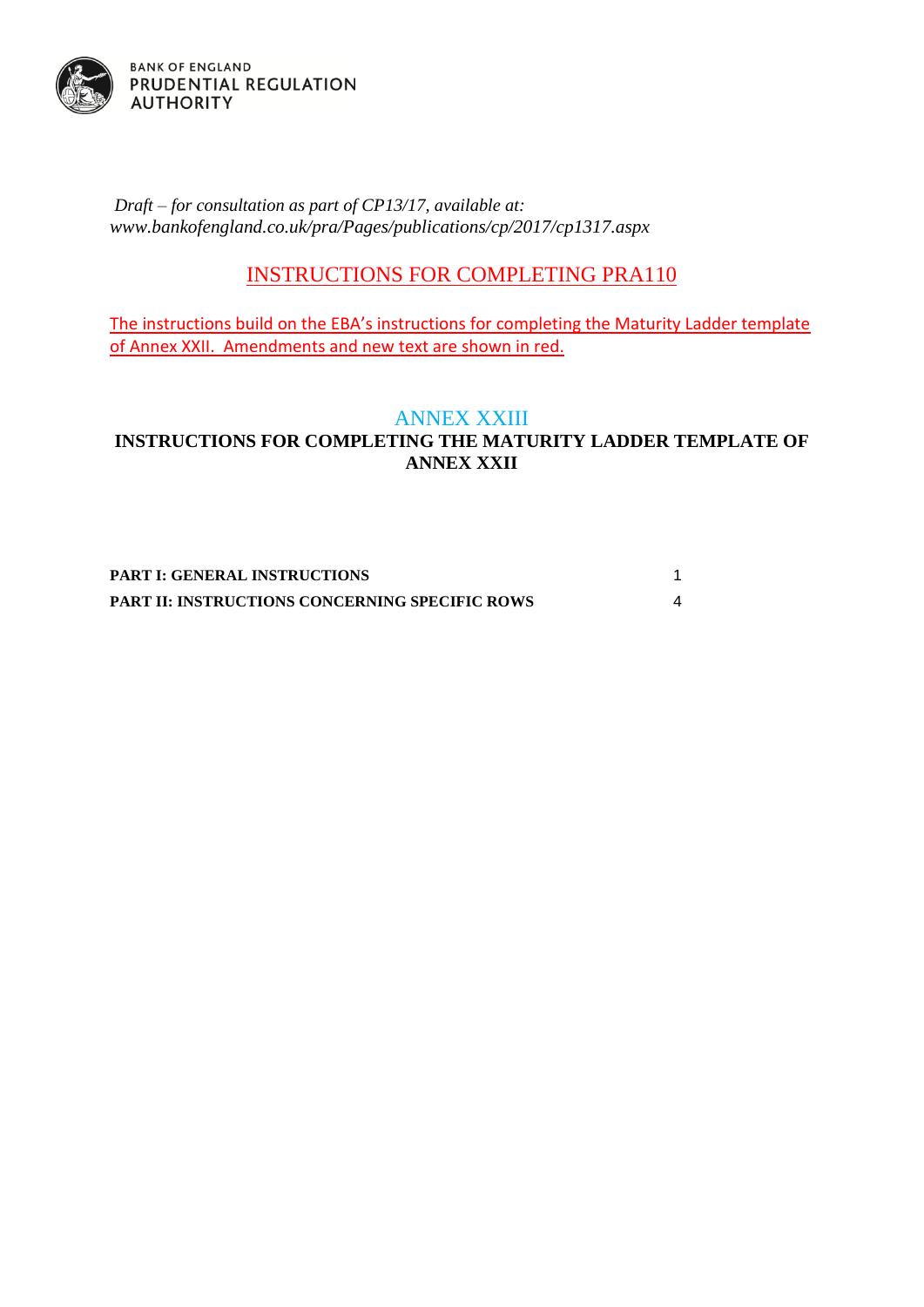

*Draft – for consultation as part of CP13/17, available at: [www.bankofengland.co.uk/pra/Pages/publications/cp/2017/cp1317.aspx](http://www.bankofengland.co.uk/pra/Pages/publications/cp/2017/cp1317.aspx)*

# INSTRUCTIONS FOR COMPLETING PRA110

The instructions build on the EBA's instructions for completing the Maturity Ladder template of Annex XXII. Amendments and new text are shown in red.

## ANNEX XXIII

### **INSTRUCTIONS FOR COMPLETING THE MATURITY LADDER TEMPLATE OF ANNEX XXII**

**[PART I: GENERAL INSTRUCTIONS](#page-1-0)** 1 **[PART II: INSTRUCTIONS CONCERNING SPECIFIC ROWS](#page-4-0)** 4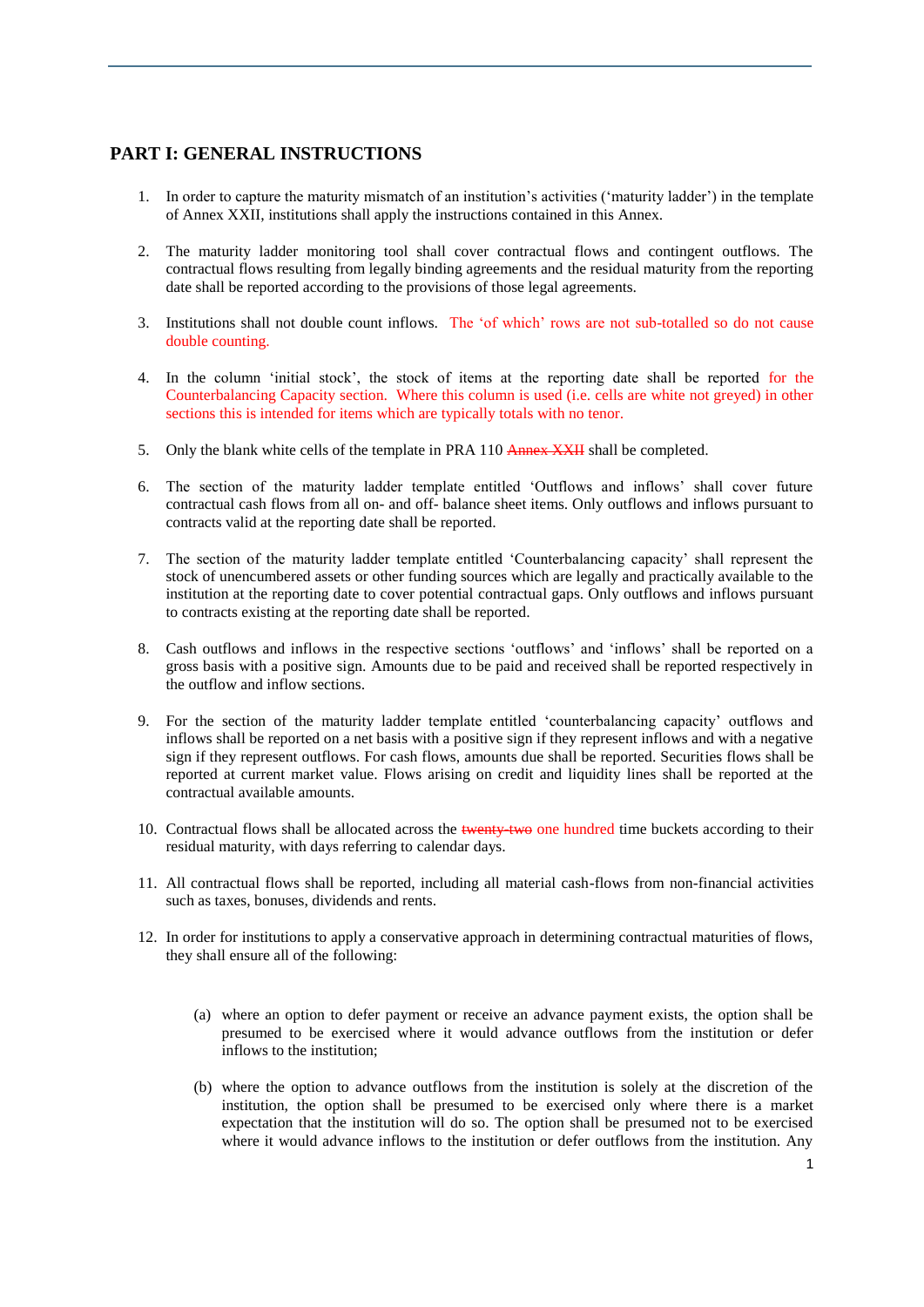#### <span id="page-1-0"></span>**PART I: GENERAL INSTRUCTIONS**

- 1. In order to capture the maturity mismatch of an institution's activities ('maturity ladder') in the template of Annex XXII, institutions shall apply the instructions contained in this Annex.
- 2. The maturity ladder monitoring tool shall cover contractual flows and contingent outflows. The contractual flows resulting from legally binding agreements and the residual maturity from the reporting date shall be reported according to the provisions of those legal agreements.
- 3. Institutions shall not double count inflows. The 'of which' rows are not sub-totalled so do not cause double counting.
- 4. In the column 'initial stock', the stock of items at the reporting date shall be reported for the Counterbalancing Capacity section. Where this column is used (i.e. cells are white not greyed) in other sections this is intended for items which are typically totals with no tenor.
- 5. Only the blank white cells of the template in PRA 110 Annex XXII shall be completed.
- 6. The section of the maturity ladder template entitled 'Outflows and inflows' shall cover future contractual cash flows from all on- and off- balance sheet items. Only outflows and inflows pursuant to contracts valid at the reporting date shall be reported.
- 7. The section of the maturity ladder template entitled 'Counterbalancing capacity' shall represent the stock of unencumbered assets or other funding sources which are legally and practically available to the institution at the reporting date to cover potential contractual gaps. Only outflows and inflows pursuant to contracts existing at the reporting date shall be reported.
- 8. Cash outflows and inflows in the respective sections 'outflows' and 'inflows' shall be reported on a gross basis with a positive sign. Amounts due to be paid and received shall be reported respectively in the outflow and inflow sections.
- 9. For the section of the maturity ladder template entitled 'counterbalancing capacity' outflows and inflows shall be reported on a net basis with a positive sign if they represent inflows and with a negative sign if they represent outflows. For cash flows, amounts due shall be reported. Securities flows shall be reported at current market value. Flows arising on credit and liquidity lines shall be reported at the contractual available amounts.
- 10. Contractual flows shall be allocated across the twenty-two one hundred time buckets according to their residual maturity, with days referring to calendar days.
- 11. All contractual flows shall be reported, including all material cash-flows from non-financial activities such as taxes, bonuses, dividends and rents.
- 12. In order for institutions to apply a conservative approach in determining contractual maturities of flows, they shall ensure all of the following:
	- (a) where an option to defer payment or receive an advance payment exists, the option shall be presumed to be exercised where it would advance outflows from the institution or defer inflows to the institution;
	- (b) where the option to advance outflows from the institution is solely at the discretion of the institution, the option shall be presumed to be exercised only where there is a market expectation that the institution will do so. The option shall be presumed not to be exercised where it would advance inflows to the institution or defer outflows from the institution. Any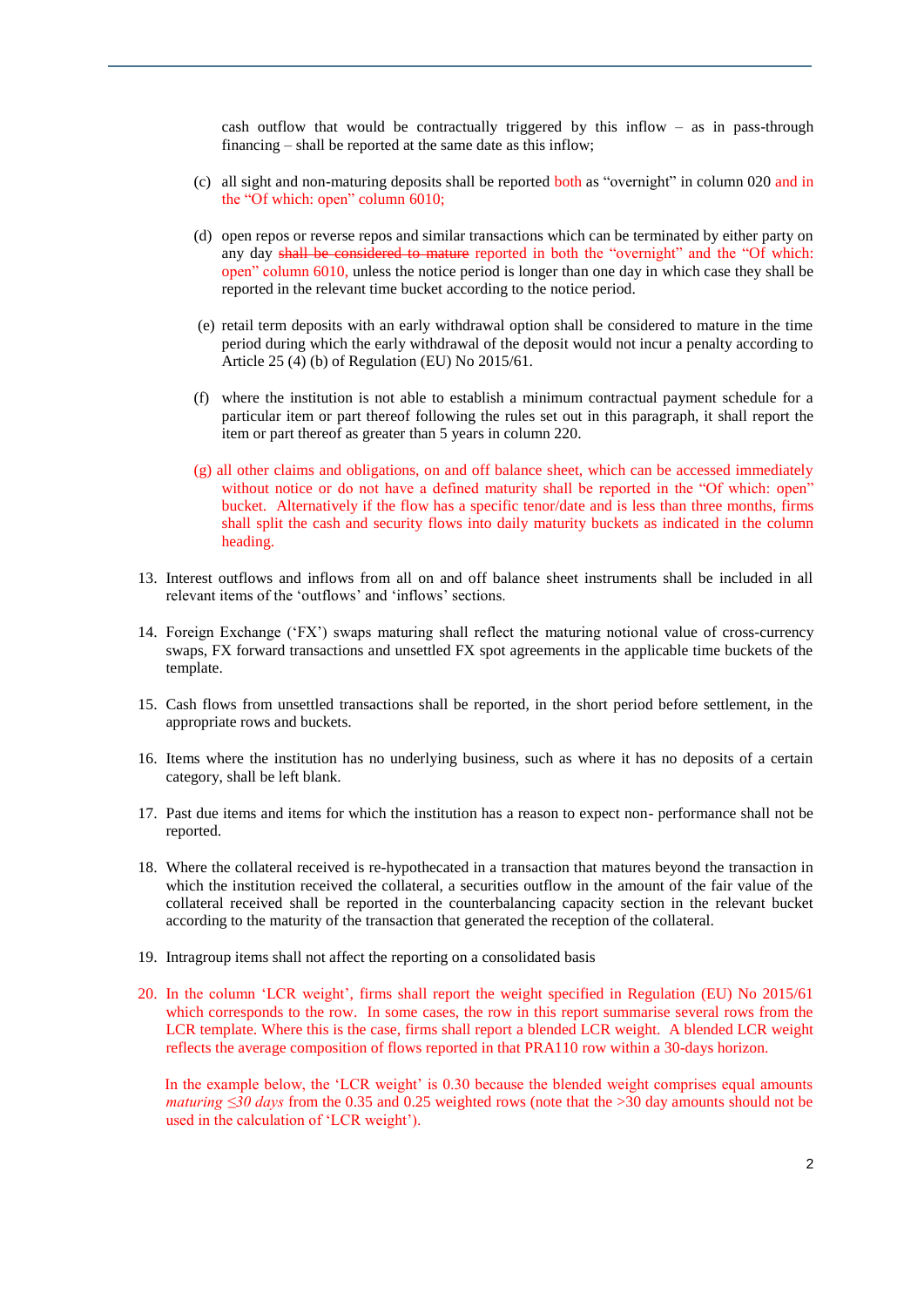cash outflow that would be contractually triggered by this inflow  $-$  as in pass-through financing – shall be reported at the same date as this inflow;

- (c) all sight and non-maturing deposits shall be reported both as "overnight" in column 020 and in the "Of which: open" column 6010;
- (d) open repos or reverse repos and similar transactions which can be terminated by either party on any day shall be considered to mature reported in both the "overnight" and the "Of which: open" column 6010, unless the notice period is longer than one day in which case they shall be reported in the relevant time bucket according to the notice period.
- (e) retail term deposits with an early withdrawal option shall be considered to mature in the time period during which the early withdrawal of the deposit would not incur a penalty according to Article 25 (4) (b) of Regulation (EU) No 2015/61.
- (f) where the institution is not able to establish a minimum contractual payment schedule for a particular item or part thereof following the rules set out in this paragraph, it shall report the item or part thereof as greater than 5 years in column 220.
- (g) all other claims and obligations, on and off balance sheet, which can be accessed immediately without notice or do not have a defined maturity shall be reported in the "Of which: open" bucket. Alternatively if the flow has a specific tenor/date and is less than three months, firms shall split the cash and security flows into daily maturity buckets as indicated in the column heading.
- 13. Interest outflows and inflows from all on and off balance sheet instruments shall be included in all relevant items of the 'outflows' and 'inflows' sections.
- 14. Foreign Exchange ('FX') swaps maturing shall reflect the maturing notional value of cross-currency swaps, FX forward transactions and unsettled FX spot agreements in the applicable time buckets of the template.
- 15. Cash flows from unsettled transactions shall be reported, in the short period before settlement, in the appropriate rows and buckets.
- 16. Items where the institution has no underlying business, such as where it has no deposits of a certain category, shall be left blank.
- 17. Past due items and items for which the institution has a reason to expect non- performance shall not be reported.
- 18. Where the collateral received is re-hypothecated in a transaction that matures beyond the transaction in which the institution received the collateral, a securities outflow in the amount of the fair value of the collateral received shall be reported in the counterbalancing capacity section in the relevant bucket according to the maturity of the transaction that generated the reception of the collateral.
- 19. Intragroup items shall not affect the reporting on a consolidated basis
- 20. In the column 'LCR weight', firms shall report the weight specified in Regulation (EU) No 2015/61 which corresponds to the row. In some cases, the row in this report summarise several rows from the LCR template. Where this is the case, firms shall report a blended LCR weight. A blended LCR weight reflects the average composition of flows reported in that PRA110 row within a 30-days horizon.

In the example below, the 'LCR weight' is 0.30 because the blended weight comprises equal amounts *maturing ≤30 days* from the 0.35 and 0.25 weighted rows (note that the >30 day amounts should not be used in the calculation of 'LCR weight').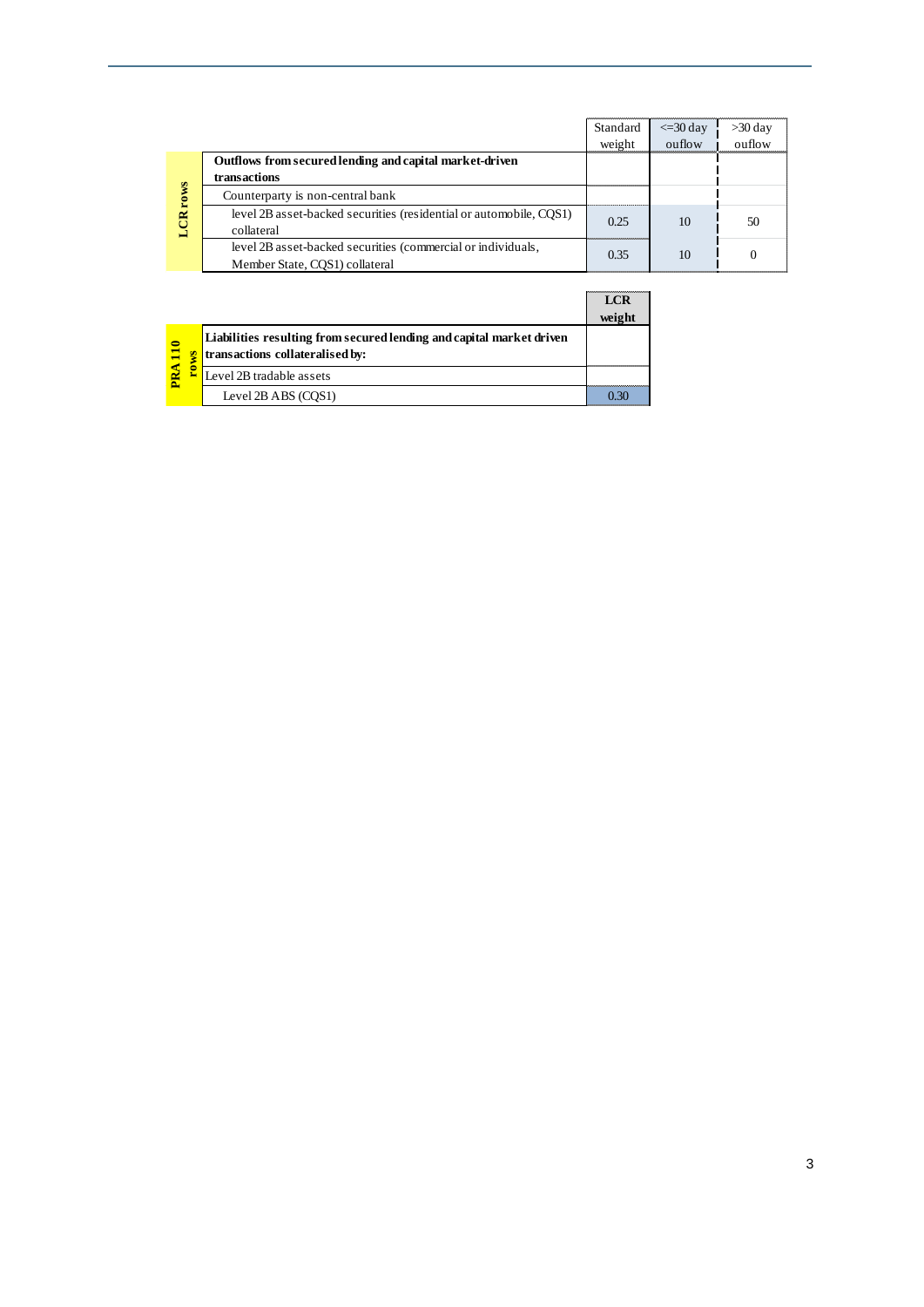|                                                                                                | Standard                          | $\leq$ = 30 day | >30 day |
|------------------------------------------------------------------------------------------------|-----------------------------------|-----------------|---------|
|                                                                                                | weight                            | $\omega$        | ouflow  |
| Outflows from secured lending and capital market-driven                                        |                                   |                 |         |
| transactions                                                                                   |                                   |                 |         |
| Counterparty is non-central bank                                                               |                                   |                 |         |
| level 2B asset-backed securities (residential or automobile, COS1)<br>collateral               | 0.25<br>,,,,,,,,,,,,,,,,,,,,,,,,, | 10              | 50      |
| level 2B asset-backed securities (commercial or individuals,<br>Member State, COS1) collateral | 0.35                              | 10              |         |

|        |                                                                                                         |                          | <b>LCR</b><br>weight |
|--------|---------------------------------------------------------------------------------------------------------|--------------------------|----------------------|
| 0<br>Æ | Liabilities resulting from secured lending and capital market driven<br>transactions collateralised by: |                          |                      |
|        |                                                                                                         | Level 2B tradable assets |                      |
|        |                                                                                                         | Level $2B$ ABS $(COS1)$  |                      |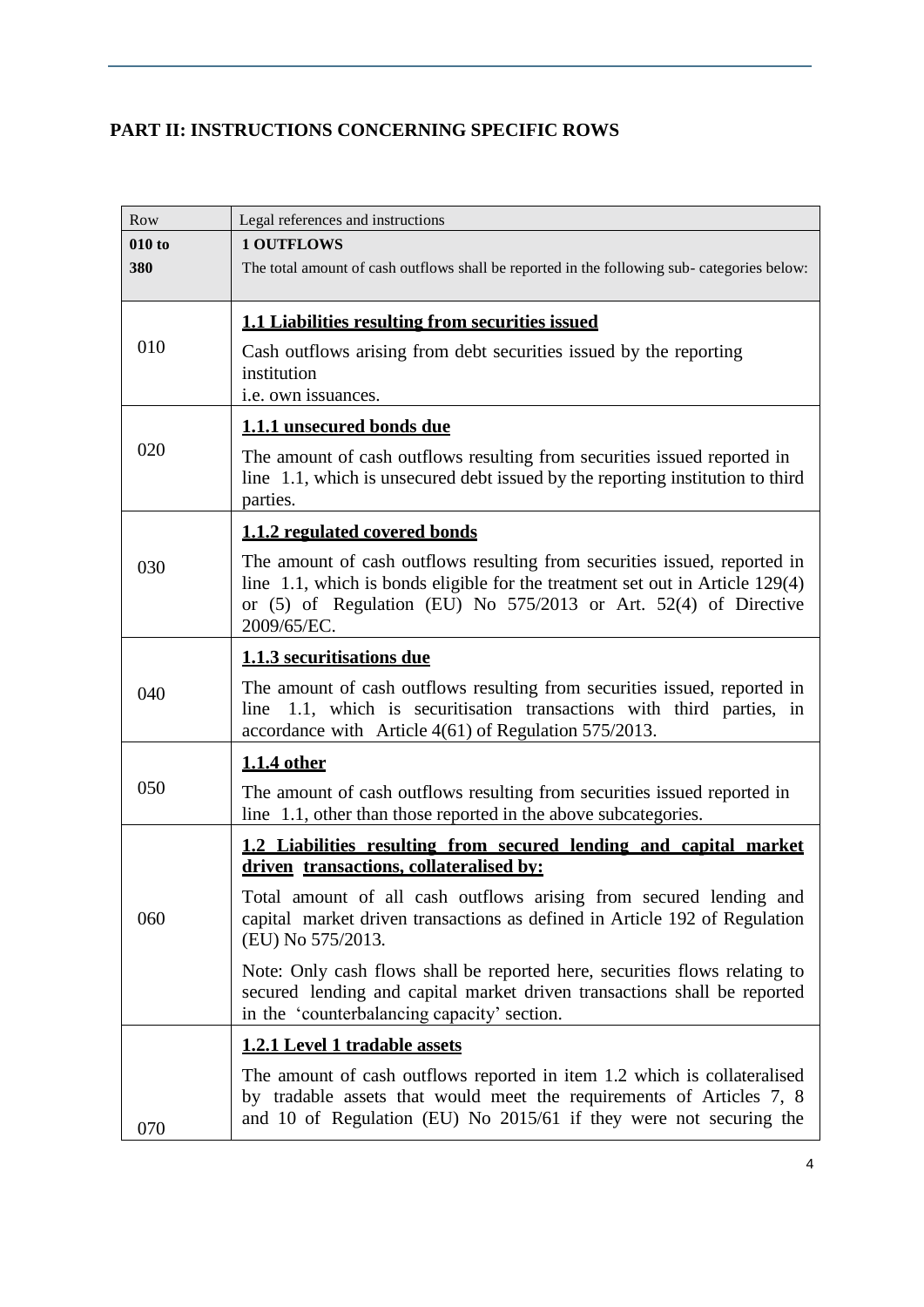# <span id="page-4-0"></span>**PART II: INSTRUCTIONS CONCERNING SPECIFIC ROWS**

| Row           | Legal references and instructions                                                                                                                                                                                                                   |
|---------------|-----------------------------------------------------------------------------------------------------------------------------------------------------------------------------------------------------------------------------------------------------|
| 010 to<br>380 | <b>1 OUTFLOWS</b><br>The total amount of cash outflows shall be reported in the following sub-categories below:                                                                                                                                     |
| 010           | <b>1.1 Liabilities resulting from securities issued</b><br>Cash outflows arising from debt securities issued by the reporting<br>institution<br>i.e. own issuances.                                                                                 |
| 020           | 1.1.1 unsecured bonds due<br>The amount of cash outflows resulting from securities issued reported in<br>line 1.1, which is unsecured debt issued by the reporting institution to third<br>parties.                                                 |
|               | 1.1.2 regulated covered bonds                                                                                                                                                                                                                       |
| 030           | The amount of cash outflows resulting from securities issued, reported in<br>line 1.1, which is bonds eligible for the treatment set out in Article 129(4)<br>or $(5)$ of Regulation (EU) No $575/2013$ or Art. $52(4)$ of Directive<br>2009/65/EC. |
|               | 1.1.3 securitisations due                                                                                                                                                                                                                           |
| 040           | The amount of cash outflows resulting from securities issued, reported in<br>1.1, which is securitisation transactions with third parties, in<br>line<br>accordance with Article 4(61) of Regulation 575/2013.                                      |
|               | 1.1.4 other                                                                                                                                                                                                                                         |
| 050           | The amount of cash outflows resulting from securities issued reported in<br>line 1.1, other than those reported in the above subcategories.                                                                                                         |
|               | 1.2 Liabilities resulting from secured lending and capital market<br>driven transactions, collateralised by:                                                                                                                                        |
| 060           | Total amount of all cash outflows arising from secured lending and<br>capital market driven transactions as defined in Article 192 of Regulation<br>(EU) No 575/2013.                                                                               |
|               | Note: Only cash flows shall be reported here, securities flows relating to<br>secured lending and capital market driven transactions shall be reported<br>in the 'counterbalancing capacity' section.                                               |
|               | 1.2.1 Level 1 tradable assets                                                                                                                                                                                                                       |
| 070           | The amount of cash outflows reported in item 1.2 which is collateralised<br>by tradable assets that would meet the requirements of Articles 7, 8<br>and 10 of Regulation (EU) No 2015/61 if they were not securing the                              |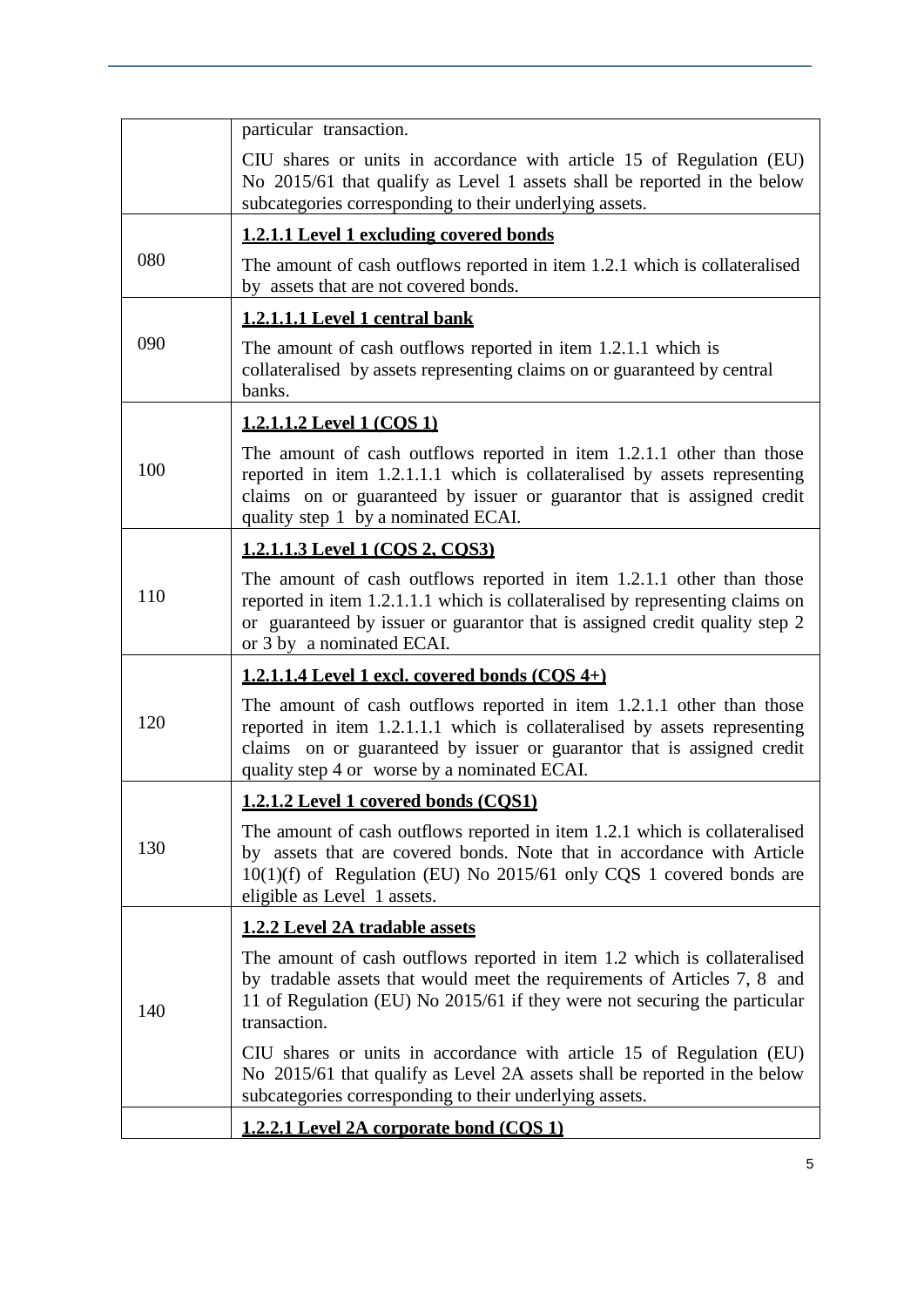|     | particular transaction.                                                                                                                                                                                                                                                      |
|-----|------------------------------------------------------------------------------------------------------------------------------------------------------------------------------------------------------------------------------------------------------------------------------|
|     | CIU shares or units in accordance with article 15 of Regulation (EU)<br>No 2015/61 that qualify as Level 1 assets shall be reported in the below<br>subcategories corresponding to their underlying assets.                                                                  |
|     | 1.2.1.1 Level 1 excluding covered bonds                                                                                                                                                                                                                                      |
| 080 | The amount of cash outflows reported in item 1.2.1 which is collateralised<br>by assets that are not covered bonds.                                                                                                                                                          |
|     | 1.2.1.1.1 Level 1 central bank                                                                                                                                                                                                                                               |
| 090 | The amount of cash outflows reported in item 1.2.1.1 which is<br>collateralised by assets representing claims on or guaranteed by central<br>banks.                                                                                                                          |
|     | 1.2.1.1.2 Level 1 (COS 1)                                                                                                                                                                                                                                                    |
| 100 | The amount of cash outflows reported in item 1.2.1.1 other than those<br>reported in item 1.2.1.1.1 which is collateralised by assets representing<br>claims on or guaranteed by issuer or guarantor that is assigned credit<br>quality step 1 by a nominated ECAI.          |
|     | 1.2.1.1.3 Level 1 (COS 2, COS3)                                                                                                                                                                                                                                              |
| 110 | The amount of cash outflows reported in item 1.2.1.1 other than those<br>reported in item 1.2.1.1.1 which is collateralised by representing claims on<br>or guaranteed by issuer or guarantor that is assigned credit quality step 2<br>or 3 by a nominated ECAI.            |
|     | 1.2.1.1.4 Level 1 excl. covered bonds $(COS 4+)$                                                                                                                                                                                                                             |
| 120 | The amount of cash outflows reported in item 1.2.1.1 other than those<br>reported in item 1.2.1.1.1 which is collateralised by assets representing<br>claims on or guaranteed by issuer or guarantor that is assigned credit<br>quality step 4 or worse by a nominated ECAI. |
|     | 1.2.1.2 Level 1 covered bonds (COS1)                                                                                                                                                                                                                                         |
| 130 | The amount of cash outflows reported in item 1.2.1 which is collateralised<br>by assets that are covered bonds. Note that in accordance with Article<br>$10(1)(f)$ of Regulation (EU) No 2015/61 only CQS 1 covered bonds are<br>eligible as Level 1 assets.                 |
|     | <b>1.2.2 Level 2A tradable assets</b>                                                                                                                                                                                                                                        |
| 140 | The amount of cash outflows reported in item 1.2 which is collateralised<br>by tradable assets that would meet the requirements of Articles 7, 8 and<br>11 of Regulation (EU) No 2015/61 if they were not securing the particular<br>transaction.                            |
|     | CIU shares or units in accordance with article 15 of Regulation (EU)<br>No 2015/61 that qualify as Level 2A assets shall be reported in the below<br>subcategories corresponding to their underlying assets.                                                                 |
|     | <u>1.2.2.1 Level 2A corporate bond (COS 1)</u>                                                                                                                                                                                                                               |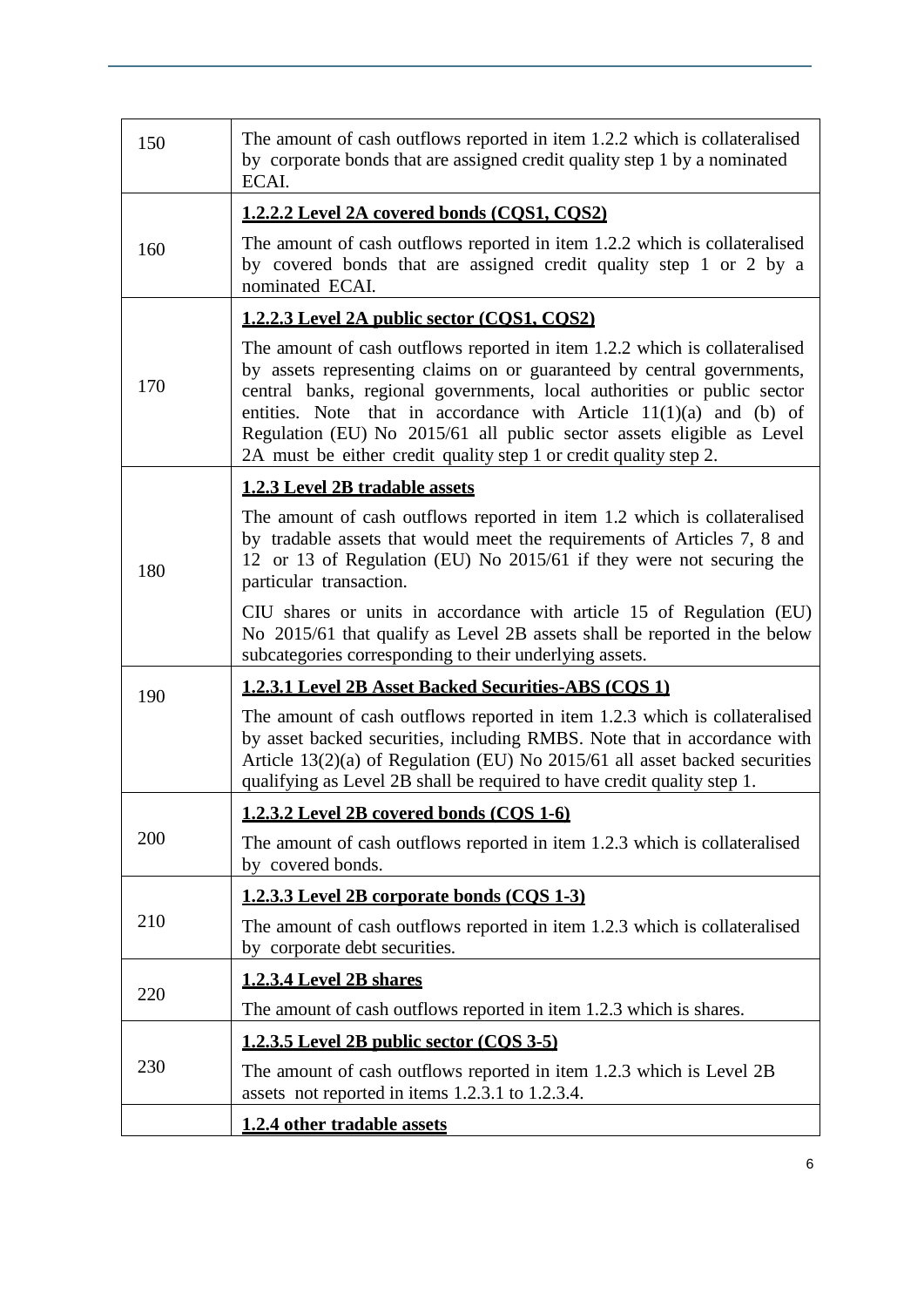| 150 | The amount of cash outflows reported in item 1.2.2 which is collateralised<br>by corporate bonds that are assigned credit quality step 1 by a nominated<br>ECAI.                                                                                                                                                                                                                                                                                      |
|-----|-------------------------------------------------------------------------------------------------------------------------------------------------------------------------------------------------------------------------------------------------------------------------------------------------------------------------------------------------------------------------------------------------------------------------------------------------------|
|     | 1.2.2.2 Level 2A covered bonds (COS1, COS2)                                                                                                                                                                                                                                                                                                                                                                                                           |
| 160 | The amount of cash outflows reported in item 1.2.2 which is collateralised<br>by covered bonds that are assigned credit quality step 1 or 2 by a<br>nominated ECAI.                                                                                                                                                                                                                                                                                   |
|     | 1.2.2.3 Level 2A public sector (COS1, COS2)                                                                                                                                                                                                                                                                                                                                                                                                           |
| 170 | The amount of cash outflows reported in item 1.2.2 which is collateralised<br>by assets representing claims on or guaranteed by central governments,<br>central banks, regional governments, local authorities or public sector<br>entities. Note that in accordance with Article $11(1)(a)$ and (b) of<br>Regulation (EU) No 2015/61 all public sector assets eligible as Level<br>2A must be either credit quality step 1 or credit quality step 2. |
|     | <b>1.2.3 Level 2B tradable assets</b>                                                                                                                                                                                                                                                                                                                                                                                                                 |
| 180 | The amount of cash outflows reported in item 1.2 which is collateralised<br>by tradable assets that would meet the requirements of Articles 7, 8 and<br>12 or 13 of Regulation (EU) No 2015/61 if they were not securing the<br>particular transaction.                                                                                                                                                                                               |
|     | CIU shares or units in accordance with article 15 of Regulation (EU)<br>No 2015/61 that qualify as Level 2B assets shall be reported in the below<br>subcategories corresponding to their underlying assets.                                                                                                                                                                                                                                          |
| 190 | <b>1.2.3.1 Level 2B Asset Backed Securities-ABS (COS 1)</b>                                                                                                                                                                                                                                                                                                                                                                                           |
|     | The amount of cash outflows reported in item 1.2.3 which is collateralised<br>by asset backed securities, including RMBS. Note that in accordance with<br>Article 13(2)(a) of Regulation (EU) No 2015/61 all asset backed securities<br>qualifying as Level 2B shall be required to have credit quality step 1.                                                                                                                                       |
|     | <u>1.2.3.2 Level 2B covered bonds (COS 1-6)</u>                                                                                                                                                                                                                                                                                                                                                                                                       |
| 200 | The amount of cash outflows reported in item 1.2.3 which is collateralised<br>by covered bonds.                                                                                                                                                                                                                                                                                                                                                       |
|     | 1.2.3.3 Level 2B corporate bonds (COS 1-3)                                                                                                                                                                                                                                                                                                                                                                                                            |
| 210 | The amount of cash outflows reported in item 1.2.3 which is collateralised<br>by corporate debt securities.                                                                                                                                                                                                                                                                                                                                           |
| 220 | 1.2.3.4 Level 2B shares                                                                                                                                                                                                                                                                                                                                                                                                                               |
|     | The amount of cash outflows reported in item 1.2.3 which is shares.                                                                                                                                                                                                                                                                                                                                                                                   |
|     | 1.2.3.5 Level 2B public sector (COS 3-5)                                                                                                                                                                                                                                                                                                                                                                                                              |
| 230 | The amount of cash outflows reported in item 1.2.3 which is Level 2B<br>assets not reported in items 1.2.3.1 to 1.2.3.4.                                                                                                                                                                                                                                                                                                                              |
|     | 1.2.4 other tradable assets                                                                                                                                                                                                                                                                                                                                                                                                                           |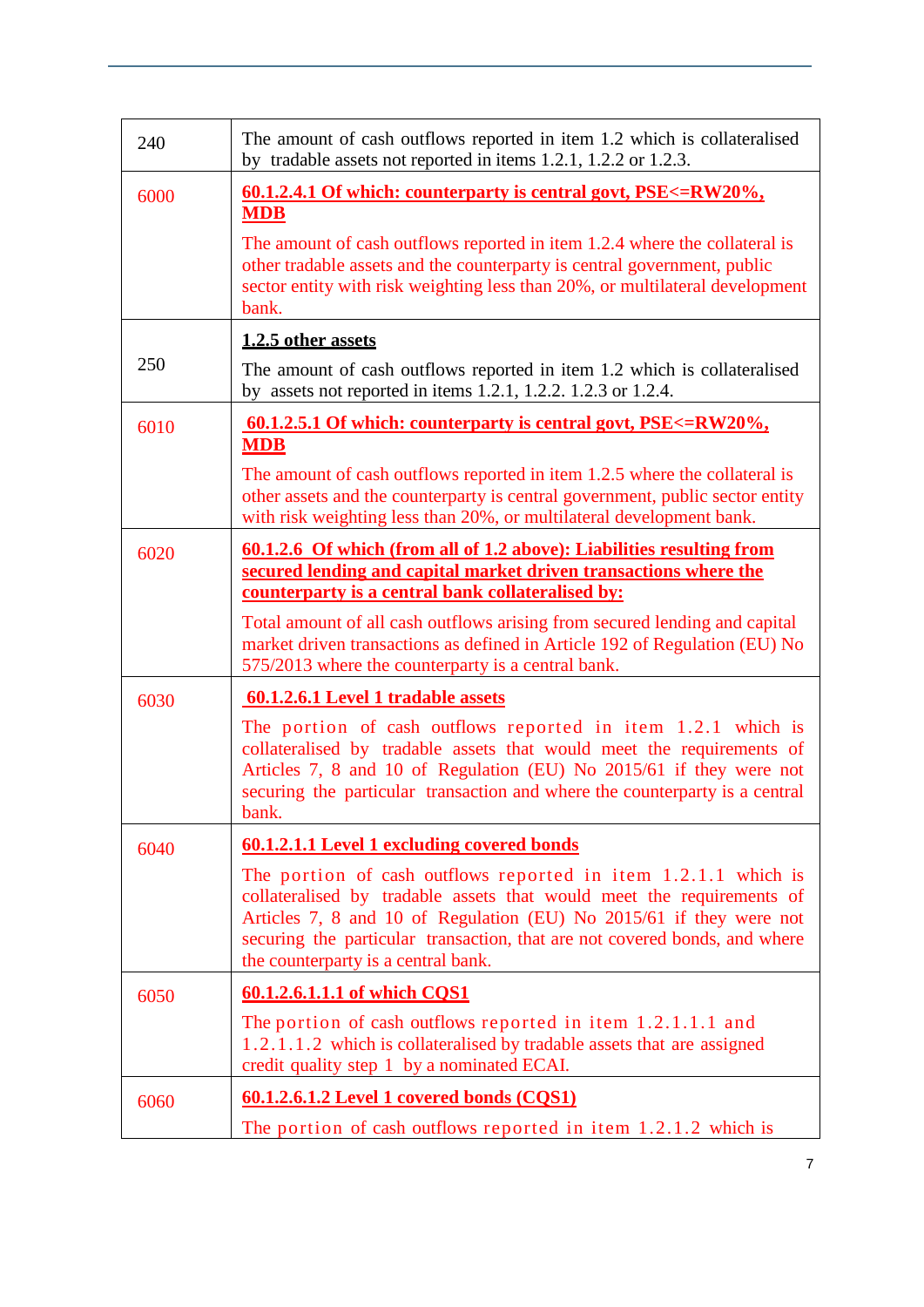| 240  | The amount of cash outflows reported in item 1.2 which is collateralised<br>by tradable assets not reported in items 1.2.1, 1.2.2 or 1.2.3.                                                                                                                                                                                         |
|------|-------------------------------------------------------------------------------------------------------------------------------------------------------------------------------------------------------------------------------------------------------------------------------------------------------------------------------------|
| 6000 | <u>60.1.2.4.1 Of which: counterparty is central govt, PSE&lt;=RW20%,</u><br><b>MDB</b>                                                                                                                                                                                                                                              |
|      | The amount of cash outflows reported in item 1.2.4 where the collateral is<br>other tradable assets and the counterparty is central government, public<br>sector entity with risk weighting less than 20%, or multilateral development<br>bank.                                                                                     |
|      | 1.2.5 other assets                                                                                                                                                                                                                                                                                                                  |
| 250  | The amount of cash outflows reported in item 1.2 which is collateralised<br>by assets not reported in items 1.2.1, 1.2.2. 1.2.3 or 1.2.4.                                                                                                                                                                                           |
| 6010 | <u>60.1.2.5.1 Of which: counterparty is central govt, <math>PSE &lt; RW20\%</math>,</u><br><b>MDB</b>                                                                                                                                                                                                                               |
|      | The amount of cash outflows reported in item 1.2.5 where the collateral is<br>other assets and the counterparty is central government, public sector entity<br>with risk weighting less than 20%, or multilateral development bank.                                                                                                 |
| 6020 | 60.1.2.6 Of which (from all of 1.2 above): Liabilities resulting from<br>secured lending and capital market driven transactions where the<br>counterparty is a central bank collateralised by:                                                                                                                                      |
|      | Total amount of all cash outflows arising from secured lending and capital<br>market driven transactions as defined in Article 192 of Regulation (EU) No<br>575/2013 where the counterparty is a central bank.                                                                                                                      |
| 6030 | 60.1.2.6.1 Level 1 tradable assets                                                                                                                                                                                                                                                                                                  |
|      | The portion of cash outflows reported in item 1.2.1 which is<br>collateralised by tradable assets that would meet the requirements of<br>Articles 7, 8 and 10 of Regulation (EU) No 2015/61 if they were not<br>securing the particular transaction and where the counterparty is a central<br>bank.                                |
| 6040 | 60.1.2.1.1 Level 1 excluding covered bonds                                                                                                                                                                                                                                                                                          |
|      | The portion of cash outflows reported in item 1.2.1.1 which is<br>collateralised by tradable assets that would meet the requirements of<br>Articles 7, 8 and 10 of Regulation (EU) No 2015/61 if they were not<br>securing the particular transaction, that are not covered bonds, and where<br>the counterparty is a central bank. |
| 6050 | 60.1.2.6.1.1.1 of which CQS1                                                                                                                                                                                                                                                                                                        |
|      | The portion of cash outflows reported in item $1.2.1.1.1$ and<br>1.2.1.1.2 which is collateralised by tradable assets that are assigned<br>credit quality step 1 by a nominated ECAI.                                                                                                                                               |
| 6060 | 60.1.2.6.1.2 Level 1 covered bonds (CQS1)                                                                                                                                                                                                                                                                                           |
|      | The portion of cash outflows reported in item $1.2.1.2$ which is                                                                                                                                                                                                                                                                    |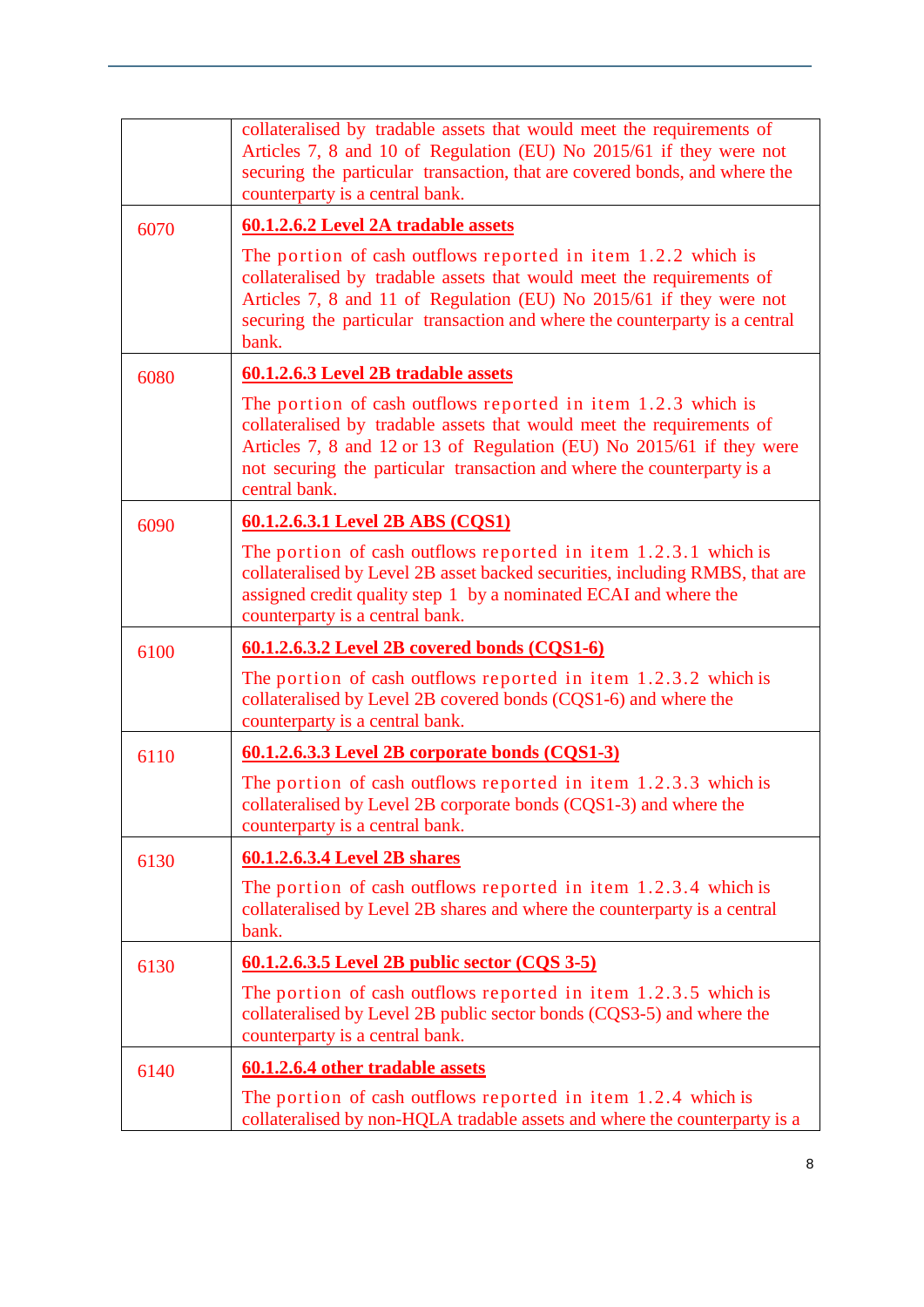|      | collateralised by tradable assets that would meet the requirements of<br>Articles 7, 8 and 10 of Regulation (EU) No 2015/61 if they were not<br>securing the particular transaction, that are covered bonds, and where the<br>counterparty is a central bank.                                                |
|------|--------------------------------------------------------------------------------------------------------------------------------------------------------------------------------------------------------------------------------------------------------------------------------------------------------------|
| 6070 | 60.1.2.6.2 Level 2A tradable assets                                                                                                                                                                                                                                                                          |
|      | The portion of cash outflows reported in item $1.2.2$ which is<br>collateralised by tradable assets that would meet the requirements of<br>Articles 7, 8 and 11 of Regulation (EU) No 2015/61 if they were not<br>securing the particular transaction and where the counterparty is a central<br>bank.       |
| 6080 | 60.1.2.6.3 Level 2B tradable assets                                                                                                                                                                                                                                                                          |
|      | The portion of cash outflows reported in item $1.2.3$ which is<br>collateralised by tradable assets that would meet the requirements of<br>Articles 7, 8 and 12 or 13 of Regulation (EU) No 2015/61 if they were<br>not securing the particular transaction and where the counterparty is a<br>central bank. |
| 6090 | 60.1.2.6.3.1 Level 2B ABS (CQS1)                                                                                                                                                                                                                                                                             |
|      | The portion of cash outflows reported in item 1.2.3.1 which is<br>collateralised by Level 2B asset backed securities, including RMBS, that are<br>assigned credit quality step 1 by a nominated ECAI and where the<br>counterparty is a central bank.                                                        |
| 6100 | 60.1.2.6.3.2 Level 2B covered bonds (CQS1-6)                                                                                                                                                                                                                                                                 |
|      | The portion of cash outflows reported in item 1.2.3.2 which is<br>collateralised by Level 2B covered bonds (CQS1-6) and where the<br>counterparty is a central bank.                                                                                                                                         |
| 6110 | 60.1.2.6.3.3 Level 2B corporate bonds (CQS1-3)                                                                                                                                                                                                                                                               |
|      | The portion of cash outflows reported in item 1.2.3.3 which is<br>collateralised by Level 2B corporate bonds (CQS1-3) and where the<br>counterparty is a central bank.                                                                                                                                       |
| 6130 | 60.1.2.6.3.4 Level 2B shares                                                                                                                                                                                                                                                                                 |
|      | The portion of cash outflows reported in item 1.2.3.4 which is<br>collateralised by Level 2B shares and where the counterparty is a central<br>bank.                                                                                                                                                         |
| 6130 | 60.1.2.6.3.5 Level 2B public sector (CQS 3-5)                                                                                                                                                                                                                                                                |
|      | The portion of cash outflows reported in item 1.2.3.5 which is<br>collateralised by Level 2B public sector bonds (CQS3-5) and where the<br>counterparty is a central bank.                                                                                                                                   |
| 6140 | 60.1.2.6.4 other tradable assets                                                                                                                                                                                                                                                                             |
|      | The portion of cash outflows reported in item 1.2.4 which is<br>collateralised by non-HQLA tradable assets and where the counterparty is a                                                                                                                                                                   |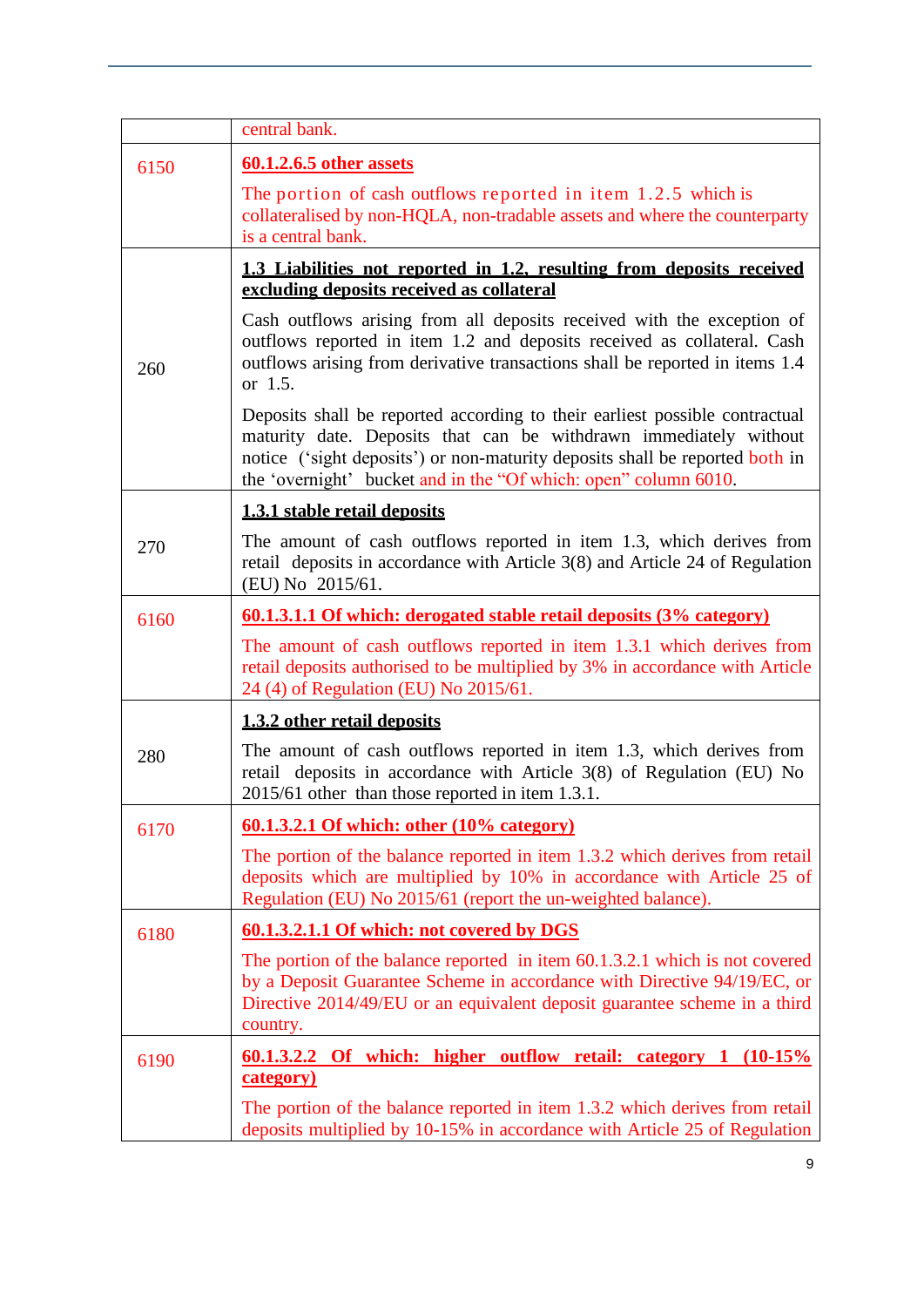|      | central bank.                                                                                                                                                                                                                                                                                       |
|------|-----------------------------------------------------------------------------------------------------------------------------------------------------------------------------------------------------------------------------------------------------------------------------------------------------|
| 6150 | 60.1.2.6.5 other assets                                                                                                                                                                                                                                                                             |
|      | The portion of cash outflows reported in item 1.2.5 which is<br>collateralised by non-HQLA, non-tradable assets and where the counterparty<br>is a central bank.                                                                                                                                    |
|      | 1.3 Liabilities not reported in 1.2, resulting from deposits received<br>excluding deposits received as collateral                                                                                                                                                                                  |
| 260  | Cash outflows arising from all deposits received with the exception of<br>outflows reported in item 1.2 and deposits received as collateral. Cash<br>outflows arising from derivative transactions shall be reported in items 1.4<br>or 1.5.                                                        |
|      | Deposits shall be reported according to their earliest possible contractual<br>maturity date. Deposits that can be withdrawn immediately without<br>notice ('sight deposits') or non-maturity deposits shall be reported both in<br>the 'overnight' bucket and in the "Of which: open" column 6010. |
|      | 1.3.1 stable retail deposits                                                                                                                                                                                                                                                                        |
| 270  | The amount of cash outflows reported in item 1.3, which derives from<br>retail deposits in accordance with Article 3(8) and Article 24 of Regulation<br>(EU) No 2015/61.                                                                                                                            |
| 6160 | 60.1.3.1.1 Of which: derogated stable retail deposits (3% category)                                                                                                                                                                                                                                 |
|      | The amount of cash outflows reported in item 1.3.1 which derives from<br>retail deposits authorised to be multiplied by 3% in accordance with Article<br>24 (4) of Regulation (EU) No 2015/61.                                                                                                      |
|      | 1.3.2 other retail deposits                                                                                                                                                                                                                                                                         |
| 280  | The amount of cash outflows reported in item 1.3, which derives from<br>retail deposits in accordance with Article 3(8) of Regulation (EU) No<br>2015/61 other than those reported in item 1.3.1.                                                                                                   |
| 6170 | 60.1.3.2.1 Of which: other (10% category)                                                                                                                                                                                                                                                           |
|      | The portion of the balance reported in item 1.3.2 which derives from retail<br>deposits which are multiplied by 10% in accordance with Article 25 of<br>Regulation (EU) No 2015/61 (report the un-weighted balance).                                                                                |
| 6180 | 60.1.3.2.1.1 Of which: not covered by DGS                                                                                                                                                                                                                                                           |
|      | The portion of the balance reported in item 60.1.3.2.1 which is not covered<br>by a Deposit Guarantee Scheme in accordance with Directive 94/19/EC, or<br>Directive 2014/49/EU or an equivalent deposit guarantee scheme in a third<br>country.                                                     |
| 6190 | 60.1.3.2.2 Of which: higher outflow retail: category 1 (10-15%)                                                                                                                                                                                                                                     |
|      | category)<br>The portion of the balance reported in item 1.3.2 which derives from retail<br>deposits multiplied by 10-15% in accordance with Article 25 of Regulation                                                                                                                               |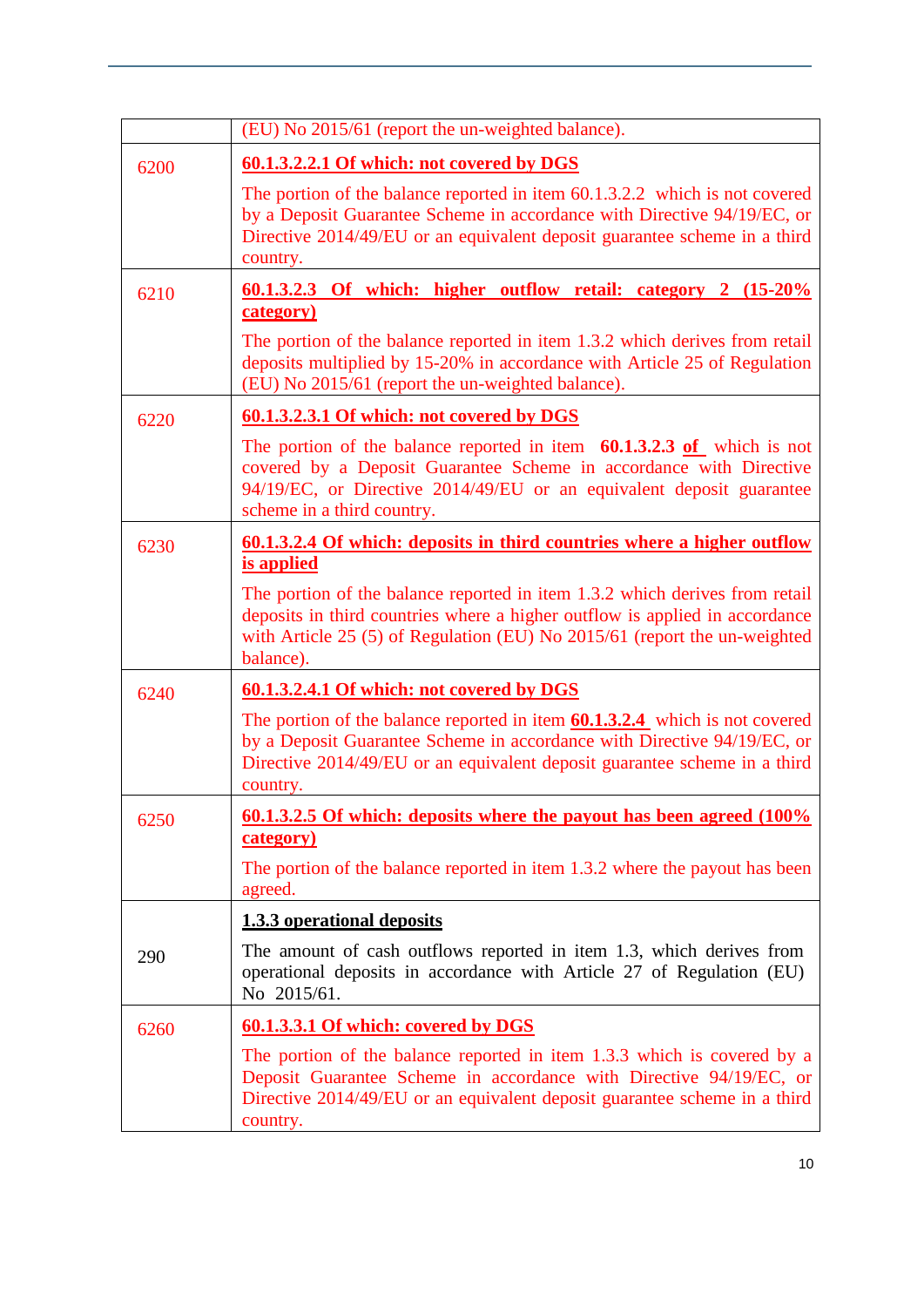|      | (EU) No 2015/61 (report the un-weighted balance).                                                                                                                                                                                                    |
|------|------------------------------------------------------------------------------------------------------------------------------------------------------------------------------------------------------------------------------------------------------|
| 6200 | 60.1.3.2.2.1 Of which: not covered by DGS                                                                                                                                                                                                            |
|      | The portion of the balance reported in item 60.1.3.2.2 which is not covered<br>by a Deposit Guarantee Scheme in accordance with Directive 94/19/EC, or<br>Directive 2014/49/EU or an equivalent deposit guarantee scheme in a third<br>country.      |
| 6210 | <u>60.1.3.2.3 Of which: higher outflow retail: category 2 (15-20%</u><br>category)                                                                                                                                                                   |
|      | The portion of the balance reported in item 1.3.2 which derives from retail<br>deposits multiplied by 15-20% in accordance with Article 25 of Regulation<br>(EU) No 2015/61 (report the un-weighted balance).                                        |
| 6220 | 60.1.3.2.3.1 Of which: not covered by DGS                                                                                                                                                                                                            |
|      | The portion of the balance reported in item $60.1.3.2.3$ of which is not<br>covered by a Deposit Guarantee Scheme in accordance with Directive<br>94/19/EC, or Directive 2014/49/EU or an equivalent deposit guarantee<br>scheme in a third country. |
| 6230 | <u>60.1.3.2.4 Of which: deposits in third countries where a higher outflow</u><br>is applied                                                                                                                                                         |
|      | The portion of the balance reported in item 1.3.2 which derives from retail<br>deposits in third countries where a higher outflow is applied in accordance<br>with Article 25 (5) of Regulation (EU) No 2015/61 (report the un-weighted<br>balance). |
| 6240 | 60.1.3.2.4.1 Of which: not covered by DGS                                                                                                                                                                                                            |
|      | The portion of the balance reported in item $60.1.3.2.4$ which is not covered<br>by a Deposit Guarantee Scheme in accordance with Directive 94/19/EC, or<br>Directive 2014/49/EU or an equivalent deposit guarantee scheme in a third<br>country.    |
| 6250 | 60.1.3.2.5 Of which: deposits where the payout has been agreed (100%)<br>category)                                                                                                                                                                   |
|      | The portion of the balance reported in item 1.3.2 where the payout has been<br>agreed.                                                                                                                                                               |
|      | <b>1.3.3 operational deposits</b>                                                                                                                                                                                                                    |
| 290  | The amount of cash outflows reported in item 1.3, which derives from<br>operational deposits in accordance with Article 27 of Regulation (EU)<br>No 2015/61.                                                                                         |
| 6260 | 60.1.3.3.1 Of which: covered by DGS                                                                                                                                                                                                                  |
|      | The portion of the balance reported in item 1.3.3 which is covered by a<br>Deposit Guarantee Scheme in accordance with Directive 94/19/EC, or<br>Directive 2014/49/EU or an equivalent deposit guarantee scheme in a third<br>country.               |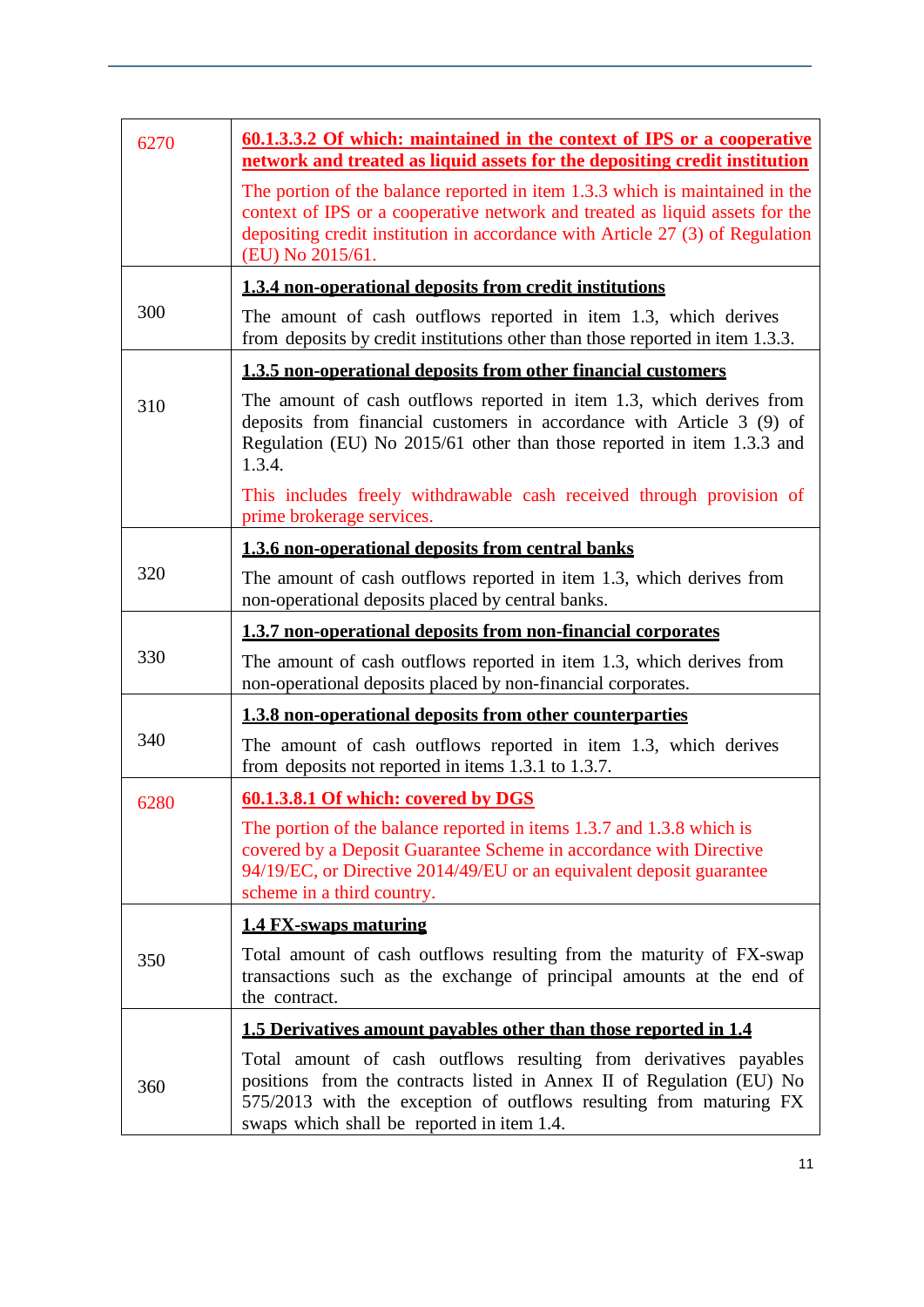| 6270 | <u>60.1.3.3.2 Of which: maintained in the context of IPS or a cooperative</u><br>network and treated as liquid assets for the depositing credit institution                                                                                                       |  |
|------|-------------------------------------------------------------------------------------------------------------------------------------------------------------------------------------------------------------------------------------------------------------------|--|
|      | The portion of the balance reported in item 1.3.3 which is maintained in the<br>context of IPS or a cooperative network and treated as liquid assets for the<br>depositing credit institution in accordance with Article 27 (3) of Regulation<br>(EU) No 2015/61. |  |
|      | 1.3.4 non-operational deposits from credit institutions                                                                                                                                                                                                           |  |
| 300  | The amount of cash outflows reported in item 1.3, which derives<br>from deposits by credit institutions other than those reported in item 1.3.3.                                                                                                                  |  |
|      | 1.3.5 non-operational deposits from other financial customers                                                                                                                                                                                                     |  |
| 310  | The amount of cash outflows reported in item 1.3, which derives from<br>deposits from financial customers in accordance with Article 3 (9) of<br>Regulation (EU) No 2015/61 other than those reported in item 1.3.3 and<br>1.3.4.                                 |  |
|      | This includes freely withdrawable cash received through provision of<br>prime brokerage services.                                                                                                                                                                 |  |
|      | 1.3.6 non-operational deposits from central banks                                                                                                                                                                                                                 |  |
| 320  | The amount of cash outflows reported in item 1.3, which derives from<br>non-operational deposits placed by central banks.                                                                                                                                         |  |
|      | 1.3.7 non-operational deposits from non-financial corporates                                                                                                                                                                                                      |  |
| 330  | The amount of cash outflows reported in item 1.3, which derives from<br>non-operational deposits placed by non-financial corporates.                                                                                                                              |  |
|      | 1.3.8 non-operational deposits from other counterparties                                                                                                                                                                                                          |  |
| 340  | The amount of cash outflows reported in item 1.3, which derives<br>from deposits not reported in items 1.3.1 to 1.3.7.                                                                                                                                            |  |
| 6280 | 60.1.3.8.1 Of which: covered by DGS                                                                                                                                                                                                                               |  |
|      | The portion of the balance reported in items 1.3.7 and 1.3.8 which is<br>covered by a Deposit Guarantee Scheme in accordance with Directive<br>94/19/EC, or Directive 2014/49/EU or an equivalent deposit guarantee<br>scheme in a third country.                 |  |
|      | <b>1.4 FX-swaps maturing</b>                                                                                                                                                                                                                                      |  |
| 350  | Total amount of cash outflows resulting from the maturity of FX-swap<br>transactions such as the exchange of principal amounts at the end of<br>the contract.                                                                                                     |  |
|      | 1.5 Derivatives amount payables other than those reported in 1.4                                                                                                                                                                                                  |  |
| 360  | Total amount of cash outflows resulting from derivatives payables<br>positions from the contracts listed in Annex II of Regulation (EU) No<br>575/2013 with the exception of outflows resulting from maturing FX<br>swaps which shall be reported in item 1.4.    |  |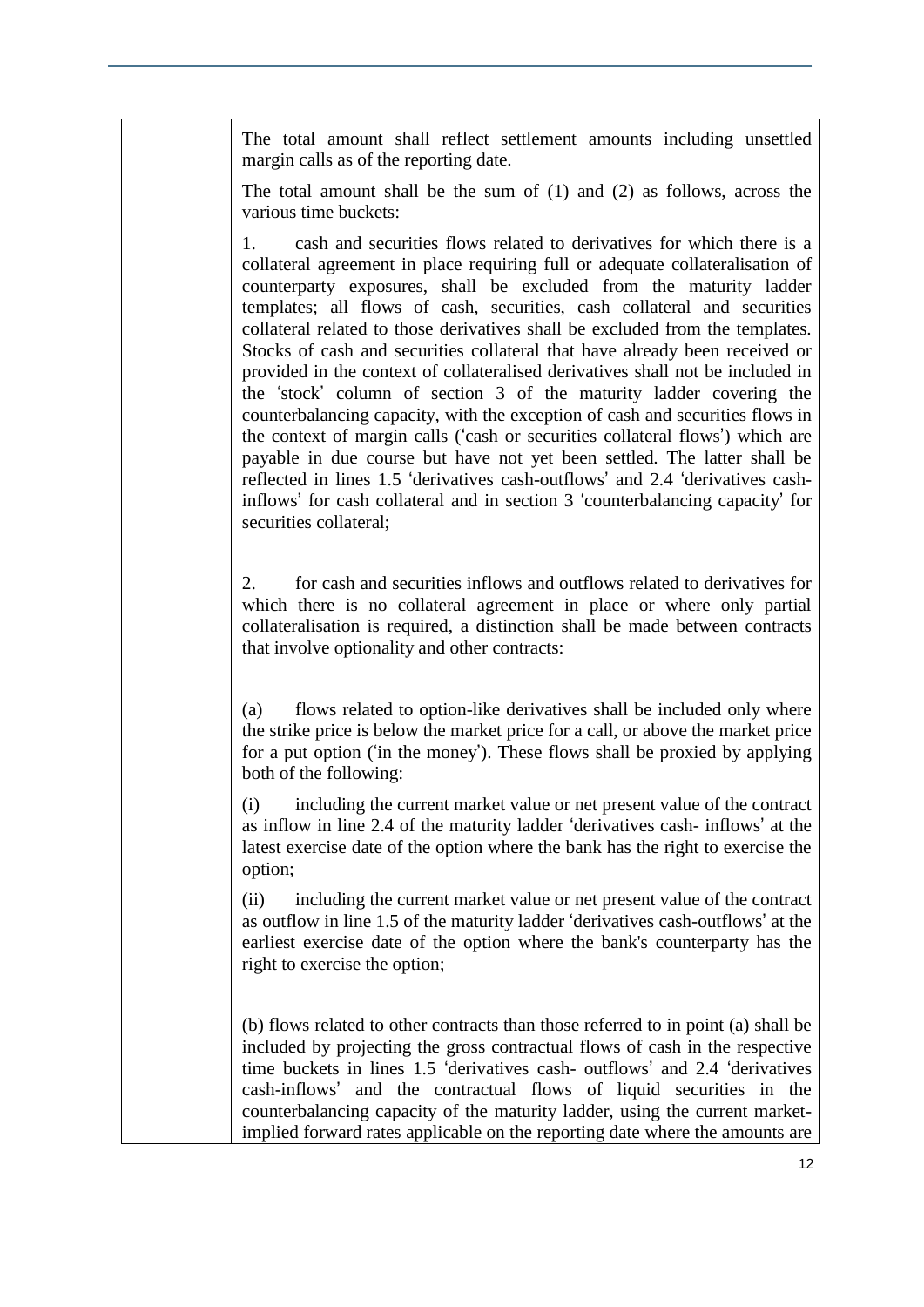The total amount shall reflect settlement amounts including unsettled margin calls as of the reporting date.

The total amount shall be the sum of (1) and (2) as follows, across the various time buckets:

1. cash and securities flows related to derivatives for which there is a collateral agreement in place requiring full or adequate collateralisation of counterparty exposures, shall be excluded from the maturity ladder templates; all flows of cash, securities, cash collateral and securities collateral related to those derivatives shall be excluded from the templates. Stocks of cash and securities collateral that have already been received or provided in the context of collateralised derivatives shall not be included in the 'stock' column of section 3 of the maturity ladder covering the counterbalancing capacity, with the exception of cash and securities flows in the context of margin calls ('cash or securities collateral flows') which are payable in due course but have not yet been settled. The latter shall be reflected in lines 1.5 'derivatives cash-outflows' and 2.4 'derivatives cashinflows' for cash collateral and in section 3 'counterbalancing capacity' for securities collateral;

2. for cash and securities inflows and outflows related to derivatives for which there is no collateral agreement in place or where only partial collateralisation is required, a distinction shall be made between contracts that involve optionality and other contracts:

(a) flows related to option-like derivatives shall be included only where the strike price is below the market price for a call, or above the market price for a put option ('in the money'). These flows shall be proxied by applying both of the following:

(i) including the current market value or net present value of the contract as inflow in line 2.4 of the maturity ladder 'derivatives cash- inflows' at the latest exercise date of the option where the bank has the right to exercise the option;

(ii) including the current market value or net present value of the contract as outflow in line 1.5 of the maturity ladder 'derivatives cash-outflows' at the earliest exercise date of the option where the bank's counterparty has the right to exercise the option;

(b) flows related to other contracts than those referred to in point (a) shall be included by projecting the gross contractual flows of cash in the respective time buckets in lines 1.5 'derivatives cash- outflows' and 2.4 'derivatives cash-inflows' and the contractual flows of liquid securities in the counterbalancing capacity of the maturity ladder, using the current marketimplied forward rates applicable on the reporting date where the amounts are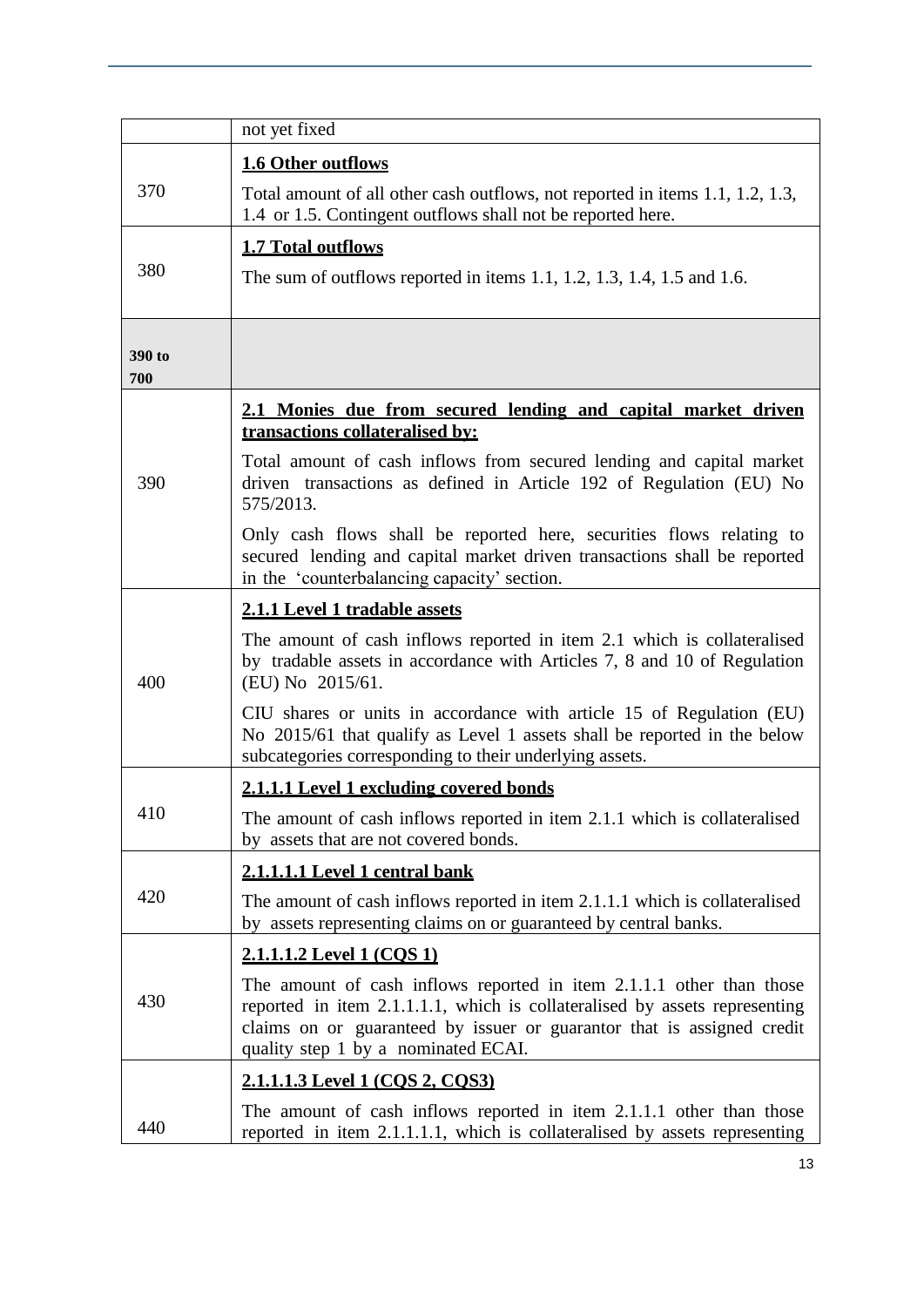|               | not yet fixed                                                                                                                                                                                                                                                       |
|---------------|---------------------------------------------------------------------------------------------------------------------------------------------------------------------------------------------------------------------------------------------------------------------|
|               | 1.6 Other outflows                                                                                                                                                                                                                                                  |
| 370           | Total amount of all other cash outflows, not reported in items 1.1, 1.2, 1.3,<br>1.4 or 1.5. Contingent outflows shall not be reported here.                                                                                                                        |
| 380           | <b>1.7 Total outflows</b><br>The sum of outflows reported in items 1.1, 1.2, 1.3, 1.4, 1.5 and 1.6.                                                                                                                                                                 |
| 390 to<br>700 |                                                                                                                                                                                                                                                                     |
|               | 2.1 Monies due from secured lending and capital market driven<br>transactions collateralised by:                                                                                                                                                                    |
| 390           | Total amount of cash inflows from secured lending and capital market<br>driven transactions as defined in Article 192 of Regulation (EU) No<br>575/2013.                                                                                                            |
|               | Only cash flows shall be reported here, securities flows relating to<br>secured lending and capital market driven transactions shall be reported<br>in the 'counterbalancing capacity' section.                                                                     |
|               | 2.1.1 Level 1 tradable assets                                                                                                                                                                                                                                       |
| 400           | The amount of cash inflows reported in item 2.1 which is collateralised<br>by tradable assets in accordance with Articles 7, 8 and 10 of Regulation<br>(EU) No 2015/61.                                                                                             |
|               | CIU shares or units in accordance with article 15 of Regulation (EU)<br>No 2015/61 that qualify as Level 1 assets shall be reported in the below<br>subcategories corresponding to their underlying assets.                                                         |
|               | 2.1.1.1 Level 1 excluding covered bonds                                                                                                                                                                                                                             |
| 410           | The amount of cash inflows reported in item 2.1.1 which is collateralised<br>by assets that are not covered bonds.                                                                                                                                                  |
|               | 2.1.1.1.1 Level 1 central bank                                                                                                                                                                                                                                      |
| 420           | The amount of cash inflows reported in item 2.1.1.1 which is collateralised<br>by assets representing claims on or guaranteed by central banks.                                                                                                                     |
|               | <u>2.1.1.1.2 Level 1 (COS 1)</u>                                                                                                                                                                                                                                    |
| 430           | The amount of cash inflows reported in item 2.1.1.1 other than those<br>reported in item 2.1.1.1.1, which is collateralised by assets representing<br>claims on or guaranteed by issuer or guarantor that is assigned credit<br>quality step 1 by a nominated ECAI. |
|               | <u>2.1.1.1.3 Level 1 (COS 2, COS3)</u>                                                                                                                                                                                                                              |
| 440           | The amount of cash inflows reported in item 2.1.1.1 other than those<br>reported in item 2.1.1.1.1, which is collateralised by assets representing                                                                                                                  |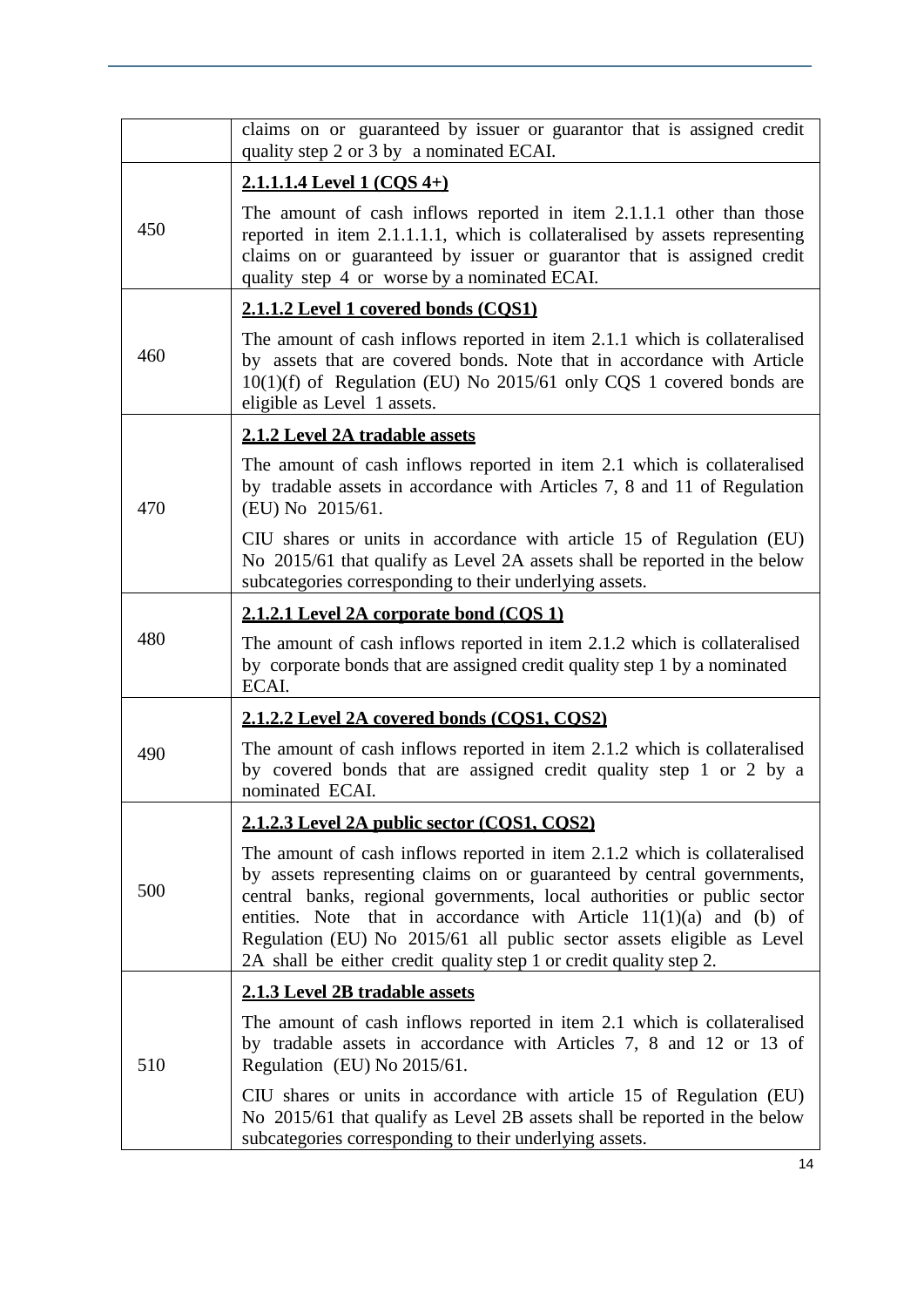|     | claims on or guaranteed by issuer or guarantor that is assigned credit<br>quality step 2 or 3 by a nominated ECAI.                                                                                                                                                                                                                                                                                                                                    |
|-----|-------------------------------------------------------------------------------------------------------------------------------------------------------------------------------------------------------------------------------------------------------------------------------------------------------------------------------------------------------------------------------------------------------------------------------------------------------|
|     | 2.1.1.1.4 Level 1 (COS 4+)                                                                                                                                                                                                                                                                                                                                                                                                                            |
| 450 | The amount of cash inflows reported in item 2.1.1.1 other than those<br>reported in item 2.1.1.1.1, which is collateralised by assets representing<br>claims on or guaranteed by issuer or guarantor that is assigned credit<br>quality step 4 or worse by a nominated ECAI.                                                                                                                                                                          |
|     | 2.1.1.2 Level 1 covered bonds (COS1)                                                                                                                                                                                                                                                                                                                                                                                                                  |
| 460 | The amount of cash inflows reported in item 2.1.1 which is collateralised<br>by assets that are covered bonds. Note that in accordance with Article<br>$10(1)(f)$ of Regulation (EU) No 2015/61 only CQS 1 covered bonds are<br>eligible as Level 1 assets.                                                                                                                                                                                           |
|     | 2.1.2 Level 2A tradable assets                                                                                                                                                                                                                                                                                                                                                                                                                        |
| 470 | The amount of cash inflows reported in item 2.1 which is collateralised<br>by tradable assets in accordance with Articles 7, 8 and 11 of Regulation<br>(EU) No 2015/61.                                                                                                                                                                                                                                                                               |
|     | CIU shares or units in accordance with article 15 of Regulation (EU)<br>No 2015/61 that qualify as Level 2A assets shall be reported in the below<br>subcategories corresponding to their underlying assets.                                                                                                                                                                                                                                          |
|     | <u>2.1.2.1 Level 2A corporate bond (COS 1)</u>                                                                                                                                                                                                                                                                                                                                                                                                        |
| 480 | The amount of cash inflows reported in item 2.1.2 which is collateralised<br>by corporate bonds that are assigned credit quality step 1 by a nominated<br>ECAI.                                                                                                                                                                                                                                                                                       |
|     | 2.1.2.2 Level 2A covered bonds (COS1, COS2)                                                                                                                                                                                                                                                                                                                                                                                                           |
| 490 | The amount of cash inflows reported in item 2.1.2 which is collateralised<br>by covered bonds that are assigned credit quality step 1 or 2 by a<br>nominated ECAI.                                                                                                                                                                                                                                                                                    |
|     | 2.1.2.3 Level 2A public sector (COS1, COS2)                                                                                                                                                                                                                                                                                                                                                                                                           |
| 500 | The amount of cash inflows reported in item 2.1.2 which is collateralised<br>by assets representing claims on or guaranteed by central governments,<br>central banks, regional governments, local authorities or public sector<br>entities. Note that in accordance with Article $11(1)(a)$ and (b) of<br>Regulation (EU) No 2015/61 all public sector assets eligible as Level<br>2A shall be either credit quality step 1 or credit quality step 2. |
|     | 2.1.3 Level 2B tradable assets                                                                                                                                                                                                                                                                                                                                                                                                                        |
| 510 | The amount of cash inflows reported in item 2.1 which is collateralised<br>by tradable assets in accordance with Articles 7, 8 and 12 or 13 of<br>Regulation (EU) No 2015/61.                                                                                                                                                                                                                                                                         |
|     | CIU shares or units in accordance with article 15 of Regulation (EU)<br>No 2015/61 that qualify as Level 2B assets shall be reported in the below<br>subcategories corresponding to their underlying assets.                                                                                                                                                                                                                                          |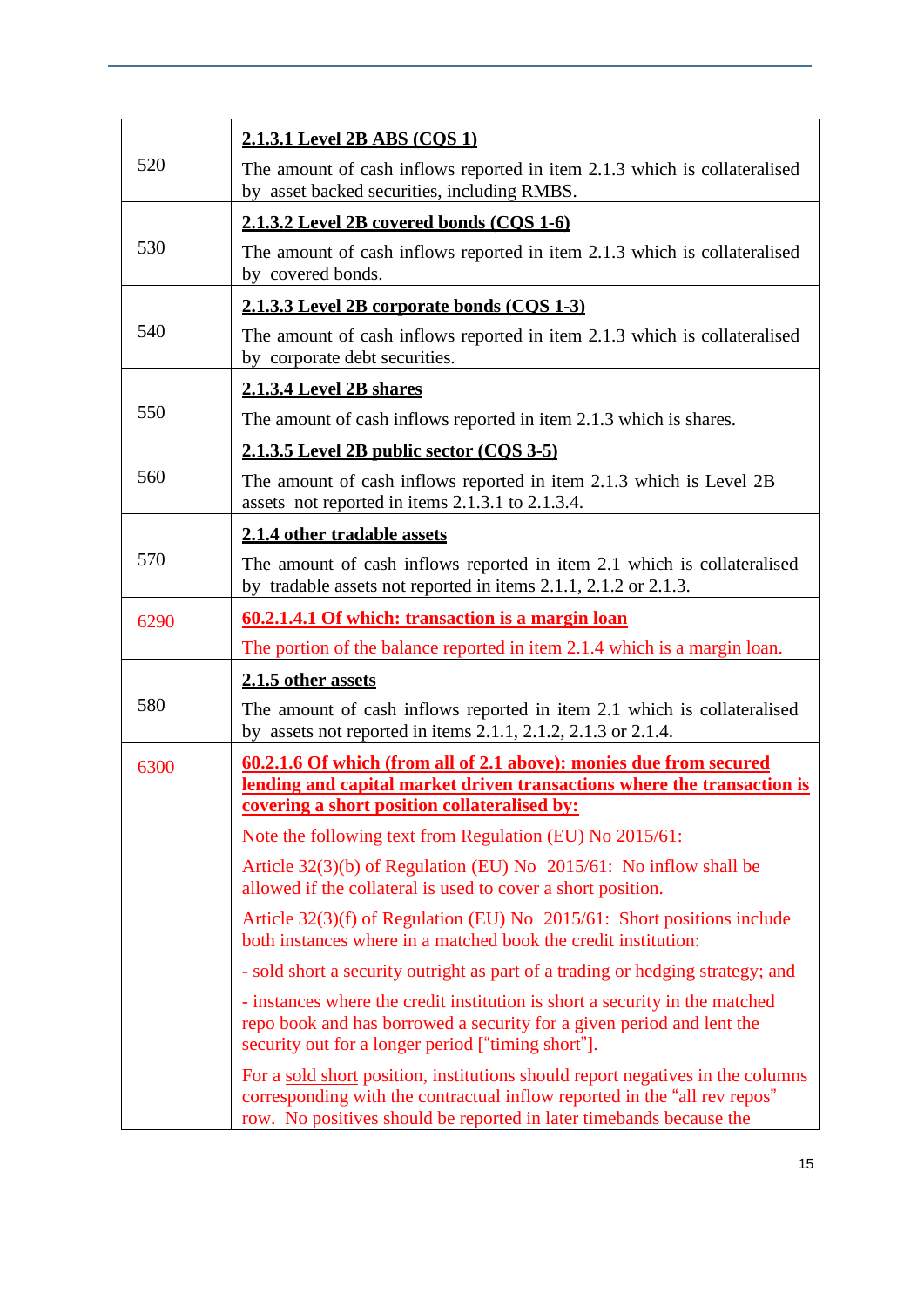|      | 2.1.3.1 Level 2B ABS (COS 1)                                                                                                                                                                                                       |
|------|------------------------------------------------------------------------------------------------------------------------------------------------------------------------------------------------------------------------------------|
| 520  | The amount of cash inflows reported in item 2.1.3 which is collateralised<br>by asset backed securities, including RMBS.                                                                                                           |
|      | 2.1.3.2 Level 2B covered bonds (COS 1-6)                                                                                                                                                                                           |
| 530  | The amount of cash inflows reported in item 2.1.3 which is collateralised<br>by covered bonds.                                                                                                                                     |
|      | 2.1.3.3 Level 2B corporate bonds (COS 1-3)                                                                                                                                                                                         |
| 540  | The amount of cash inflows reported in item 2.1.3 which is collateralised<br>by corporate debt securities.                                                                                                                         |
|      | <b>2.1.3.4 Level 2B shares</b>                                                                                                                                                                                                     |
| 550  | The amount of cash inflows reported in item 2.1.3 which is shares.                                                                                                                                                                 |
|      | 2.1.3.5 Level 2B public sector (COS 3-5)                                                                                                                                                                                           |
| 560  | The amount of cash inflows reported in item 2.1.3 which is Level 2B<br>assets not reported in items 2.1.3.1 to 2.1.3.4.                                                                                                            |
|      | 2.1.4 other tradable assets                                                                                                                                                                                                        |
| 570  | The amount of cash inflows reported in item 2.1 which is collateralised<br>by tradable assets not reported in items 2.1.1, 2.1.2 or 2.1.3.                                                                                         |
| 6290 | 60.2.1.4.1 Of which: transaction is a margin loan                                                                                                                                                                                  |
|      | The portion of the balance reported in item 2.1.4 which is a margin loan.                                                                                                                                                          |
|      | 2.1.5 other assets                                                                                                                                                                                                                 |
| 580  | The amount of cash inflows reported in item 2.1 which is collateralised<br>by assets not reported in items $2.1.1$ , $2.1.2$ , $2.1.3$ or $2.1.4$ .                                                                                |
| 6300 | <u>60.2.1.6 Of which (from all of 2.1 above): monies due from secured</u><br>lending and capital market driven transactions where the transaction is                                                                               |
|      | covering a short position collateralised by:                                                                                                                                                                                       |
|      | Note the following text from Regulation (EU) No 2015/61:                                                                                                                                                                           |
|      | Article $32(3)(b)$ of Regulation (EU) No $2015/61$ : No inflow shall be<br>allowed if the collateral is used to cover a short position.                                                                                            |
|      | Article 32(3)(f) of Regulation (EU) No 2015/61: Short positions include<br>both instances where in a matched book the credit institution:                                                                                          |
|      | - sold short a security outright as part of a trading or hedging strategy; and                                                                                                                                                     |
|      | - instances where the credit institution is short a security in the matched<br>repo book and has borrowed a security for a given period and lent the<br>security out for a longer period ["timing short"].                         |
|      | For a sold short position, institutions should report negatives in the columns<br>corresponding with the contractual inflow reported in the "all rev repos"<br>row. No positives should be reported in later timebands because the |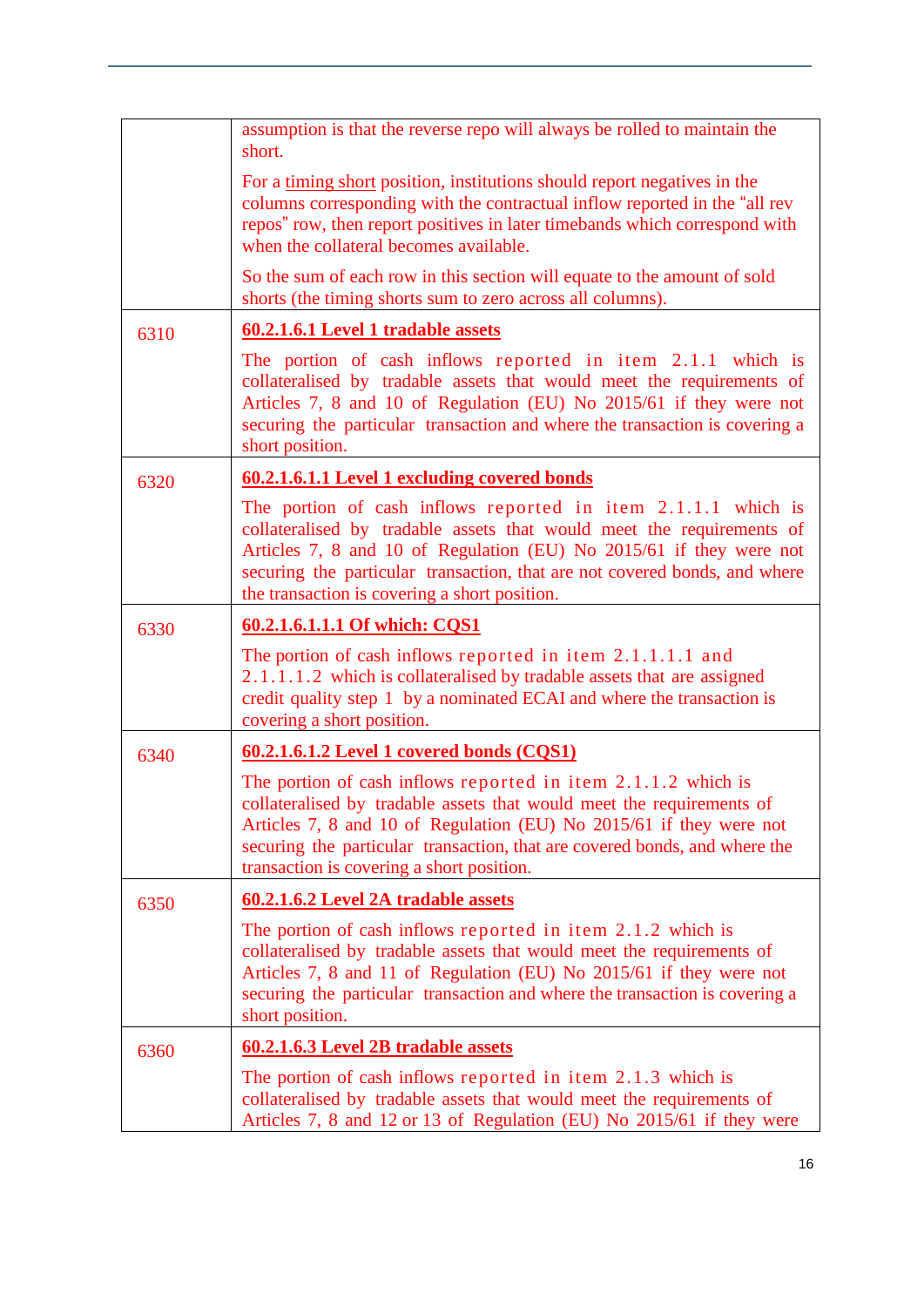|      | assumption is that the reverse repo will always be rolled to maintain the<br>short.                                                                                                                                                                                                                                                          |
|------|----------------------------------------------------------------------------------------------------------------------------------------------------------------------------------------------------------------------------------------------------------------------------------------------------------------------------------------------|
|      | For a timing short position, institutions should report negatives in the<br>columns corresponding with the contractual inflow reported in the "all rev<br>repos" row, then report positives in later timebands which correspond with<br>when the collateral becomes available.                                                               |
|      | So the sum of each row in this section will equate to the amount of sold<br>shorts (the timing shorts sum to zero across all columns).                                                                                                                                                                                                       |
| 6310 | 60.2.1.6.1 Level 1 tradable assets                                                                                                                                                                                                                                                                                                           |
|      | The portion of cash inflows reported in item 2.1.1 which is<br>collateralised by tradable assets that would meet the requirements of<br>Articles 7, 8 and 10 of Regulation (EU) No 2015/61 if they were not<br>securing the particular transaction and where the transaction is covering a<br>short position.                                |
| 6320 | 60.2.1.6.1.1 Level 1 excluding covered bonds                                                                                                                                                                                                                                                                                                 |
|      | The portion of cash inflows reported in item 2.1.1.1 which is<br>collateralised by tradable assets that would meet the requirements of<br>Articles 7, 8 and 10 of Regulation (EU) No 2015/61 if they were not<br>securing the particular transaction, that are not covered bonds, and where<br>the transaction is covering a short position. |
| 6330 | 60.2.1.6.1.1.1 Of which: CQS1                                                                                                                                                                                                                                                                                                                |
|      | The portion of cash inflows reported in item 2.1.1.1.1 and<br>2.1.1.1.2 which is collateralised by tradable assets that are assigned<br>credit quality step 1 by a nominated ECAI and where the transaction is<br>covering a short position.                                                                                                 |
| 6340 | 60.2.1.6.1.2 Level 1 covered bonds (CQS1)                                                                                                                                                                                                                                                                                                    |
|      | The portion of cash inflows reported in item $2.1.1.2$ which is<br>collateralised by tradable assets that would meet the requirements of<br>Articles 7, 8 and 10 of Regulation (EU) No 2015/61 if they were not<br>securing the particular transaction, that are covered bonds, and where the<br>transaction is covering a short position.   |
| 6350 | 60.2.1.6.2 Level 2A tradable assets                                                                                                                                                                                                                                                                                                          |
|      | The portion of cash inflows reported in item 2.1.2 which is<br>collateralised by tradable assets that would meet the requirements of<br>Articles 7, 8 and 11 of Regulation (EU) No 2015/61 if they were not<br>securing the particular transaction and where the transaction is covering a<br>short position.                                |
| 6360 | 60.2.1.6.3 Level 2B tradable assets                                                                                                                                                                                                                                                                                                          |
|      | The portion of cash inflows reported in item 2.1.3 which is<br>collateralised by tradable assets that would meet the requirements of<br>Articles 7, 8 and 12 or 13 of Regulation (EU) No 2015/61 if they were                                                                                                                                |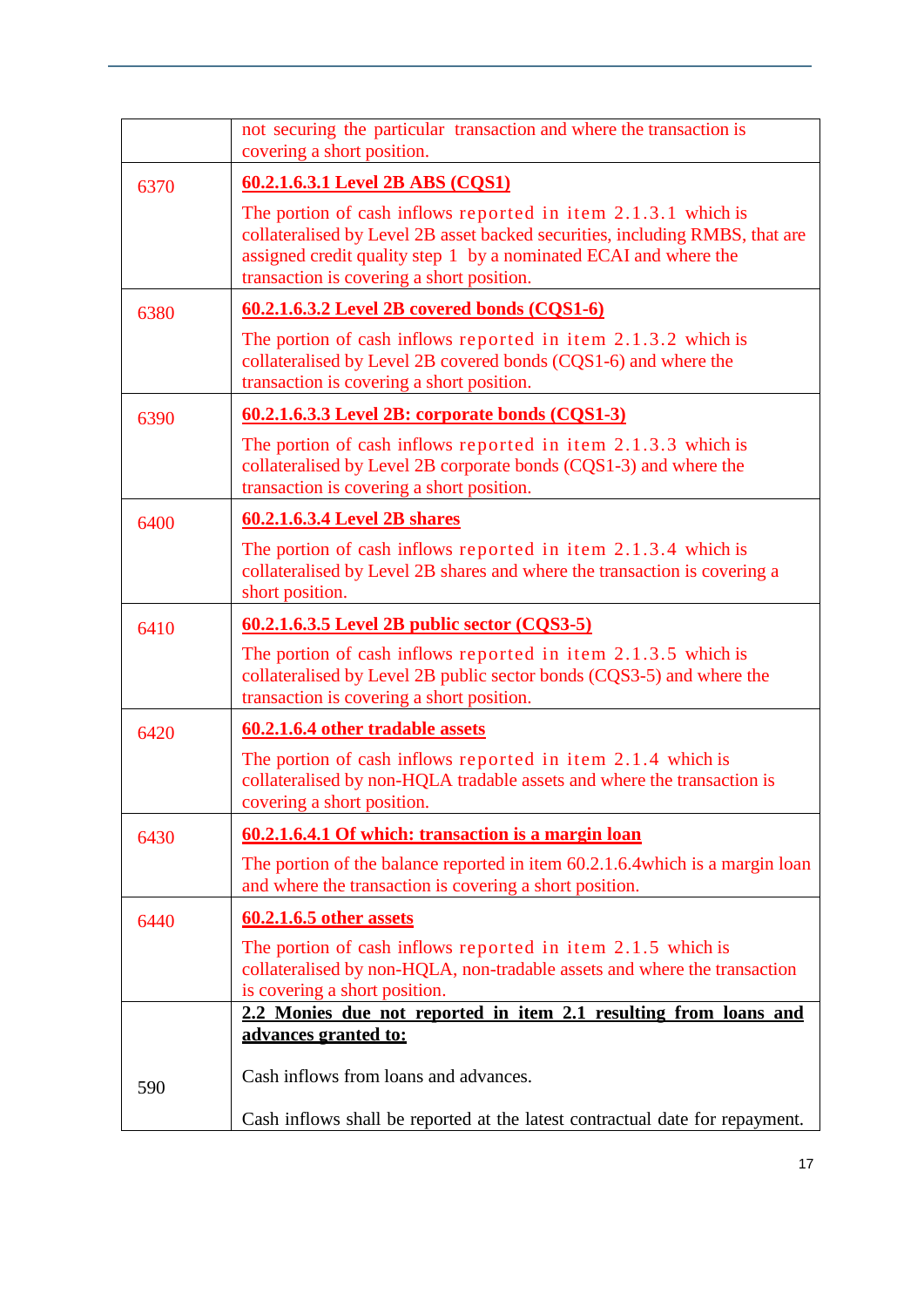|      | not securing the particular transaction and where the transaction is<br>covering a short position.                                                                                                                                                               |
|------|------------------------------------------------------------------------------------------------------------------------------------------------------------------------------------------------------------------------------------------------------------------|
| 6370 | 60.2.1.6.3.1 Level 2B ABS (CQS1)                                                                                                                                                                                                                                 |
|      | The portion of cash inflows reported in item $2.1.3.1$ which is<br>collateralised by Level 2B asset backed securities, including RMBS, that are<br>assigned credit quality step 1 by a nominated ECAI and where the<br>transaction is covering a short position. |
| 6380 | $60.2.1.6.3.2$ Level 2B covered bonds (CQS1-6)                                                                                                                                                                                                                   |
|      | The portion of cash inflows reported in item $2.1.3.2$ which is<br>collateralised by Level 2B covered bonds (CQS1-6) and where the<br>transaction is covering a short position.                                                                                  |
| 6390 | 60.2.1.6.3.3 Level 2B: corporate bonds (CQS1-3)                                                                                                                                                                                                                  |
|      | The portion of cash inflows reported in item $2.1.3.3$ which is<br>collateralised by Level 2B corporate bonds (CQS1-3) and where the<br>transaction is covering a short position.                                                                                |
| 6400 | 60.2.1.6.3.4 Level 2B shares                                                                                                                                                                                                                                     |
|      | The portion of cash inflows reported in item $2.1.3.4$ which is<br>collateralised by Level 2B shares and where the transaction is covering a<br>short position.                                                                                                  |
| 6410 | <u>60.2.1.6.3.5 Level 2B public sector (CQS3-5)</u>                                                                                                                                                                                                              |
|      | The portion of cash inflows reported in item $2.1.3.5$ which is<br>collateralised by Level 2B public sector bonds (CQS3-5) and where the<br>transaction is covering a short position.                                                                            |
| 6420 | 60.2.1.6.4 other tradable assets                                                                                                                                                                                                                                 |
|      | The portion of cash inflows reported in item 2.1.4 which is<br>collateralised by non-HQLA tradable assets and where the transaction is<br>covering a short position.                                                                                             |
| 6430 | 60.2.1.6.4.1 Of which: transaction is a margin loan                                                                                                                                                                                                              |
|      | The portion of the balance reported in item 60.2.1.6.4 which is a margin loan<br>and where the transaction is covering a short position.                                                                                                                         |
| 6440 | 60.2.1.6.5 other assets                                                                                                                                                                                                                                          |
|      | The portion of cash inflows reported in item 2.1.5 which is<br>collateralised by non-HQLA, non-tradable assets and where the transaction<br>is covering a short position.                                                                                        |
|      | 2.2 Monies due not reported in item 2.1 resulting from loans and                                                                                                                                                                                                 |
|      | advances granted to:                                                                                                                                                                                                                                             |
| 590  | Cash inflows from loans and advances.                                                                                                                                                                                                                            |
|      | Cash inflows shall be reported at the latest contractual date for repayment.                                                                                                                                                                                     |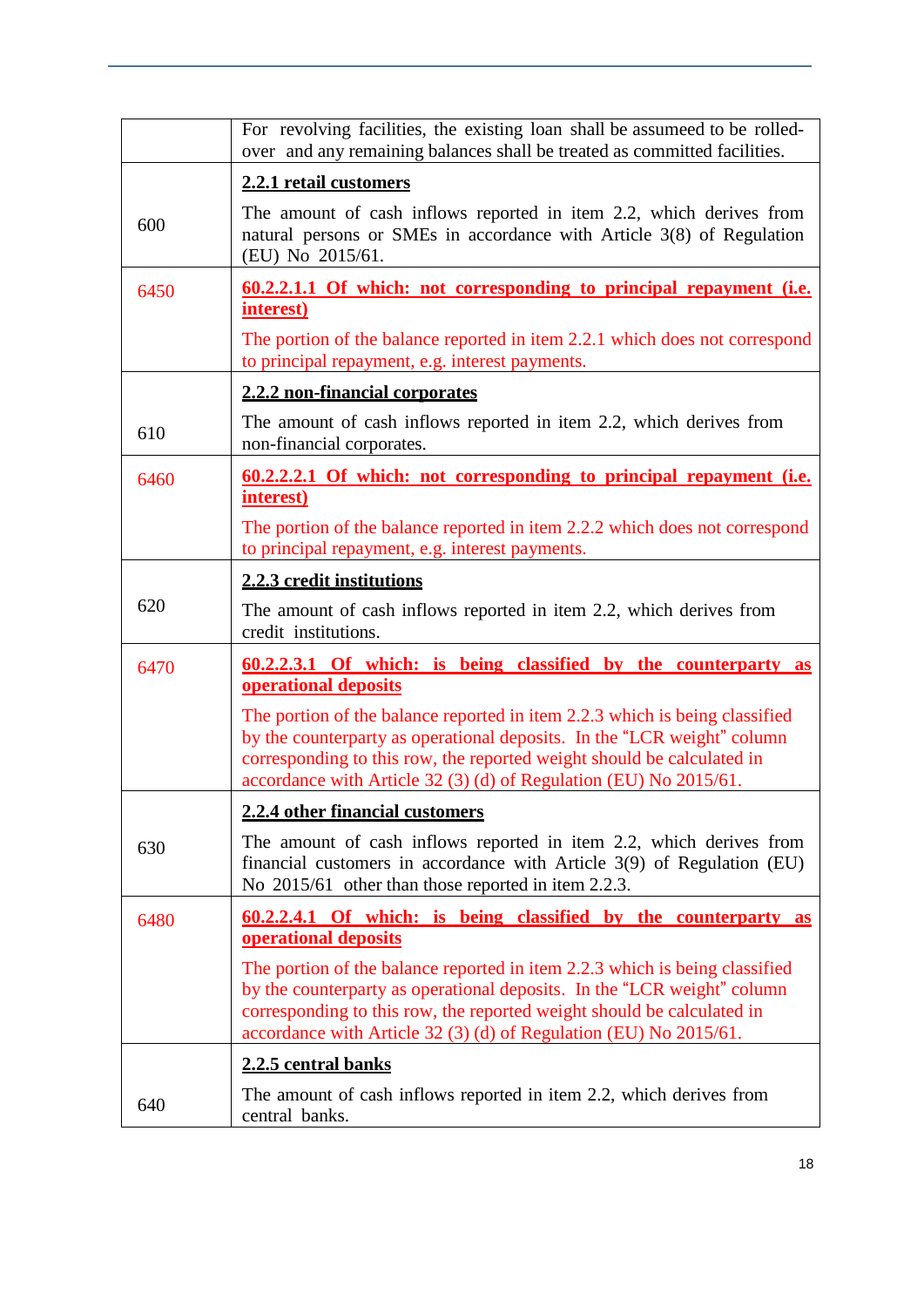|      | For revolving facilities, the existing loan shall be assumeed to be rolled-<br>over and any remaining balances shall be treated as committed facilities.                                                                                                                                              |
|------|-------------------------------------------------------------------------------------------------------------------------------------------------------------------------------------------------------------------------------------------------------------------------------------------------------|
|      | 2.2.1 retail customers                                                                                                                                                                                                                                                                                |
| 600  | The amount of cash inflows reported in item 2.2, which derives from<br>natural persons or SMEs in accordance with Article 3(8) of Regulation<br>(EU) No 2015/61.                                                                                                                                      |
| 6450 | <u>60.2.2.1.1 Of which: not corresponding to principal repayment (i.e.</u><br>interest)                                                                                                                                                                                                               |
|      | The portion of the balance reported in item 2.2.1 which does not correspond<br>to principal repayment, e.g. interest payments.                                                                                                                                                                        |
|      | 2.2.2 non-financial corporates                                                                                                                                                                                                                                                                        |
| 610  | The amount of cash inflows reported in item 2.2, which derives from<br>non-financial corporates.                                                                                                                                                                                                      |
| 6460 | <u>60.2.2.2.1 Of which: not corresponding to principal repayment (i.e.</u><br>interest)                                                                                                                                                                                                               |
|      | The portion of the balance reported in item 2.2.2 which does not correspond<br>to principal repayment, e.g. interest payments.                                                                                                                                                                        |
|      | 2.2.3 credit institutions                                                                                                                                                                                                                                                                             |
| 620  | The amount of cash inflows reported in item 2.2, which derives from<br>credit institutions.                                                                                                                                                                                                           |
| 6470 | <u>60.2.2.3.1 Of which: is being classified by the counterparty as</u><br>operational deposits                                                                                                                                                                                                        |
|      | The portion of the balance reported in item 2.2.3 which is being classified<br>by the counterparty as operational deposits. In the "LCR weight" column<br>corresponding to this row, the reported weight should be calculated in<br>accordance with Article 32 (3) (d) of Regulation (EU) No 2015/61. |
|      | 2.2.4 other financial customers                                                                                                                                                                                                                                                                       |
| 630  | The amount of cash inflows reported in item 2.2, which derives from<br>financial customers in accordance with Article $3(9)$ of Regulation (EU)<br>No 2015/61 other than those reported in item 2.2.3.                                                                                                |
| 6480 | <u>60.2.2.4.1 Of which: is being classified by the counterparty as</u><br>operational deposits                                                                                                                                                                                                        |
|      | The portion of the balance reported in item 2.2.3 which is being classified<br>by the counterparty as operational deposits. In the "LCR weight" column<br>corresponding to this row, the reported weight should be calculated in<br>accordance with Article 32 (3) (d) of Regulation (EU) No 2015/61. |
|      | 2.2.5 central banks                                                                                                                                                                                                                                                                                   |
| 640  | The amount of cash inflows reported in item 2.2, which derives from<br>central banks.                                                                                                                                                                                                                 |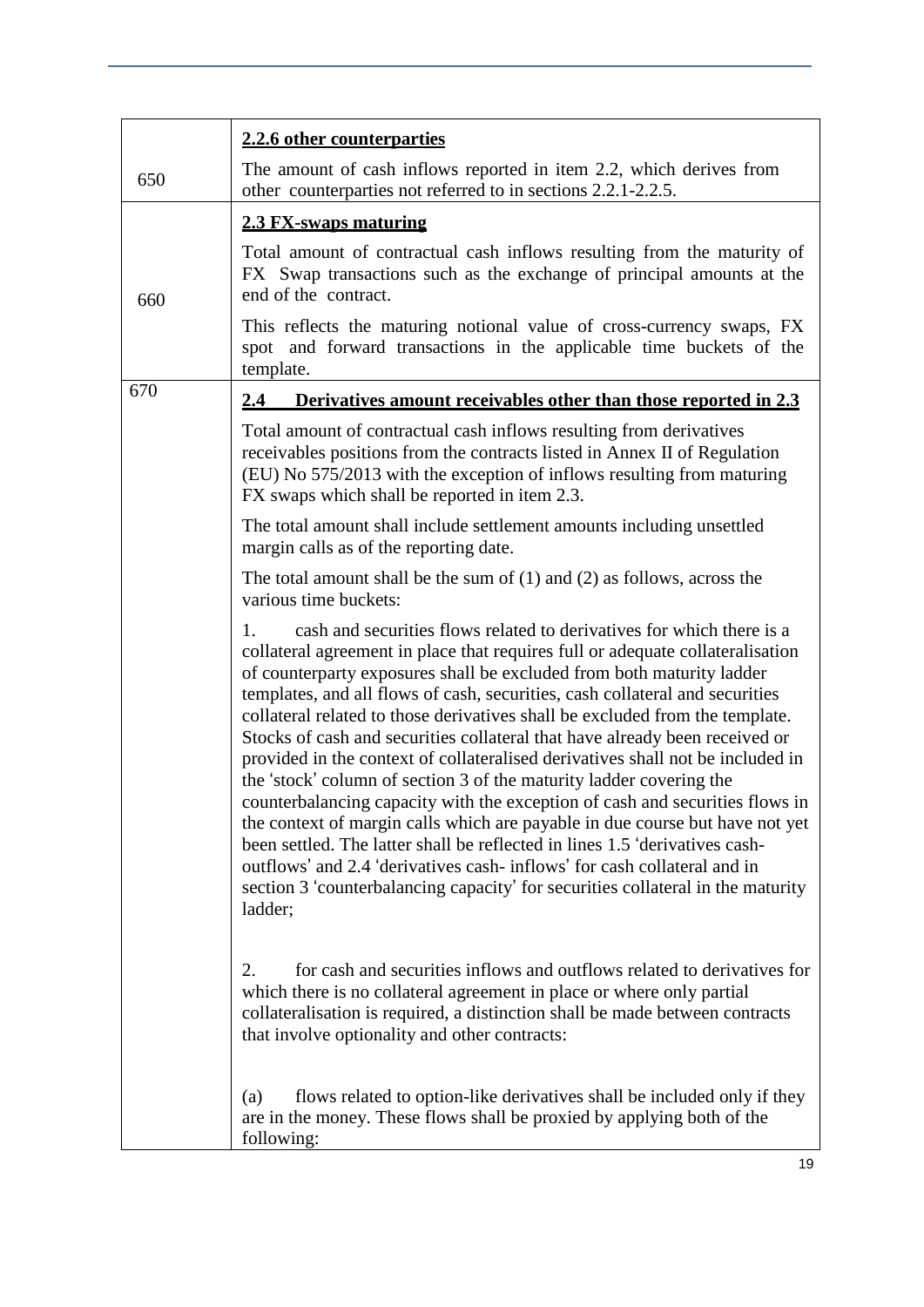|     | 2.2.6 other counterparties                                                                                                                                                                                                                                                                                                                                                                                                                                                                                                                                                                                                                                                                                                                                                                                                                                                                                                                                                                                                                                             |
|-----|------------------------------------------------------------------------------------------------------------------------------------------------------------------------------------------------------------------------------------------------------------------------------------------------------------------------------------------------------------------------------------------------------------------------------------------------------------------------------------------------------------------------------------------------------------------------------------------------------------------------------------------------------------------------------------------------------------------------------------------------------------------------------------------------------------------------------------------------------------------------------------------------------------------------------------------------------------------------------------------------------------------------------------------------------------------------|
| 650 | The amount of cash inflows reported in item 2.2, which derives from<br>other counterparties not referred to in sections 2.2.1-2.2.5.                                                                                                                                                                                                                                                                                                                                                                                                                                                                                                                                                                                                                                                                                                                                                                                                                                                                                                                                   |
|     | 2.3 FX-swaps maturing                                                                                                                                                                                                                                                                                                                                                                                                                                                                                                                                                                                                                                                                                                                                                                                                                                                                                                                                                                                                                                                  |
| 660 | Total amount of contractual cash inflows resulting from the maturity of<br>FX Swap transactions such as the exchange of principal amounts at the<br>end of the contract.                                                                                                                                                                                                                                                                                                                                                                                                                                                                                                                                                                                                                                                                                                                                                                                                                                                                                               |
|     | This reflects the maturing notional value of cross-currency swaps, FX<br>spot and forward transactions in the applicable time buckets of the<br>template.                                                                                                                                                                                                                                                                                                                                                                                                                                                                                                                                                                                                                                                                                                                                                                                                                                                                                                              |
| 670 | Derivatives amount receivables other than those reported in 2.3<br><u>2.4</u>                                                                                                                                                                                                                                                                                                                                                                                                                                                                                                                                                                                                                                                                                                                                                                                                                                                                                                                                                                                          |
|     | Total amount of contractual cash inflows resulting from derivatives<br>receivables positions from the contracts listed in Annex II of Regulation<br>(EU) No 575/2013 with the exception of inflows resulting from maturing<br>FX swaps which shall be reported in item 2.3.                                                                                                                                                                                                                                                                                                                                                                                                                                                                                                                                                                                                                                                                                                                                                                                            |
|     | The total amount shall include settlement amounts including unsettled<br>margin calls as of the reporting date.                                                                                                                                                                                                                                                                                                                                                                                                                                                                                                                                                                                                                                                                                                                                                                                                                                                                                                                                                        |
|     | The total amount shall be the sum of $(1)$ and $(2)$ as follows, across the<br>various time buckets:                                                                                                                                                                                                                                                                                                                                                                                                                                                                                                                                                                                                                                                                                                                                                                                                                                                                                                                                                                   |
|     | cash and securities flows related to derivatives for which there is a<br>1.<br>collateral agreement in place that requires full or adequate collateralisation<br>of counterparty exposures shall be excluded from both maturity ladder<br>templates, and all flows of cash, securities, cash collateral and securities<br>collateral related to those derivatives shall be excluded from the template.<br>Stocks of cash and securities collateral that have already been received or<br>provided in the context of collateralised derivatives shall not be included in<br>the 'stock' column of section 3 of the maturity ladder covering the<br>counterbalancing capacity with the exception of cash and securities flows in<br>the context of margin calls which are payable in due course but have not yet<br>been settled. The latter shall be reflected in lines 1.5 'derivatives cash-<br>outflows' and 2.4 'derivatives cash-inflows' for cash collateral and in<br>section 3 'counterbalancing capacity' for securities collateral in the maturity<br>ladder; |
|     | 2.<br>for cash and securities inflows and outflows related to derivatives for<br>which there is no collateral agreement in place or where only partial<br>collateralisation is required, a distinction shall be made between contracts<br>that involve optionality and other contracts:                                                                                                                                                                                                                                                                                                                                                                                                                                                                                                                                                                                                                                                                                                                                                                                |
|     | flows related to option-like derivatives shall be included only if they<br>(a)<br>are in the money. These flows shall be proxied by applying both of the<br>following:                                                                                                                                                                                                                                                                                                                                                                                                                                                                                                                                                                                                                                                                                                                                                                                                                                                                                                 |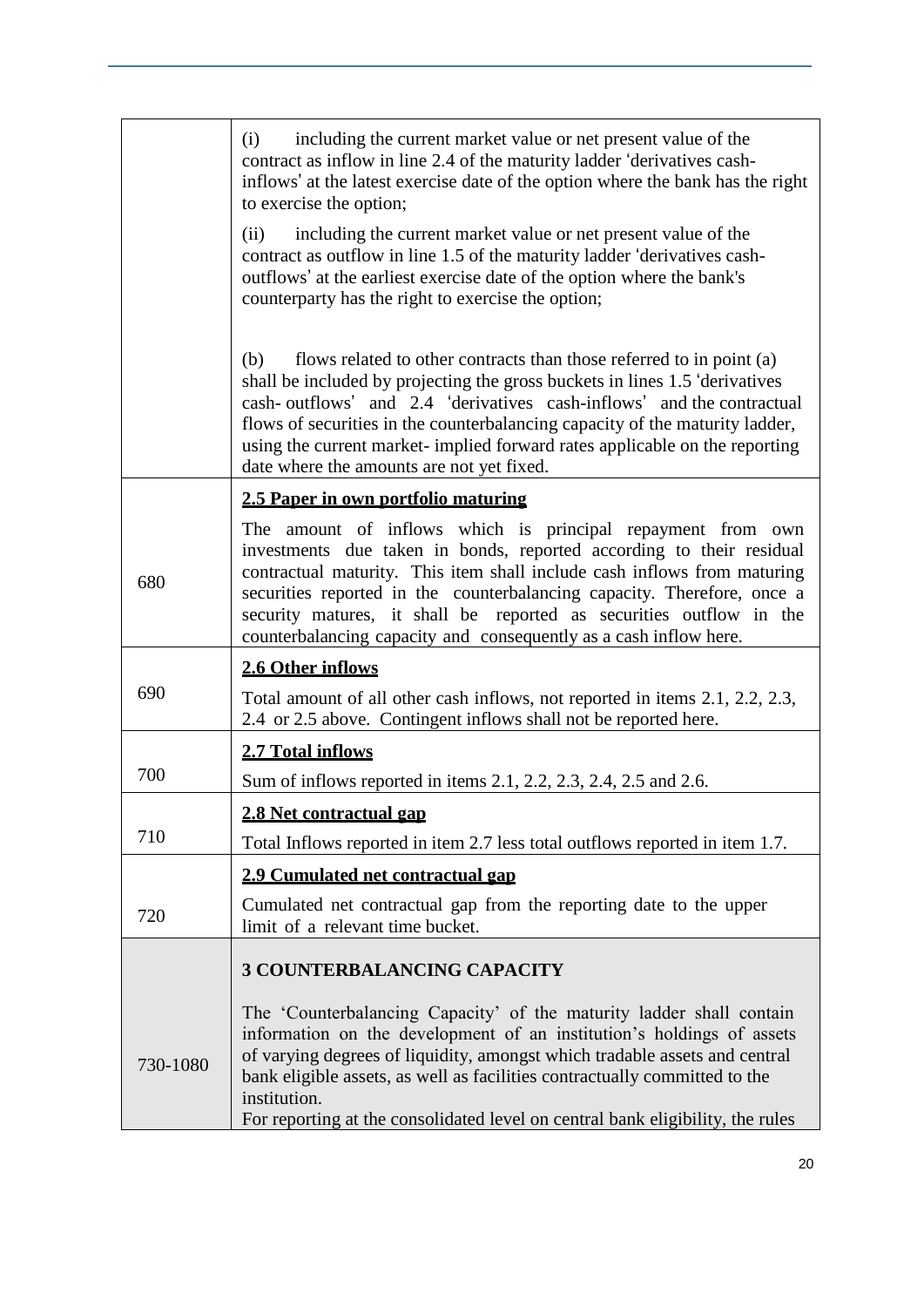|          | including the current market value or net present value of the<br>(i)<br>contract as inflow in line 2.4 of the maturity ladder 'derivatives cash-<br>inflows' at the latest exercise date of the option where the bank has the right<br>to exercise the option;                                                                                                                                                                                |
|----------|------------------------------------------------------------------------------------------------------------------------------------------------------------------------------------------------------------------------------------------------------------------------------------------------------------------------------------------------------------------------------------------------------------------------------------------------|
|          | including the current market value or net present value of the<br>(ii)<br>contract as outflow in line 1.5 of the maturity ladder 'derivatives cash-<br>outflows' at the earliest exercise date of the option where the bank's<br>counterparty has the right to exercise the option;                                                                                                                                                            |
|          | flows related to other contracts than those referred to in point (a)<br>(b)<br>shall be included by projecting the gross buckets in lines 1.5 'derivatives<br>cash-outflows' and 2.4 'derivatives cash-inflows' and the contractual<br>flows of securities in the counterbalancing capacity of the maturity ladder,<br>using the current market-implied forward rates applicable on the reporting<br>date where the amounts are not yet fixed. |
|          | 2.5 Paper in own portfolio maturing                                                                                                                                                                                                                                                                                                                                                                                                            |
| 680      | The amount of inflows which is principal repayment from own<br>investments due taken in bonds, reported according to their residual<br>contractual maturity. This item shall include cash inflows from maturing<br>securities reported in the counterbalancing capacity. Therefore, once a<br>security matures, it shall be reported as securities outflow in the<br>counterbalancing capacity and consequently as a cash inflow here.         |
|          | 2.6 Other inflows                                                                                                                                                                                                                                                                                                                                                                                                                              |
| 690      | Total amount of all other cash inflows, not reported in items 2.1, 2.2, 2.3,<br>2.4 or 2.5 above. Contingent inflows shall not be reported here.                                                                                                                                                                                                                                                                                               |
|          | 2.7 Total inflows                                                                                                                                                                                                                                                                                                                                                                                                                              |
| 700      | Sum of inflows reported in items 2.1, 2.2, 2.3, 2.4, 2.5 and 2.6.                                                                                                                                                                                                                                                                                                                                                                              |
|          | 2.8 Net contractual gap                                                                                                                                                                                                                                                                                                                                                                                                                        |
| 710      | Total Inflows reported in item 2.7 less total outflows reported in item 1.7.                                                                                                                                                                                                                                                                                                                                                                   |
|          | 2.9 Cumulated net contractual gap                                                                                                                                                                                                                                                                                                                                                                                                              |
| 720      | Cumulated net contractual gap from the reporting date to the upper<br>limit of a relevant time bucket.                                                                                                                                                                                                                                                                                                                                         |
|          | <b>3 COUNTERBALANCING CAPACITY</b>                                                                                                                                                                                                                                                                                                                                                                                                             |
| 730-1080 | The 'Counterbalancing Capacity' of the maturity ladder shall contain<br>information on the development of an institution's holdings of assets<br>of varying degrees of liquidity, amongst which tradable assets and central<br>bank eligible assets, as well as facilities contractually committed to the<br>institution.<br>For reporting at the consolidated level on central bank eligibility, the rules                                    |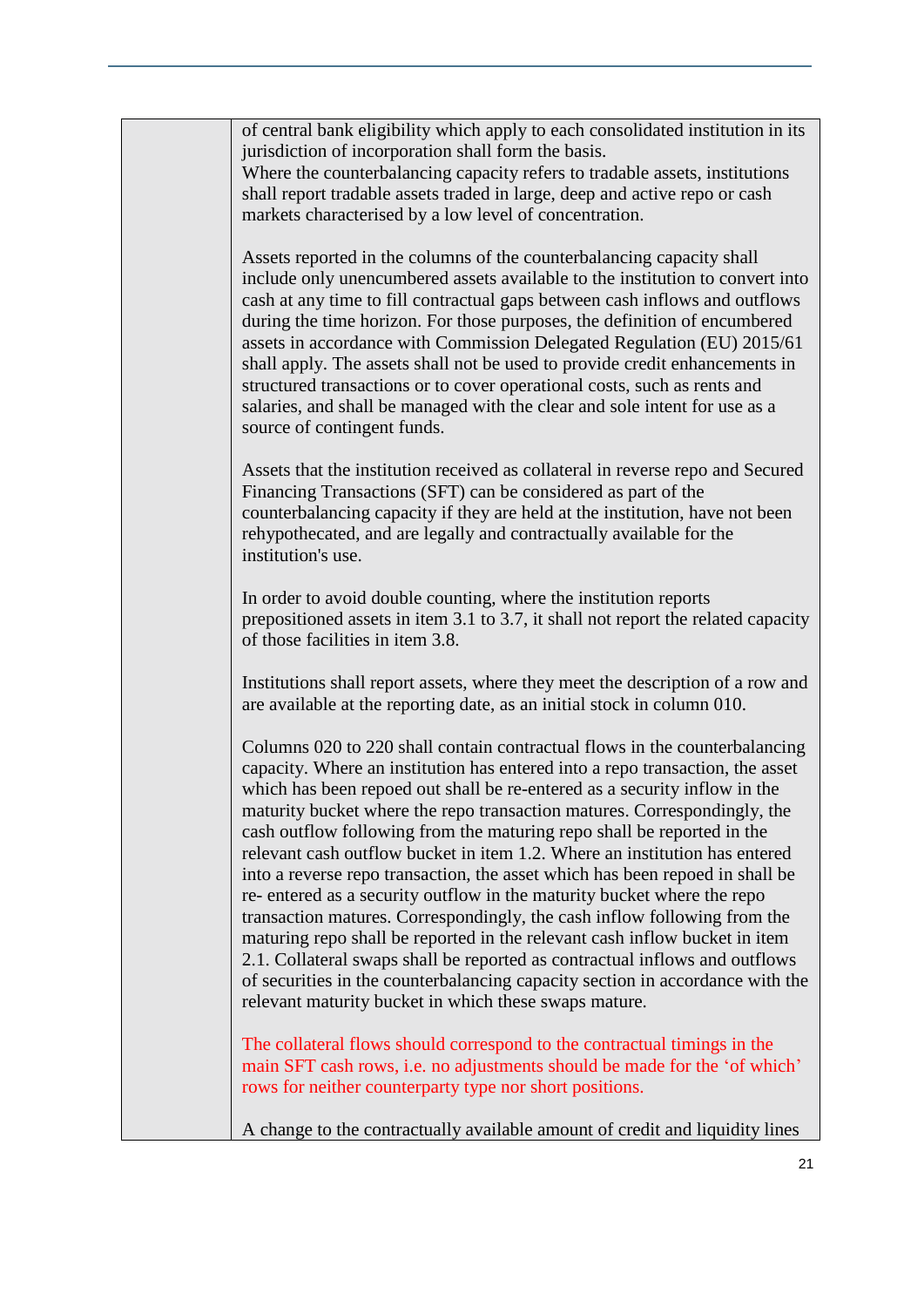| of central bank eligibility which apply to each consolidated institution in its<br>jurisdiction of incorporation shall form the basis.<br>Where the counterbalancing capacity refers to tradable assets, institutions<br>shall report tradable assets traded in large, deep and active repo or cash<br>markets characterised by a low level of concentration.                                                                                                                                                                                                                                                                                                                                                                                                                                                                                                                                                                                                                                                             |
|---------------------------------------------------------------------------------------------------------------------------------------------------------------------------------------------------------------------------------------------------------------------------------------------------------------------------------------------------------------------------------------------------------------------------------------------------------------------------------------------------------------------------------------------------------------------------------------------------------------------------------------------------------------------------------------------------------------------------------------------------------------------------------------------------------------------------------------------------------------------------------------------------------------------------------------------------------------------------------------------------------------------------|
| Assets reported in the columns of the counterbalancing capacity shall<br>include only unencumbered assets available to the institution to convert into<br>cash at any time to fill contractual gaps between cash inflows and outflows<br>during the time horizon. For those purposes, the definition of encumbered<br>assets in accordance with Commission Delegated Regulation (EU) 2015/61<br>shall apply. The assets shall not be used to provide credit enhancements in<br>structured transactions or to cover operational costs, such as rents and<br>salaries, and shall be managed with the clear and sole intent for use as a<br>source of contingent funds.                                                                                                                                                                                                                                                                                                                                                      |
| Assets that the institution received as collateral in reverse repo and Secured<br>Financing Transactions (SFT) can be considered as part of the<br>counterbalancing capacity if they are held at the institution, have not been<br>rehypothecated, and are legally and contractually available for the<br>institution's use.                                                                                                                                                                                                                                                                                                                                                                                                                                                                                                                                                                                                                                                                                              |
| In order to avoid double counting, where the institution reports<br>prepositioned assets in item 3.1 to 3.7, it shall not report the related capacity<br>of those facilities in item 3.8.                                                                                                                                                                                                                                                                                                                                                                                                                                                                                                                                                                                                                                                                                                                                                                                                                                 |
| Institutions shall report assets, where they meet the description of a row and<br>are available at the reporting date, as an initial stock in column 010.                                                                                                                                                                                                                                                                                                                                                                                                                                                                                                                                                                                                                                                                                                                                                                                                                                                                 |
| Columns 020 to 220 shall contain contractual flows in the counterbalancing<br>capacity. Where an institution has entered into a repo transaction, the asset<br>which has been repoed out shall be re-entered as a security inflow in the<br>maturity bucket where the repo transaction matures. Correspondingly, the<br>cash outflow following from the maturing repo shall be reported in the<br>relevant cash outflow bucket in item 1.2. Where an institution has entered<br>into a reverse repo transaction, the asset which has been repoed in shall be<br>re-entered as a security outflow in the maturity bucket where the repo<br>transaction matures. Correspondingly, the cash inflow following from the<br>maturing repo shall be reported in the relevant cash inflow bucket in item<br>2.1. Collateral swaps shall be reported as contractual inflows and outflows<br>of securities in the counterbalancing capacity section in accordance with the<br>relevant maturity bucket in which these swaps mature. |
| The collateral flows should correspond to the contractual timings in the<br>main SFT cash rows, i.e. no adjustments should be made for the 'of which'<br>rows for neither counterparty type nor short positions.                                                                                                                                                                                                                                                                                                                                                                                                                                                                                                                                                                                                                                                                                                                                                                                                          |
| A change to the contractually available amount of credit and liquidity lines                                                                                                                                                                                                                                                                                                                                                                                                                                                                                                                                                                                                                                                                                                                                                                                                                                                                                                                                              |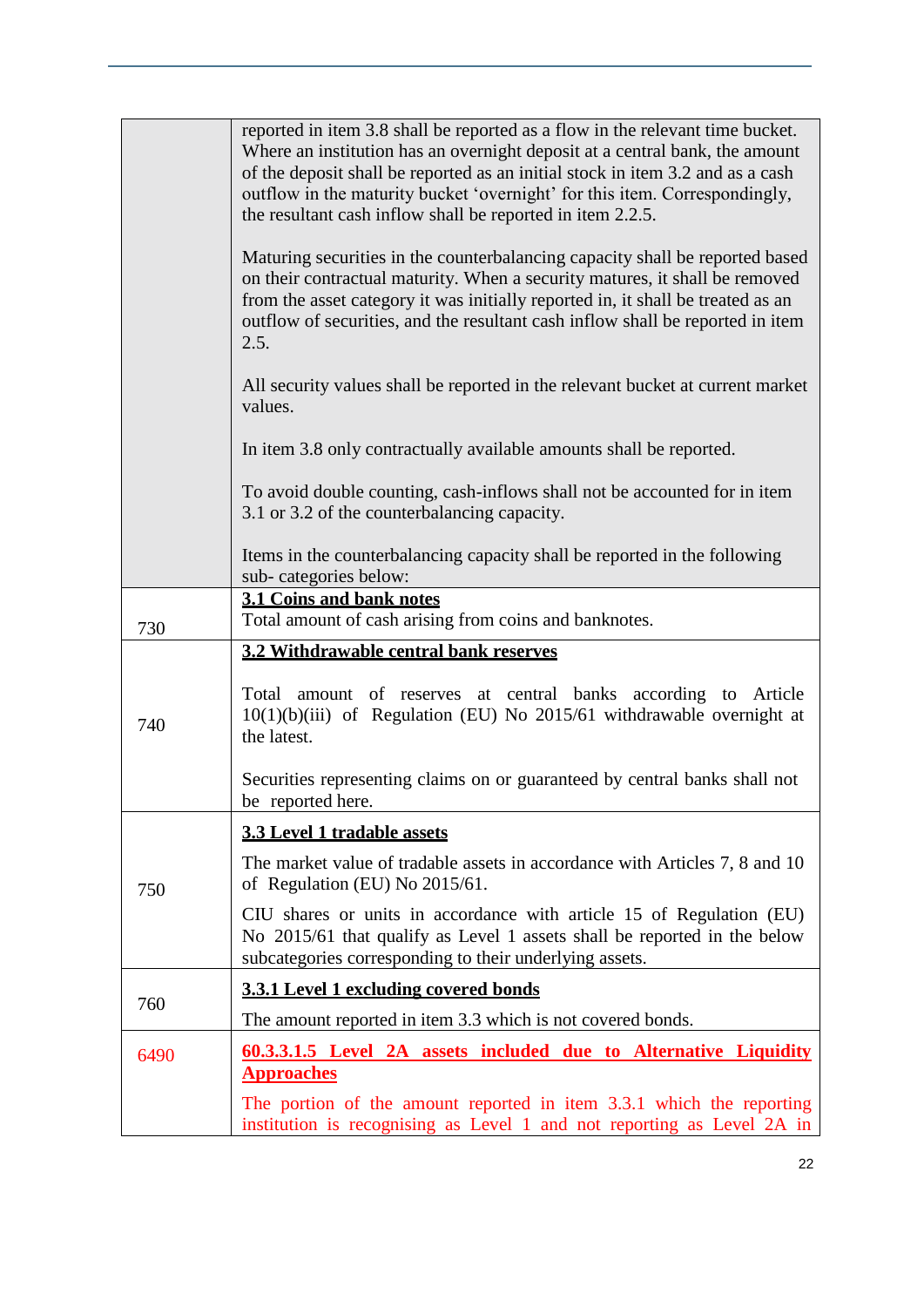|      | reported in item 3.8 shall be reported as a flow in the relevant time bucket.<br>Where an institution has an overnight deposit at a central bank, the amount<br>of the deposit shall be reported as an initial stock in item 3.2 and as a cash<br>outflow in the maturity bucket 'overnight' for this item. Correspondingly,<br>the resultant cash inflow shall be reported in item 2.2.5. |
|------|--------------------------------------------------------------------------------------------------------------------------------------------------------------------------------------------------------------------------------------------------------------------------------------------------------------------------------------------------------------------------------------------|
|      | Maturing securities in the counterbalancing capacity shall be reported based<br>on their contractual maturity. When a security matures, it shall be removed<br>from the asset category it was initially reported in, it shall be treated as an<br>outflow of securities, and the resultant cash inflow shall be reported in item<br>2.5.                                                   |
|      | All security values shall be reported in the relevant bucket at current market<br>values.                                                                                                                                                                                                                                                                                                  |
|      | In item 3.8 only contractually available amounts shall be reported.                                                                                                                                                                                                                                                                                                                        |
|      | To avoid double counting, cash-inflows shall not be accounted for in item<br>3.1 or 3.2 of the counterbalancing capacity.                                                                                                                                                                                                                                                                  |
|      | Items in the counterbalancing capacity shall be reported in the following<br>sub-categories below:                                                                                                                                                                                                                                                                                         |
| 730  | 3.1 Coins and bank notes<br>Total amount of cash arising from coins and banknotes.                                                                                                                                                                                                                                                                                                         |
|      | 3.2 Withdrawable central bank reserves                                                                                                                                                                                                                                                                                                                                                     |
| 740  | amount of reserves at central banks according to Article<br>Total<br>$10(1)(b)(iii)$ of Regulation (EU) No 2015/61 withdrawable overnight at<br>the latest.                                                                                                                                                                                                                                |
|      | Securities representing claims on or guaranteed by central banks shall not<br>be reported here.                                                                                                                                                                                                                                                                                            |
| 750  | 3.3 Level 1 tradable assets                                                                                                                                                                                                                                                                                                                                                                |
|      | The market value of tradable assets in accordance with Articles 7, 8 and 10<br>of Regulation (EU) No 2015/61.                                                                                                                                                                                                                                                                              |
|      | CIU shares or units in accordance with article 15 of Regulation (EU)<br>No 2015/61 that qualify as Level 1 assets shall be reported in the below<br>subcategories corresponding to their underlying assets.                                                                                                                                                                                |
|      | 3.3.1 Level 1 excluding covered bonds                                                                                                                                                                                                                                                                                                                                                      |
| 760  | The amount reported in item 3.3 which is not covered bonds.                                                                                                                                                                                                                                                                                                                                |
| 6490 | <u><b>60.3.3.1.5</b> Level 2A assets included due to Alternative Liquidity</u><br><b>Approaches</b>                                                                                                                                                                                                                                                                                        |
|      | The portion of the amount reported in item 3.3.1 which the reporting<br>institution is recognising as Level 1 and not reporting as Level 2A in                                                                                                                                                                                                                                             |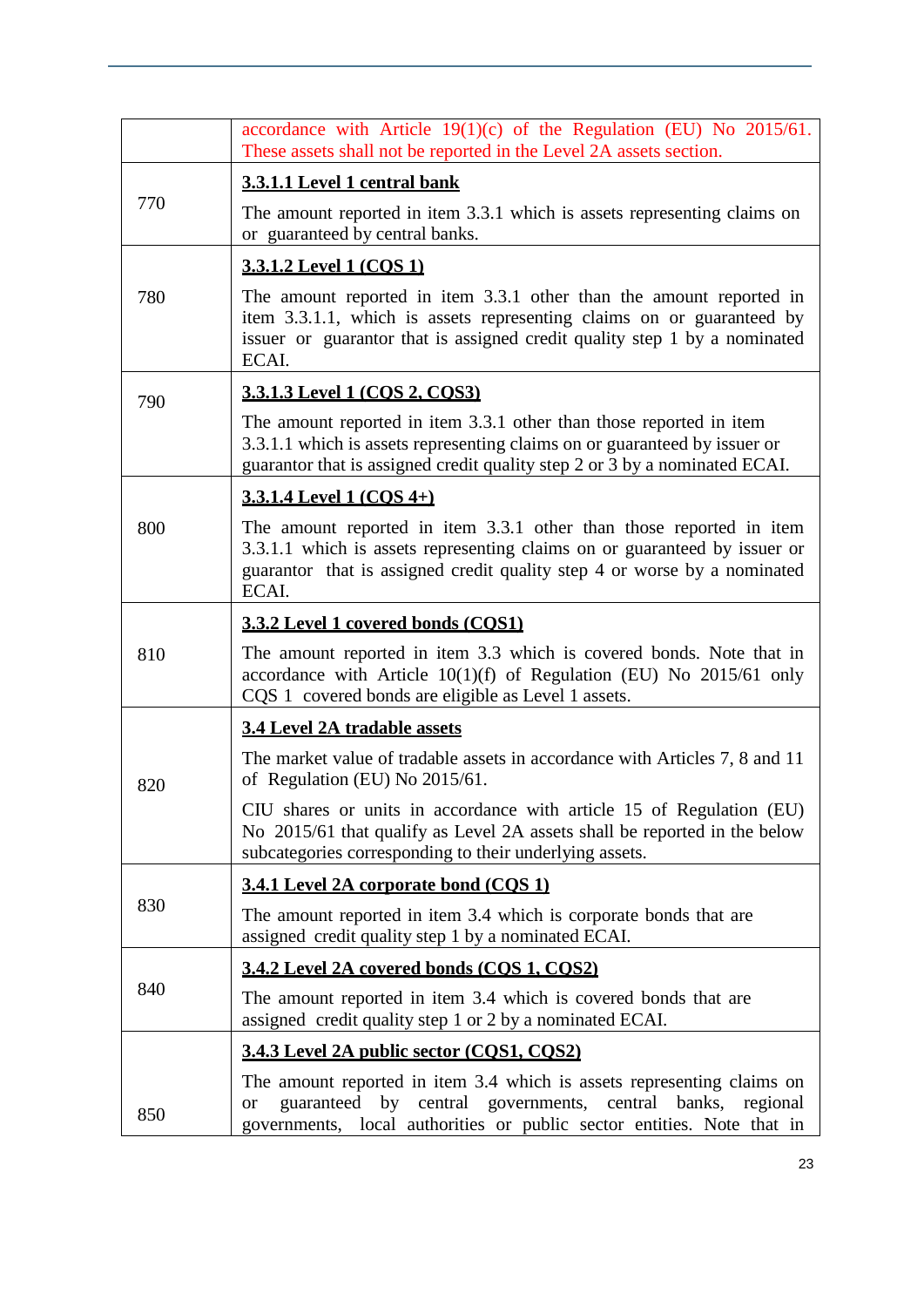|     | accordance with Article $19(1)(c)$ of the Regulation (EU) No 2015/61.<br>These assets shall not be reported in the Level 2A assets section.                                                                                           |
|-----|---------------------------------------------------------------------------------------------------------------------------------------------------------------------------------------------------------------------------------------|
| 770 | 3.3.1.1 Level 1 central bank                                                                                                                                                                                                          |
|     | The amount reported in item 3.3.1 which is assets representing claims on<br>or guaranteed by central banks.                                                                                                                           |
|     | 3.3.1.2 Level 1 (COS 1)                                                                                                                                                                                                               |
| 780 | The amount reported in item 3.3.1 other than the amount reported in<br>item 3.3.1.1, which is assets representing claims on or guaranteed by<br>issuer or guarantor that is assigned credit quality step 1 by a nominated<br>ECAI.    |
| 790 | <u>3.3.1.3 Level 1 (COS 2, COS3)</u>                                                                                                                                                                                                  |
|     | The amount reported in item 3.3.1 other than those reported in item<br>3.3.1.1 which is assets representing claims on or guaranteed by issuer or<br>guarantor that is assigned credit quality step 2 or 3 by a nominated ECAI.        |
|     | <u>3.3.1.4 Level 1 (COS 4+)</u>                                                                                                                                                                                                       |
| 800 | The amount reported in item 3.3.1 other than those reported in item<br>3.3.1.1 which is assets representing claims on or guaranteed by issuer or<br>guarantor that is assigned credit quality step 4 or worse by a nominated<br>ECAI. |
|     | 3.3.2 Level 1 covered bonds (COS1)                                                                                                                                                                                                    |
| 810 | The amount reported in item 3.3 which is covered bonds. Note that in<br>accordance with Article $10(1)(f)$ of Regulation (EU) No 2015/61 only<br>CQS 1 covered bonds are eligible as Level 1 assets.                                  |
|     | <b>3.4 Level 2A tradable assets</b>                                                                                                                                                                                                   |
| 820 | The market value of tradable assets in accordance with Articles 7, 8 and 11<br>of Regulation (EU) No 2015/61.                                                                                                                         |
|     | CIU shares or units in accordance with article 15 of Regulation (EU)<br>No 2015/61 that qualify as Level 2A assets shall be reported in the below<br>subcategories corresponding to their underlying assets.                          |
| 830 | 3.4.1 Level 2A corporate bond (COS 1)                                                                                                                                                                                                 |
|     | The amount reported in item 3.4 which is corporate bonds that are<br>assigned credit quality step 1 by a nominated ECAI.                                                                                                              |
| 840 | 3.4.2 Level 2A covered bonds (COS 1, COS2)                                                                                                                                                                                            |
|     | The amount reported in item 3.4 which is covered bonds that are<br>assigned credit quality step 1 or 2 by a nominated ECAI.                                                                                                           |
|     | 3.4.3 Level 2A public sector (COS1, COS2)                                                                                                                                                                                             |
| 850 | The amount reported in item 3.4 which is assets representing claims on<br>guaranteed by central governments,<br>central banks, regional<br><b>or</b><br>governments, local authorities or public sector entities. Note that in        |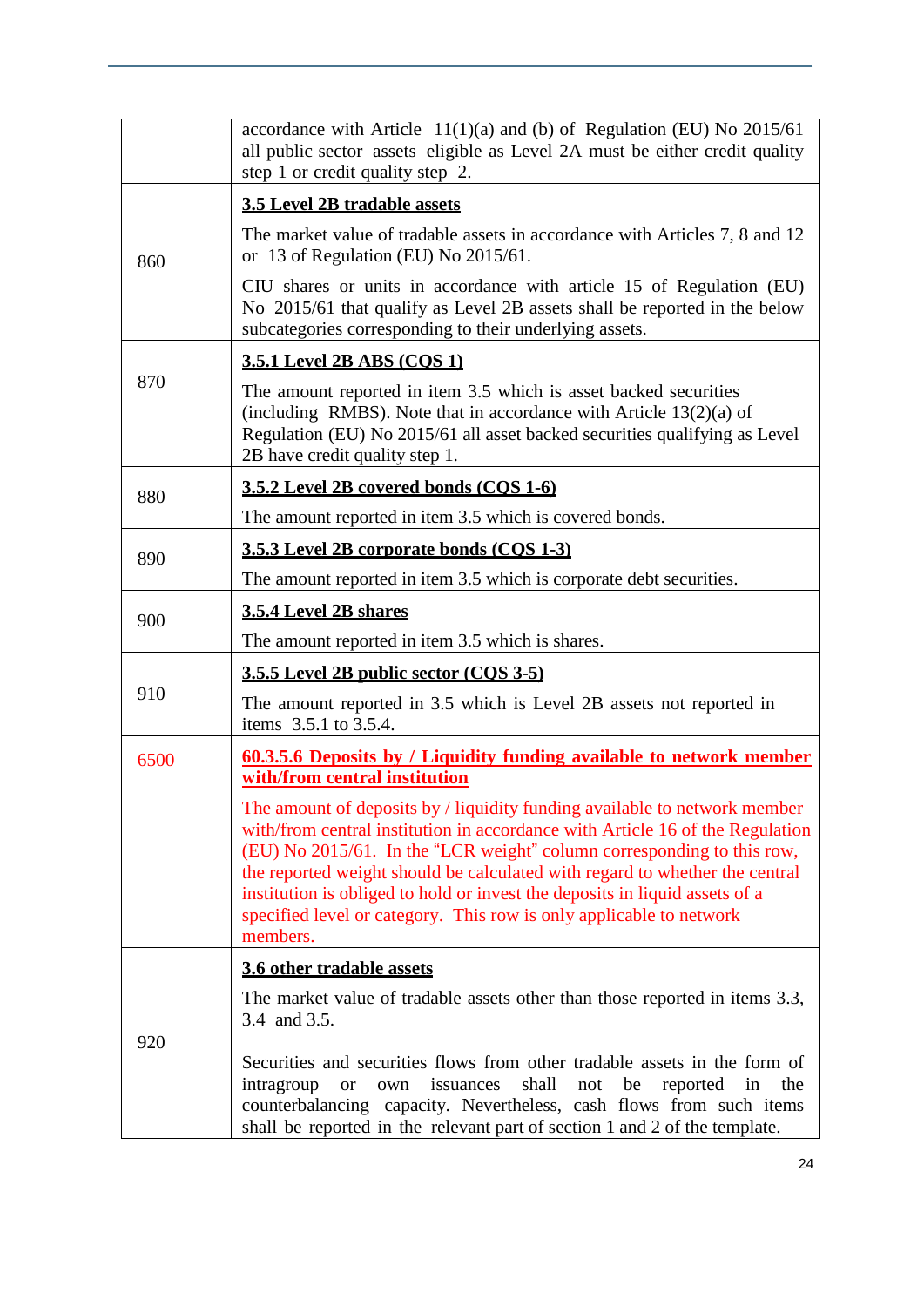|      | accordance with Article $11(1)(a)$ and (b) of Regulation (EU) No 2015/61<br>all public sector assets eligible as Level 2A must be either credit quality<br>step 1 or credit quality step 2.                                                                                                                                                                                                                                                                                           |
|------|---------------------------------------------------------------------------------------------------------------------------------------------------------------------------------------------------------------------------------------------------------------------------------------------------------------------------------------------------------------------------------------------------------------------------------------------------------------------------------------|
|      | <b>3.5 Level 2B tradable assets</b>                                                                                                                                                                                                                                                                                                                                                                                                                                                   |
| 860  | The market value of tradable assets in accordance with Articles 7, 8 and 12<br>or 13 of Regulation (EU) No 2015/61.                                                                                                                                                                                                                                                                                                                                                                   |
|      | CIU shares or units in accordance with article 15 of Regulation (EU)<br>No 2015/61 that qualify as Level 2B assets shall be reported in the below<br>subcategories corresponding to their underlying assets.                                                                                                                                                                                                                                                                          |
|      | <b>3.5.1 Level 2B ABS (COS 1)</b>                                                                                                                                                                                                                                                                                                                                                                                                                                                     |
| 870  | The amount reported in item 3.5 which is asset backed securities<br>(including RMBS). Note that in accordance with Article $13(2)(a)$ of<br>Regulation (EU) No 2015/61 all asset backed securities qualifying as Level<br>2B have credit quality step 1.                                                                                                                                                                                                                              |
| 880  | 3.5.2 Level 2B covered bonds (COS 1-6)                                                                                                                                                                                                                                                                                                                                                                                                                                                |
|      | The amount reported in item 3.5 which is covered bonds.                                                                                                                                                                                                                                                                                                                                                                                                                               |
| 890  | 3.5.3 Level 2B corporate bonds (COS 1-3)                                                                                                                                                                                                                                                                                                                                                                                                                                              |
|      | The amount reported in item 3.5 which is corporate debt securities.                                                                                                                                                                                                                                                                                                                                                                                                                   |
| 900  | 3.5.4 Level 2B shares                                                                                                                                                                                                                                                                                                                                                                                                                                                                 |
|      | The amount reported in item 3.5 which is shares.                                                                                                                                                                                                                                                                                                                                                                                                                                      |
|      | 3.5.5 Level 2B public sector (COS 3-5)                                                                                                                                                                                                                                                                                                                                                                                                                                                |
| 910  | The amount reported in 3.5 which is Level 2B assets not reported in<br>items 3.5.1 to 3.5.4.                                                                                                                                                                                                                                                                                                                                                                                          |
| 6500 | 60.3.5.6 Deposits by / Liquidity funding available to network member<br>with/from central institution                                                                                                                                                                                                                                                                                                                                                                                 |
|      | The amount of deposits by / liquidity funding available to network member<br>with/from central institution in accordance with Article 16 of the Regulation<br>(EU) No 2015/61. In the "LCR weight" column corresponding to this row,<br>the reported weight should be calculated with regard to whether the central<br>institution is obliged to hold or invest the deposits in liquid assets of a<br>specified level or category. This row is only applicable to network<br>members. |
|      | 3.6 other tradable assets                                                                                                                                                                                                                                                                                                                                                                                                                                                             |
|      | The market value of tradable assets other than those reported in items 3.3,<br>3.4 and 3.5.                                                                                                                                                                                                                                                                                                                                                                                           |
| 920  | Securities and securities flows from other tradable assets in the form of<br>issuances<br>shall<br>not<br>be<br>reported<br>intragroup<br>in<br>the<br><b>or</b><br>own<br>counterbalancing capacity. Nevertheless, cash flows from such items<br>shall be reported in the relevant part of section 1 and 2 of the template.                                                                                                                                                          |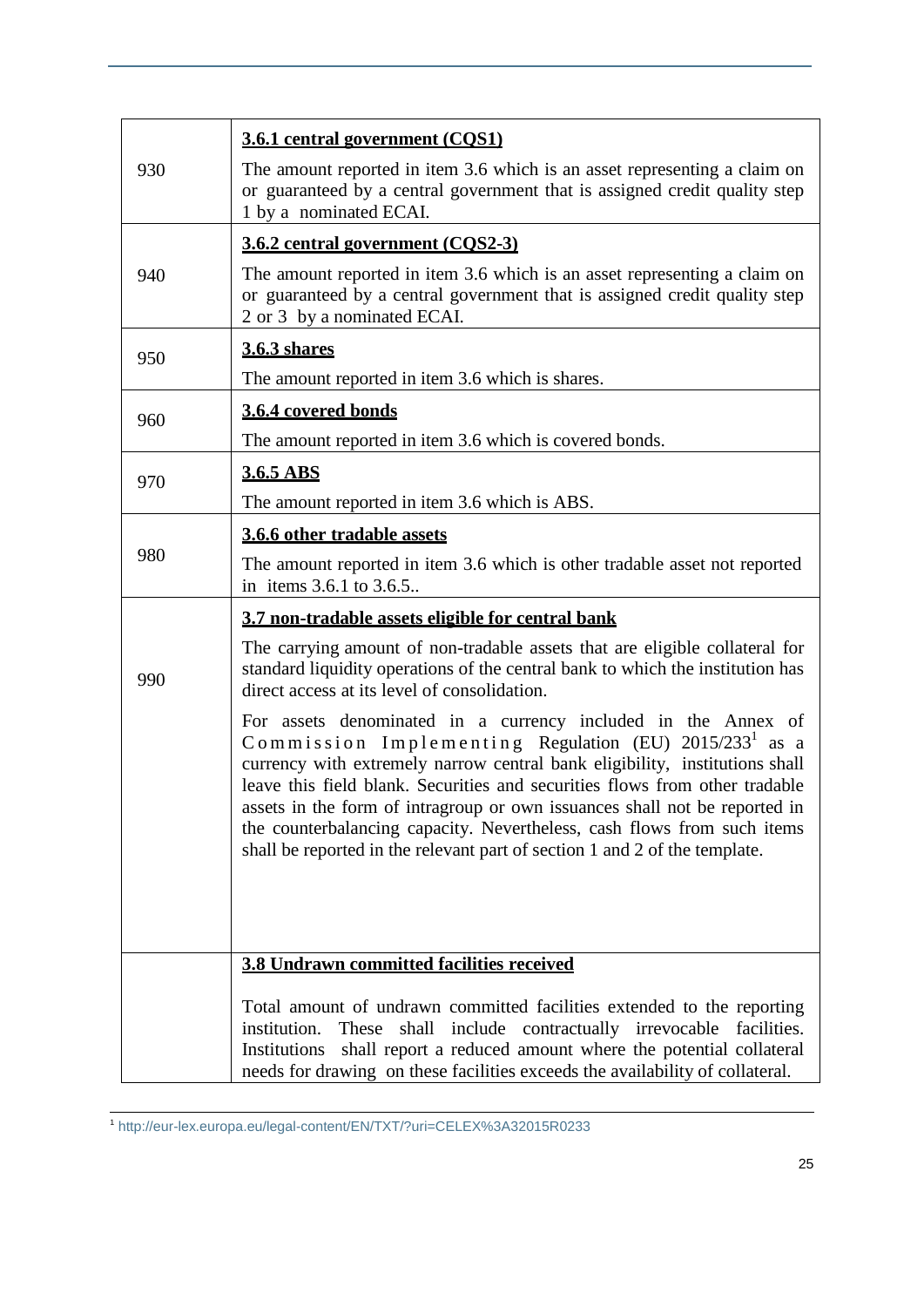|     | 3.6.1 central government (COS1)                                                                                                                                                                                                                                                                                                                                                                                                                                                                                                          |
|-----|------------------------------------------------------------------------------------------------------------------------------------------------------------------------------------------------------------------------------------------------------------------------------------------------------------------------------------------------------------------------------------------------------------------------------------------------------------------------------------------------------------------------------------------|
| 930 | The amount reported in item 3.6 which is an asset representing a claim on<br>or guaranteed by a central government that is assigned credit quality step<br>1 by a nominated ECAI.                                                                                                                                                                                                                                                                                                                                                        |
|     | 3.6.2 central government (COS2-3)                                                                                                                                                                                                                                                                                                                                                                                                                                                                                                        |
| 940 | The amount reported in item 3.6 which is an asset representing a claim on<br>or guaranteed by a central government that is assigned credit quality step<br>2 or 3 by a nominated ECAI.                                                                                                                                                                                                                                                                                                                                                   |
| 950 | <b>3.6.3 shares</b>                                                                                                                                                                                                                                                                                                                                                                                                                                                                                                                      |
|     | The amount reported in item 3.6 which is shares.                                                                                                                                                                                                                                                                                                                                                                                                                                                                                         |
| 960 | 3.6.4 covered bonds                                                                                                                                                                                                                                                                                                                                                                                                                                                                                                                      |
|     | The amount reported in item 3.6 which is covered bonds.                                                                                                                                                                                                                                                                                                                                                                                                                                                                                  |
| 970 | 3.6.5 ABS                                                                                                                                                                                                                                                                                                                                                                                                                                                                                                                                |
|     | The amount reported in item 3.6 which is ABS.                                                                                                                                                                                                                                                                                                                                                                                                                                                                                            |
|     | 3.6.6 other tradable assets                                                                                                                                                                                                                                                                                                                                                                                                                                                                                                              |
| 980 | The amount reported in item 3.6 which is other tradable asset not reported<br>in items 3.6.1 to 3.6.5                                                                                                                                                                                                                                                                                                                                                                                                                                    |
|     | 3.7 non-tradable assets eligible for central bank                                                                                                                                                                                                                                                                                                                                                                                                                                                                                        |
| 990 | The carrying amount of non-tradable assets that are eligible collateral for<br>standard liquidity operations of the central bank to which the institution has<br>direct access at its level of consolidation.                                                                                                                                                                                                                                                                                                                            |
|     | For assets denominated in a currency included in the Annex of<br>Commission Implementing Regulation (EU) 2015/233 <sup>1</sup> as a<br>currency with extremely narrow central bank eligibility, institutions shall<br>leave this field blank. Securities and securities flows from other tradable<br>assets in the form of intragroup or own issuances shall not be reported in<br>the counterbalancing capacity. Nevertheless, cash flows from such items<br>shall be reported in the relevant part of section 1 and 2 of the template. |
|     | <b>3.8 Undrawn committed facilities received</b>                                                                                                                                                                                                                                                                                                                                                                                                                                                                                         |
|     |                                                                                                                                                                                                                                                                                                                                                                                                                                                                                                                                          |
|     | Total amount of undrawn committed facilities extended to the reporting<br>These<br>shall include contractually irrevocable facilities.<br>institution.<br>shall report a reduced amount where the potential collateral<br>Institutions<br>needs for drawing on these facilities exceeds the availability of collateral.                                                                                                                                                                                                                  |

 1 <http://eur-lex.europa.eu/legal-content/EN/TXT/?uri=CELEX%3A32015R0233>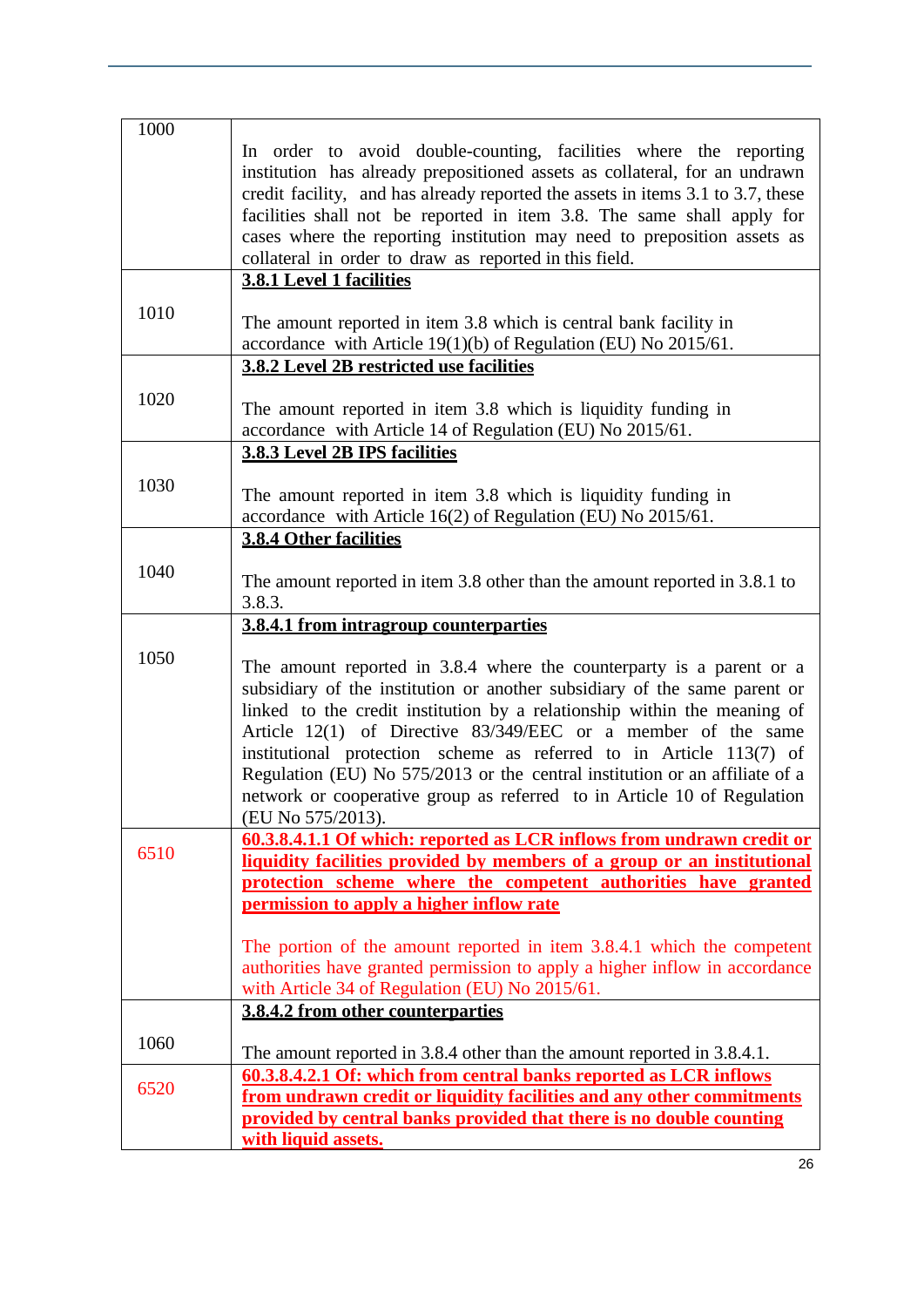| 1000 |                                                                                 |
|------|---------------------------------------------------------------------------------|
|      | In order to avoid double-counting, facilities where the reporting               |
|      | institution has already prepositioned assets as collateral, for an undrawn      |
|      | credit facility, and has already reported the assets in items 3.1 to 3.7, these |
|      | facilities shall not be reported in item 3.8. The same shall apply for          |
|      | cases where the reporting institution may need to preposition assets as         |
|      | collateral in order to draw as reported in this field.                          |
|      | <b>3.8.1 Level 1 facilities</b>                                                 |
|      |                                                                                 |
| 1010 | The amount reported in item 3.8 which is central bank facility in               |
|      | accordance with Article $19(1)(b)$ of Regulation (EU) No 2015/61.               |
|      | 3.8.2 Level 2B restricted use facilities                                        |
|      |                                                                                 |
| 1020 | The amount reported in item 3.8 which is liquidity funding in                   |
|      | accordance with Article 14 of Regulation (EU) No 2015/61.                       |
|      | 3.8.3 Level 2B IPS facilities                                                   |
|      |                                                                                 |
| 1030 | The amount reported in item 3.8 which is liquidity funding in                   |
|      | accordance with Article 16(2) of Regulation (EU) No 2015/61.                    |
|      | <b>3.8.4 Other facilities</b>                                                   |
|      |                                                                                 |
| 1040 | The amount reported in item 3.8 other than the amount reported in 3.8.1 to      |
|      | 3.8.3.                                                                          |
|      | 3.8.4.1 from intragroup counterparties                                          |
|      |                                                                                 |
| 1050 | The amount reported in 3.8.4 where the counterparty is a parent or a            |
|      | subsidiary of the institution or another subsidiary of the same parent or       |
|      | linked to the credit institution by a relationship within the meaning of        |
|      | Article 12(1) of Directive 83/349/EEC or a member of the same                   |
|      | institutional protection scheme as referred to in Article 113(7) of             |
|      | Regulation (EU) No 575/2013 or the central institution or an affiliate of a     |
|      | network or cooperative group as referred to in Article 10 of Regulation         |
|      | (EU No 575/2013).                                                               |
|      | 60.3.8.4.1.1 Of which: reported as LCR inflows from undrawn credit or           |
| 6510 | liquidity facilities provided by members of a group or an institutional         |
|      | protection scheme where the competent authorities have granted                  |
|      | permission to apply a higher inflow rate                                        |
|      |                                                                                 |
|      | The portion of the amount reported in item 3.8.4.1 which the competent          |
|      | authorities have granted permission to apply a higher inflow in accordance      |
|      | with Article 34 of Regulation (EU) No 2015/61.                                  |
|      | 3.8.4.2 from other counterparties                                               |
|      |                                                                                 |
| 1060 | The amount reported in 3.8.4 other than the amount reported in 3.8.4.1.         |
|      | 60.3.8.4.2.1 Of: which from central banks reported as LCR inflows               |
| 6520 | from undrawn credit or liquidity facilities and any other commitments           |
|      | provided by central banks provided that there is no double counting             |
|      | with liquid assets.                                                             |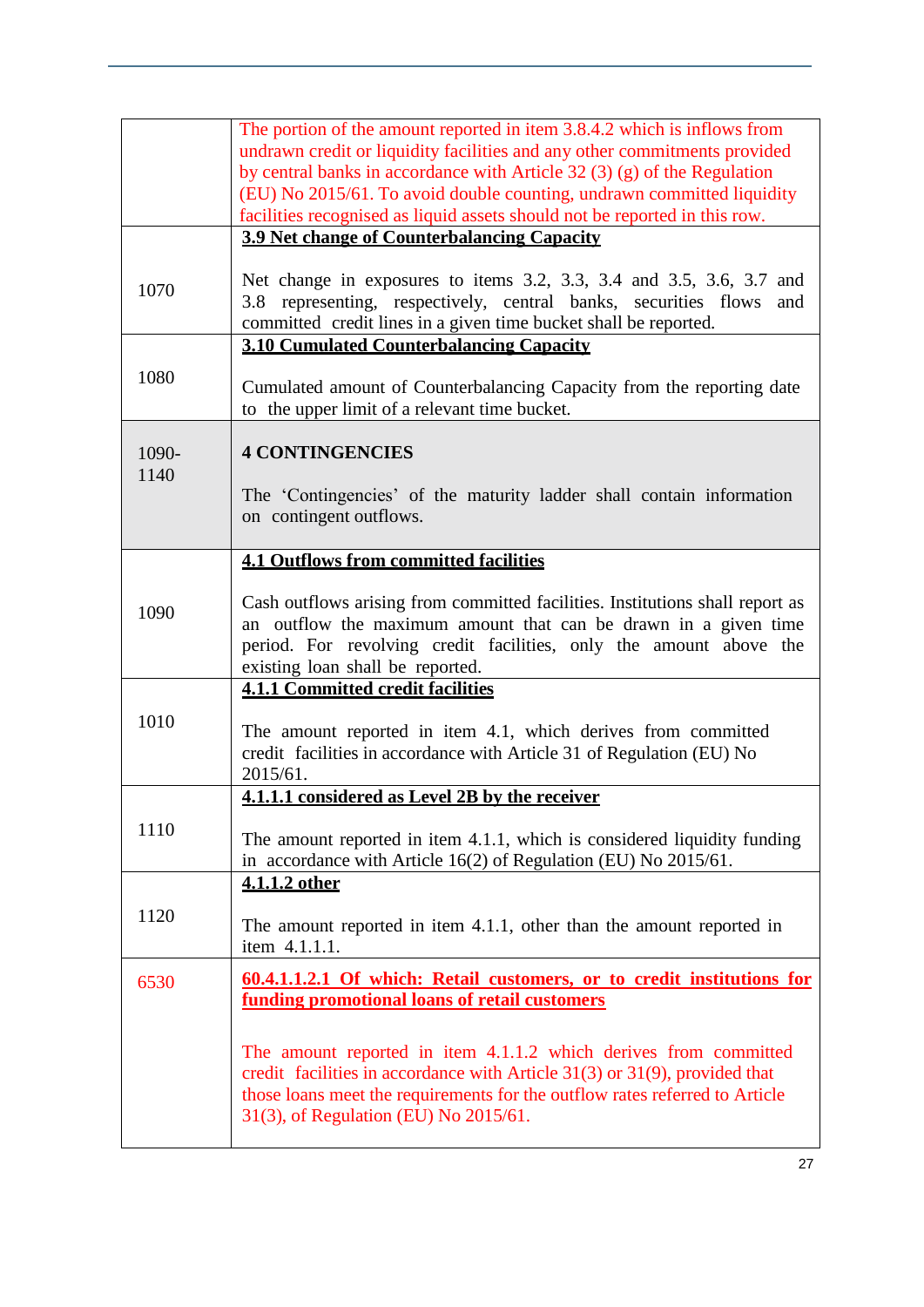|       | The portion of the amount reported in item 3.8.4.2 which is inflows from<br>undrawn credit or liquidity facilities and any other commitments provided<br>by central banks in accordance with Article 32 $(3)$ $(g)$ of the Regulation<br>(EU) No 2015/61. To avoid double counting, undrawn committed liquidity |
|-------|-----------------------------------------------------------------------------------------------------------------------------------------------------------------------------------------------------------------------------------------------------------------------------------------------------------------|
|       | facilities recognised as liquid assets should not be reported in this row.                                                                                                                                                                                                                                      |
|       | <b>3.9 Net change of Counterbalancing Capacity</b>                                                                                                                                                                                                                                                              |
| 1070  | Net change in exposures to items 3.2, 3.3, 3.4 and 3.5, 3.6, 3.7 and<br>representing, respectively, central banks, securities flows<br>3.8<br>and<br>committed credit lines in a given time bucket shall be reported.                                                                                           |
|       | <b>3.10 Cumulated Counterbalancing Capacity</b>                                                                                                                                                                                                                                                                 |
| 1080  | Cumulated amount of Counterbalancing Capacity from the reporting date<br>to the upper limit of a relevant time bucket.                                                                                                                                                                                          |
|       |                                                                                                                                                                                                                                                                                                                 |
| 1090- | <b>4 CONTINGENCIES</b>                                                                                                                                                                                                                                                                                          |
| 1140  |                                                                                                                                                                                                                                                                                                                 |
|       | The 'Contingencies' of the maturity ladder shall contain information<br>on contingent outflows.                                                                                                                                                                                                                 |
|       |                                                                                                                                                                                                                                                                                                                 |
|       | <b>4.1 Outflows from committed facilities</b>                                                                                                                                                                                                                                                                   |
|       |                                                                                                                                                                                                                                                                                                                 |
| 1090  | Cash outflows arising from committed facilities. Institutions shall report as                                                                                                                                                                                                                                   |
|       | an outflow the maximum amount that can be drawn in a given time                                                                                                                                                                                                                                                 |
|       | period. For revolving credit facilities, only the amount above the                                                                                                                                                                                                                                              |
|       | existing loan shall be reported.                                                                                                                                                                                                                                                                                |
|       | <b>4.1.1 Committed credit facilities</b>                                                                                                                                                                                                                                                                        |
| 1010  | The amount reported in item 4.1, which derives from committed                                                                                                                                                                                                                                                   |
|       | credit facilities in accordance with Article 31 of Regulation (EU) No                                                                                                                                                                                                                                           |
|       | 2015/61.                                                                                                                                                                                                                                                                                                        |
|       | 4.1.1.1 considered as Level 2B by the receiver                                                                                                                                                                                                                                                                  |
| 1110  |                                                                                                                                                                                                                                                                                                                 |
|       | The amount reported in item 4.1.1, which is considered liquidity funding<br>in accordance with Article 16(2) of Regulation (EU) No 2015/61.                                                                                                                                                                     |
|       | 4.1.1.2 other                                                                                                                                                                                                                                                                                                   |
|       |                                                                                                                                                                                                                                                                                                                 |
| 1120  |                                                                                                                                                                                                                                                                                                                 |
|       | The amount reported in item 4.1.1, other than the amount reported in<br>item 4.1.1.1.                                                                                                                                                                                                                           |
|       |                                                                                                                                                                                                                                                                                                                 |
| 6530  | 60.4.1.1.2.1 Of which: Retail customers, or to credit institutions for<br>funding promotional loans of retail customers                                                                                                                                                                                         |
|       |                                                                                                                                                                                                                                                                                                                 |
|       |                                                                                                                                                                                                                                                                                                                 |
|       | The amount reported in item 4.1.1.2 which derives from committed<br>credit facilities in accordance with Article $31(3)$ or $31(9)$ , provided that                                                                                                                                                             |
|       | those loans meet the requirements for the outflow rates referred to Article                                                                                                                                                                                                                                     |
|       | 31(3), of Regulation (EU) No 2015/61.                                                                                                                                                                                                                                                                           |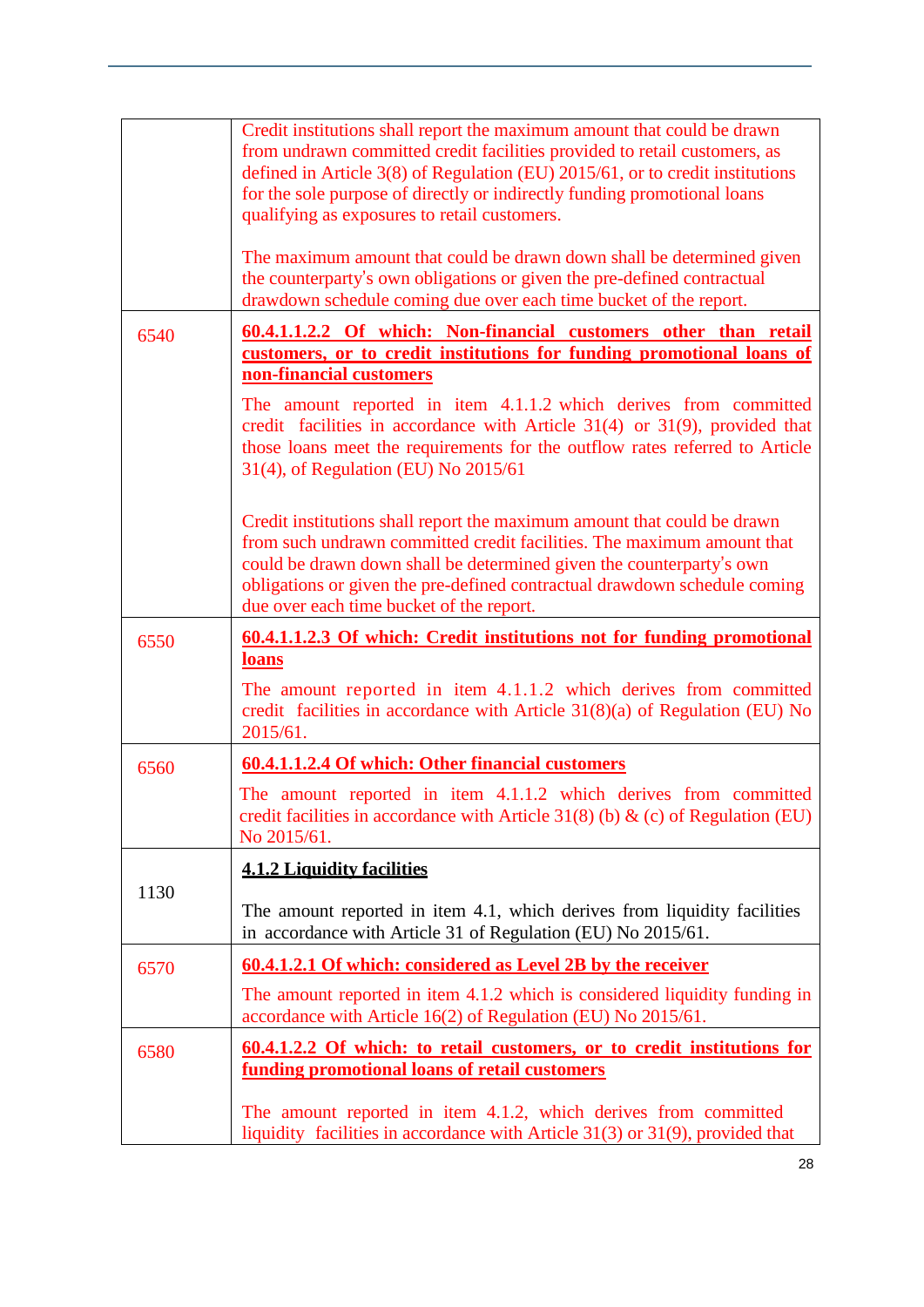|      | Credit institutions shall report the maximum amount that could be drawn<br>from undrawn committed credit facilities provided to retail customers, as<br>defined in Article 3(8) of Regulation (EU) 2015/61, or to credit institutions<br>for the sole purpose of directly or indirectly funding promotional loans<br>qualifying as exposures to retail customers.<br>The maximum amount that could be drawn down shall be determined given |
|------|--------------------------------------------------------------------------------------------------------------------------------------------------------------------------------------------------------------------------------------------------------------------------------------------------------------------------------------------------------------------------------------------------------------------------------------------|
|      | the counterparty's own obligations or given the pre-defined contractual<br>drawdown schedule coming due over each time bucket of the report.                                                                                                                                                                                                                                                                                               |
| 6540 | 60.4.1.1.2.2 Of which: Non-financial customers other than retail<br>customers, or to credit institutions for funding promotional loans of<br>non-financial customers                                                                                                                                                                                                                                                                       |
|      | The amount reported in item 4.1.1.2 which derives from committed<br>credit facilities in accordance with Article 31(4) or 31(9), provided that<br>those loans meet the requirements for the outflow rates referred to Article<br>31(4), of Regulation (EU) No 2015/61                                                                                                                                                                      |
|      | Credit institutions shall report the maximum amount that could be drawn<br>from such undrawn committed credit facilities. The maximum amount that<br>could be drawn down shall be determined given the counterparty's own<br>obligations or given the pre-defined contractual drawdown schedule coming<br>due over each time bucket of the report.                                                                                         |
| 6550 | 60.4.1.1.2.3 Of which: Credit institutions not for funding promotional<br><b>loans</b>                                                                                                                                                                                                                                                                                                                                                     |
|      | The amount reported in item 4.1.1.2 which derives from committed<br>credit facilities in accordance with Article $31(8)(a)$ of Regulation (EU) No<br>2015/61.                                                                                                                                                                                                                                                                              |
| 6560 | 60.4.1.1.2.4 Of which: Other financial customers                                                                                                                                                                                                                                                                                                                                                                                           |
|      | The amount reported in item 4.1.1.2 which derives from committed<br>credit facilities in accordance with Article 31(8) (b) & (c) of Regulation (EU)<br>No 2015/61.                                                                                                                                                                                                                                                                         |
|      | <b>4.1.2 Liquidity facilities</b>                                                                                                                                                                                                                                                                                                                                                                                                          |
| 1130 | The amount reported in item 4.1, which derives from liquidity facilities<br>in accordance with Article 31 of Regulation (EU) No 2015/61.                                                                                                                                                                                                                                                                                                   |
| 6570 | 60.4.1.2.1 Of which: considered as Level 2B by the receiver                                                                                                                                                                                                                                                                                                                                                                                |
|      | The amount reported in item 4.1.2 which is considered liquidity funding in<br>accordance with Article 16(2) of Regulation (EU) No 2015/61.                                                                                                                                                                                                                                                                                                 |
| 6580 | <u>60.4.1.2.2 Of which: to retail customers, or to credit institutions for</u><br><u>funding promotional loans of retail customers</u>                                                                                                                                                                                                                                                                                                     |
|      | The amount reported in item 4.1.2, which derives from committed<br>liquidity facilities in accordance with Article $31(3)$ or $31(9)$ , provided that                                                                                                                                                                                                                                                                                      |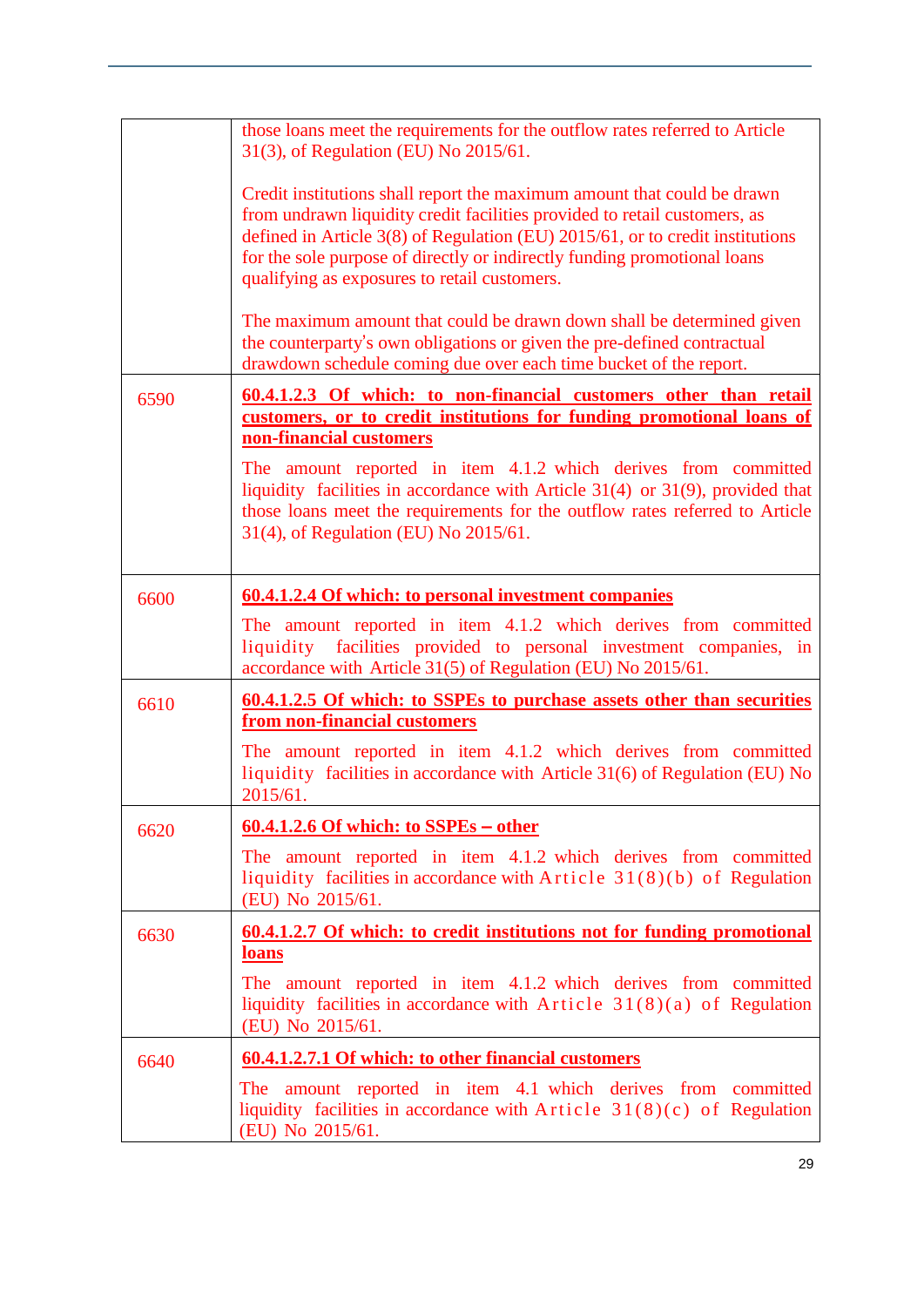|      | those loans meet the requirements for the outflow rates referred to Article<br>31(3), of Regulation (EU) No 2015/61.                                                                                                                                                                                                                                              |
|------|-------------------------------------------------------------------------------------------------------------------------------------------------------------------------------------------------------------------------------------------------------------------------------------------------------------------------------------------------------------------|
|      | Credit institutions shall report the maximum amount that could be drawn<br>from undrawn liquidity credit facilities provided to retail customers, as<br>defined in Article 3(8) of Regulation (EU) 2015/61, or to credit institutions<br>for the sole purpose of directly or indirectly funding promotional loans<br>qualifying as exposures to retail customers. |
|      | The maximum amount that could be drawn down shall be determined given<br>the counterparty's own obligations or given the pre-defined contractual<br>drawdown schedule coming due over each time bucket of the report.                                                                                                                                             |
| 6590 | 60.4.1.2.3 Of which: to non-financial customers other than retail<br>customers, or to credit institutions for funding promotional loans of<br>non-financial customers                                                                                                                                                                                             |
|      | The amount reported in item 4.1.2 which derives from committed<br>liquidity facilities in accordance with Article 31(4) or 31(9), provided that<br>those loans meet the requirements for the outflow rates referred to Article<br>31(4), of Regulation (EU) No 2015/61.                                                                                           |
| 6600 | <b>60.4.1.2.4 Of which: to personal investment companies</b>                                                                                                                                                                                                                                                                                                      |
|      | The amount reported in item 4.1.2 which derives from committed<br>liquidity<br>facilities provided to personal investment companies, in<br>accordance with Article 31(5) of Regulation (EU) No 2015/61.                                                                                                                                                           |
| 6610 | 60.4.1.2.5 Of which: to SSPEs to purchase assets other than securities<br>from non-financial customers                                                                                                                                                                                                                                                            |
|      | The amount reported in item 4.1.2 which derives from committed<br>liquidity facilities in accordance with Article 31(6) of Regulation (EU) No<br>2015/61.                                                                                                                                                                                                         |
| 6620 | $\underline{60.4.1.2.6}$ Of which: to SSPEs – other                                                                                                                                                                                                                                                                                                               |
|      | The amount reported in item 4.1.2 which derives from committed<br>liquidity facilities in accordance with Article $31(8)(b)$ of Regulation<br>(EU) No 2015/61.                                                                                                                                                                                                    |
| 6630 | <u><b>60.4.1.2.7</b></u> Of which: to credit institutions not for funding promotional<br><b>loans</b>                                                                                                                                                                                                                                                             |
|      | The amount reported in item 4.1.2 which derives from committed<br>liquidity facilities in accordance with Article $31(8)(a)$ of Regulation<br>(EU) No 2015/61.                                                                                                                                                                                                    |
| 6640 | 60.4.1.2.7.1 Of which: to other financial customers                                                                                                                                                                                                                                                                                                               |
|      | The amount reported in item 4.1 which derives from committed<br>liquidity facilities in accordance with Article $31(8)(c)$ of Regulation<br>(EU) No 2015/61.                                                                                                                                                                                                      |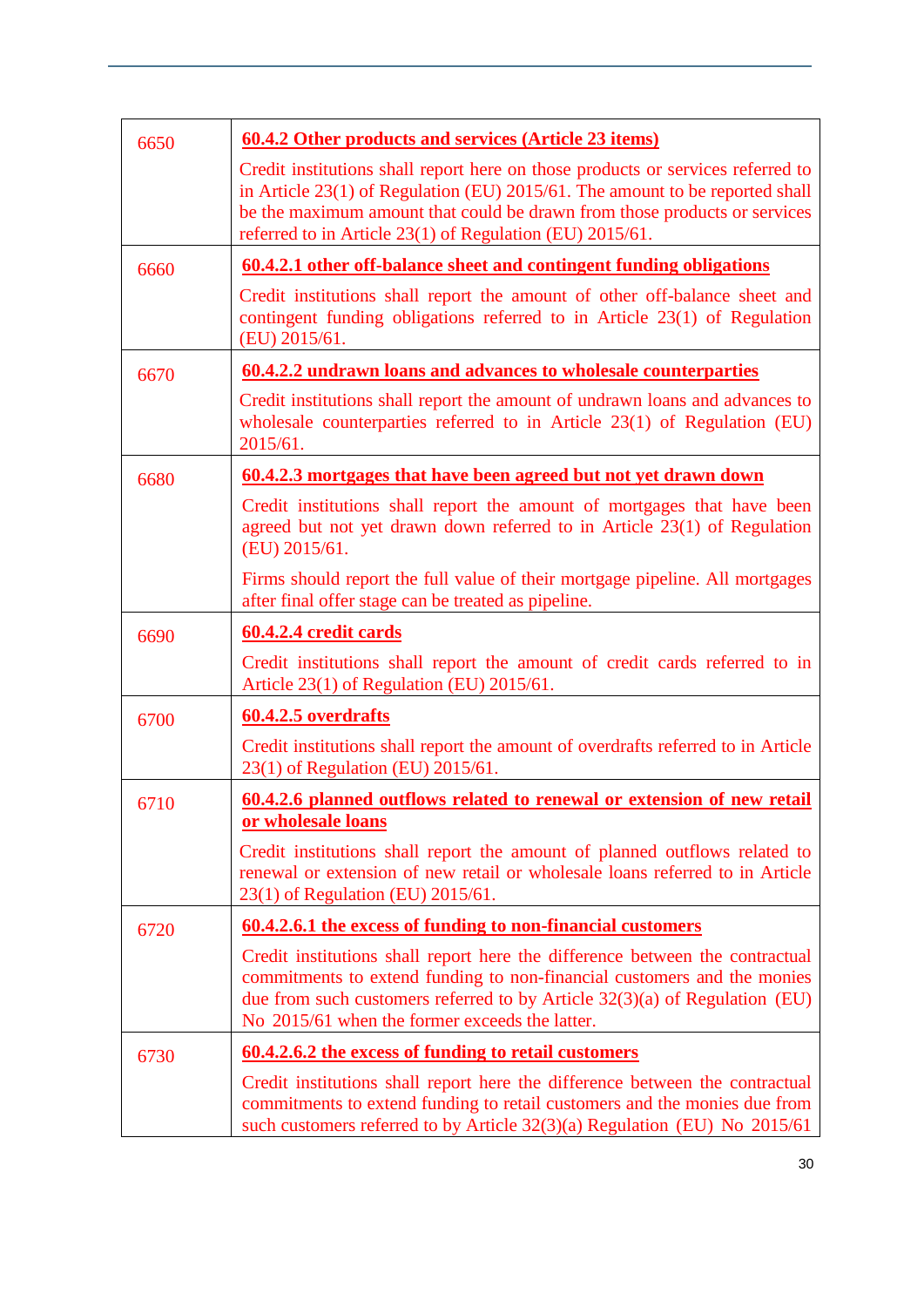| 6650 | 60.4.2 Other products and services (Article 23 items)                                                                                                                                                                                                                                                         |
|------|---------------------------------------------------------------------------------------------------------------------------------------------------------------------------------------------------------------------------------------------------------------------------------------------------------------|
|      | Credit institutions shall report here on those products or services referred to<br>in Article $23(1)$ of Regulation (EU) $2015/61$ . The amount to be reported shall<br>be the maximum amount that could be drawn from those products or services<br>referred to in Article 23(1) of Regulation (EU) 2015/61. |
| 6660 | <u>60.4.2.1 other off-balance sheet and contingent funding obligations</u>                                                                                                                                                                                                                                    |
|      | Credit institutions shall report the amount of other off-balance sheet and<br>contingent funding obligations referred to in Article $23(1)$ of Regulation<br>(EU) 2015/61.                                                                                                                                    |
| 6670 | 60.4.2.2 undrawn loans and advances to wholesale counterparties                                                                                                                                                                                                                                               |
|      | Credit institutions shall report the amount of undrawn loans and advances to<br>wholesale counterparties referred to in Article $23(1)$ of Regulation (EU)<br>2015/61.                                                                                                                                        |
| 6680 | 60.4.2.3 mortgages that have been agreed but not yet drawn down                                                                                                                                                                                                                                               |
|      | Credit institutions shall report the amount of mortgages that have been<br>agreed but not yet drawn down referred to in Article $23(1)$ of Regulation<br>(EU) 2015/61.                                                                                                                                        |
|      | Firms should report the full value of their mortgage pipeline. All mortgages<br>after final offer stage can be treated as pipeline.                                                                                                                                                                           |
| 6690 | 60.4.2.4 credit cards                                                                                                                                                                                                                                                                                         |
|      | Credit institutions shall report the amount of credit cards referred to in<br>Article 23(1) of Regulation (EU) 2015/61.                                                                                                                                                                                       |
| 6700 | 60.4.2.5 overdrafts                                                                                                                                                                                                                                                                                           |
|      | Credit institutions shall report the amount of overdrafts referred to in Article<br>23(1) of Regulation (EU) 2015/61.                                                                                                                                                                                         |
| 6710 | 60.4.2.6 planned outflows related to renewal or extension of new retail<br>or wholesale loans                                                                                                                                                                                                                 |
|      | Credit institutions shall report the amount of planned outflows related to<br>renewal or extension of new retail or wholesale loans referred to in Article<br>23(1) of Regulation (EU) 2015/61.                                                                                                               |
| 6720 | 60.4.2.6.1 the excess of funding to non-financial customers                                                                                                                                                                                                                                                   |
|      | Credit institutions shall report here the difference between the contractual<br>commitments to extend funding to non-financial customers and the monies<br>due from such customers referred to by Article $32(3)(a)$ of Regulation (EU)<br>No 2015/61 when the former exceeds the latter.                     |
| 6730 | <u>60.4.2.6.2 the excess of funding to retail customers</u>                                                                                                                                                                                                                                                   |
|      | Credit institutions shall report here the difference between the contractual<br>commitments to extend funding to retail customers and the monies due from<br>such customers referred to by Article 32(3)(a) Regulation (EU) No 2015/61                                                                        |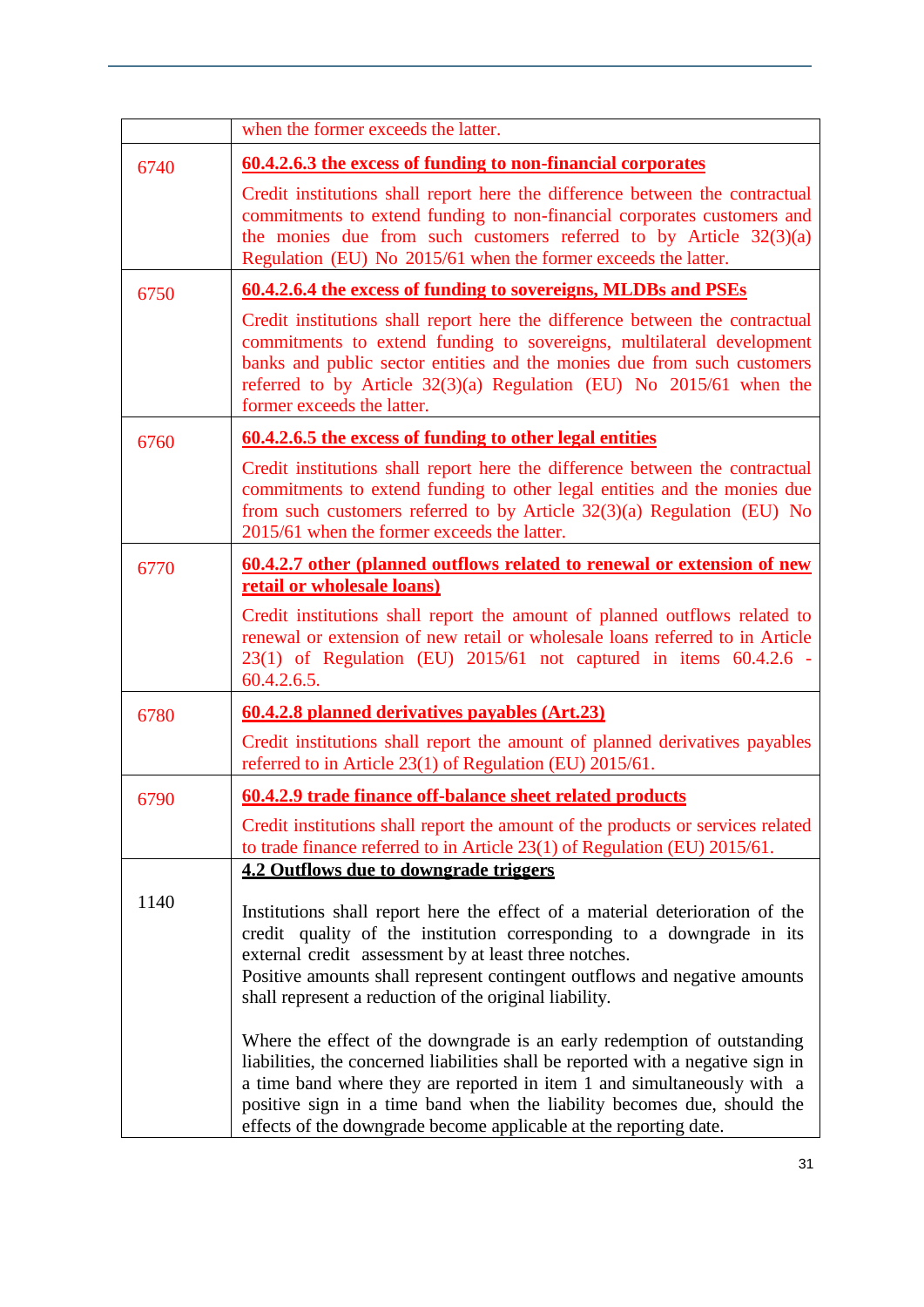|      | when the former exceeds the latter.                                                                                                                                                                                                                                                                                                                                                                                                                                                                                                                                                                                                                                        |
|------|----------------------------------------------------------------------------------------------------------------------------------------------------------------------------------------------------------------------------------------------------------------------------------------------------------------------------------------------------------------------------------------------------------------------------------------------------------------------------------------------------------------------------------------------------------------------------------------------------------------------------------------------------------------------------|
| 6740 | 60.4.2.6.3 the excess of funding to non-financial corporates                                                                                                                                                                                                                                                                                                                                                                                                                                                                                                                                                                                                               |
|      | Credit institutions shall report here the difference between the contractual<br>commitments to extend funding to non-financial corporates customers and<br>the monies due from such customers referred to by Article $32(3)(a)$<br>Regulation (EU) No 2015/61 when the former exceeds the latter.                                                                                                                                                                                                                                                                                                                                                                          |
| 6750 | 60.4.2.6.4 the excess of funding to sovereigns, MLDBs and PSEs                                                                                                                                                                                                                                                                                                                                                                                                                                                                                                                                                                                                             |
|      | Credit institutions shall report here the difference between the contractual<br>commitments to extend funding to sovereigns, multilateral development<br>banks and public sector entities and the monies due from such customers<br>referred to by Article 32(3)(a) Regulation (EU) No 2015/61 when the<br>former exceeds the latter.                                                                                                                                                                                                                                                                                                                                      |
| 6760 | <u>60.4.2.6.5 the excess of funding to other legal entities</u>                                                                                                                                                                                                                                                                                                                                                                                                                                                                                                                                                                                                            |
|      | Credit institutions shall report here the difference between the contractual<br>commitments to extend funding to other legal entities and the monies due<br>from such customers referred to by Article $32(3)(a)$ Regulation (EU) No<br>2015/61 when the former exceeds the latter.                                                                                                                                                                                                                                                                                                                                                                                        |
| 6770 | 60.4.2.7 other (planned outflows related to renewal or extension of new<br>retail or wholesale loans)                                                                                                                                                                                                                                                                                                                                                                                                                                                                                                                                                                      |
|      | Credit institutions shall report the amount of planned outflows related to<br>renewal or extension of new retail or wholesale loans referred to in Article<br>23(1) of Regulation (EU) 2015/61 not captured in items 60.4.2.6 -<br>60.4.2.6.5.                                                                                                                                                                                                                                                                                                                                                                                                                             |
| 6780 | 60.4.2.8 planned derivatives payables (Art.23)                                                                                                                                                                                                                                                                                                                                                                                                                                                                                                                                                                                                                             |
|      | Credit institutions shall report the amount of planned derivatives payables<br>referred to in Article 23(1) of Regulation (EU) 2015/61.                                                                                                                                                                                                                                                                                                                                                                                                                                                                                                                                    |
| 6790 | 60.4.2.9 trade finance off-balance sheet related products                                                                                                                                                                                                                                                                                                                                                                                                                                                                                                                                                                                                                  |
|      | Credit institutions shall report the amount of the products or services related<br>to trade finance referred to in Article 23(1) of Regulation (EU) 2015/61.                                                                                                                                                                                                                                                                                                                                                                                                                                                                                                               |
|      | 4.2 Outflows due to downgrade triggers                                                                                                                                                                                                                                                                                                                                                                                                                                                                                                                                                                                                                                     |
| 1140 | Institutions shall report here the effect of a material deterioration of the<br>credit quality of the institution corresponding to a downgrade in its<br>external credit assessment by at least three notches.<br>Positive amounts shall represent contingent outflows and negative amounts<br>shall represent a reduction of the original liability.<br>Where the effect of the downgrade is an early redemption of outstanding<br>liabilities, the concerned liabilities shall be reported with a negative sign in<br>a time band where they are reported in item 1 and simultaneously with a<br>positive sign in a time band when the liability becomes due, should the |
|      | effects of the downgrade become applicable at the reporting date.                                                                                                                                                                                                                                                                                                                                                                                                                                                                                                                                                                                                          |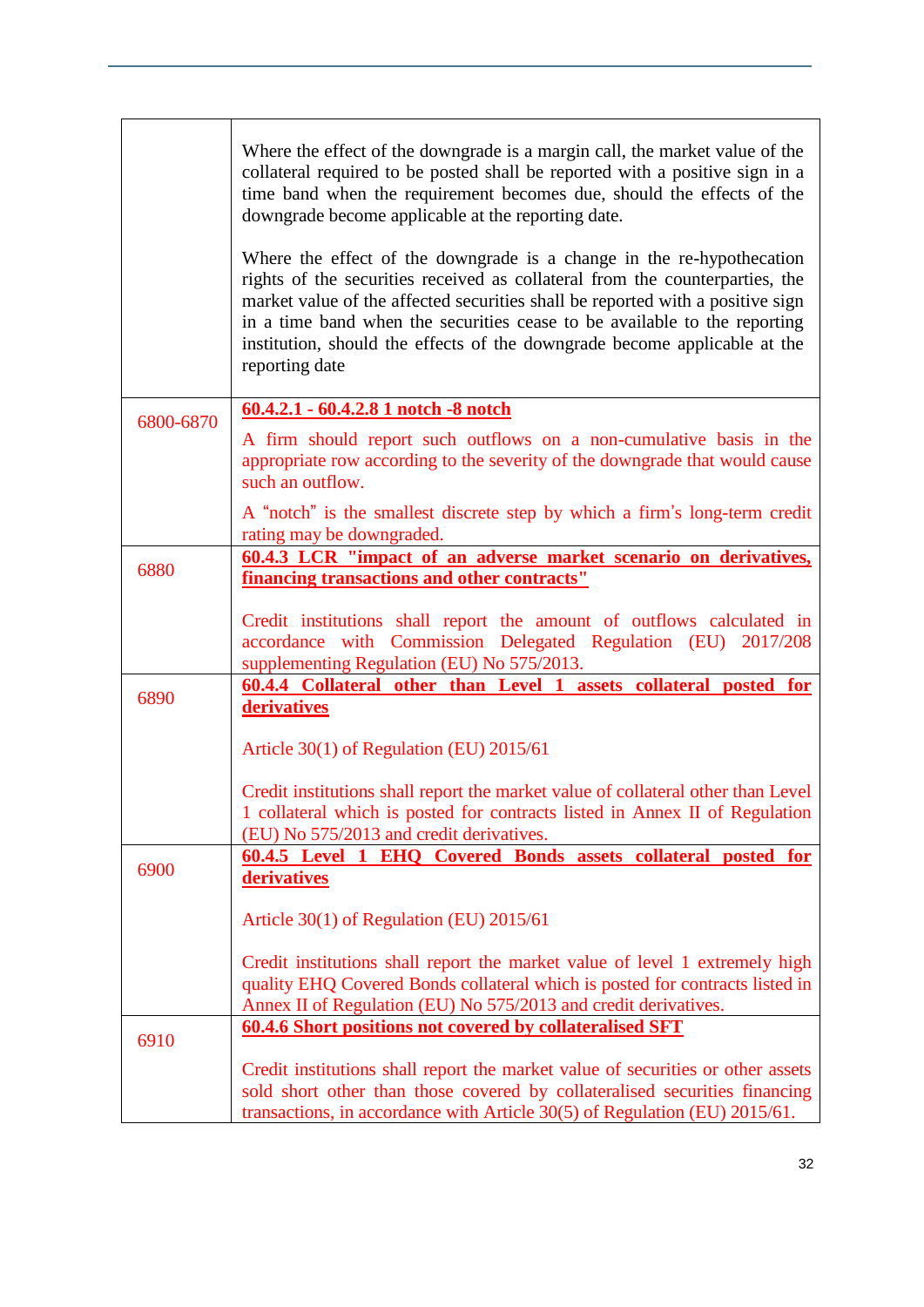|           | Where the effect of the downgrade is a margin call, the market value of the<br>collateral required to be posted shall be reported with a positive sign in a<br>time band when the requirement becomes due, should the effects of the<br>downgrade become applicable at the reporting date.<br>Where the effect of the downgrade is a change in the re-hypothecation<br>rights of the securities received as collateral from the counterparties, the<br>market value of the affected securities shall be reported with a positive sign<br>in a time band when the securities cease to be available to the reporting<br>institution, should the effects of the downgrade become applicable at the<br>reporting date |
|-----------|-------------------------------------------------------------------------------------------------------------------------------------------------------------------------------------------------------------------------------------------------------------------------------------------------------------------------------------------------------------------------------------------------------------------------------------------------------------------------------------------------------------------------------------------------------------------------------------------------------------------------------------------------------------------------------------------------------------------|
| 6800-6870 | 60.4.2.1 - 60.4.2.8 1 notch -8 notch                                                                                                                                                                                                                                                                                                                                                                                                                                                                                                                                                                                                                                                                              |
|           | A firm should report such outflows on a non-cumulative basis in the<br>appropriate row according to the severity of the downgrade that would cause<br>such an outflow.                                                                                                                                                                                                                                                                                                                                                                                                                                                                                                                                            |
|           | A "notch" is the smallest discrete step by which a firm's long-term credit<br>rating may be downgraded.                                                                                                                                                                                                                                                                                                                                                                                                                                                                                                                                                                                                           |
| 6880      | 60.4.3 LCR "impact of an adverse market scenario on derivatives,                                                                                                                                                                                                                                                                                                                                                                                                                                                                                                                                                                                                                                                  |
|           | <b>financing transactions and other contracts"</b>                                                                                                                                                                                                                                                                                                                                                                                                                                                                                                                                                                                                                                                                |
|           | Credit institutions shall report the amount of outflows calculated in<br>accordance with Commission Delegated Regulation (EU) 2017/208<br>supplementing Regulation (EU) No 575/2013.                                                                                                                                                                                                                                                                                                                                                                                                                                                                                                                              |
| 6890      | 60.4.4 Collateral other than Level 1 assets collateral posted for<br>derivatives                                                                                                                                                                                                                                                                                                                                                                                                                                                                                                                                                                                                                                  |
|           |                                                                                                                                                                                                                                                                                                                                                                                                                                                                                                                                                                                                                                                                                                                   |
|           | Article 30(1) of Regulation (EU) 2015/61                                                                                                                                                                                                                                                                                                                                                                                                                                                                                                                                                                                                                                                                          |
|           | Credit institutions shall report the market value of collateral other than Level<br>1 collateral which is posted for contracts listed in Annex II of Regulation<br>(EU) No 575/2013 and credit derivatives.                                                                                                                                                                                                                                                                                                                                                                                                                                                                                                       |
| 6900      | 60.4.5 Level 1 EHQ Covered Bonds assets collateral posted for                                                                                                                                                                                                                                                                                                                                                                                                                                                                                                                                                                                                                                                     |
|           | derivatives                                                                                                                                                                                                                                                                                                                                                                                                                                                                                                                                                                                                                                                                                                       |
|           | Article 30(1) of Regulation (EU) 2015/61                                                                                                                                                                                                                                                                                                                                                                                                                                                                                                                                                                                                                                                                          |
|           | Credit institutions shall report the market value of level 1 extremely high<br>quality EHQ Covered Bonds collateral which is posted for contracts listed in<br>Annex II of Regulation (EU) No 575/2013 and credit derivatives.                                                                                                                                                                                                                                                                                                                                                                                                                                                                                    |
|           | 60.4.6 Short positions not covered by collateralised SFT                                                                                                                                                                                                                                                                                                                                                                                                                                                                                                                                                                                                                                                          |
| 6910      |                                                                                                                                                                                                                                                                                                                                                                                                                                                                                                                                                                                                                                                                                                                   |
|           | Credit institutions shall report the market value of securities or other assets<br>sold short other than those covered by collateralised securities financing<br>transactions, in accordance with Article 30(5) of Regulation (EU) 2015/61.                                                                                                                                                                                                                                                                                                                                                                                                                                                                       |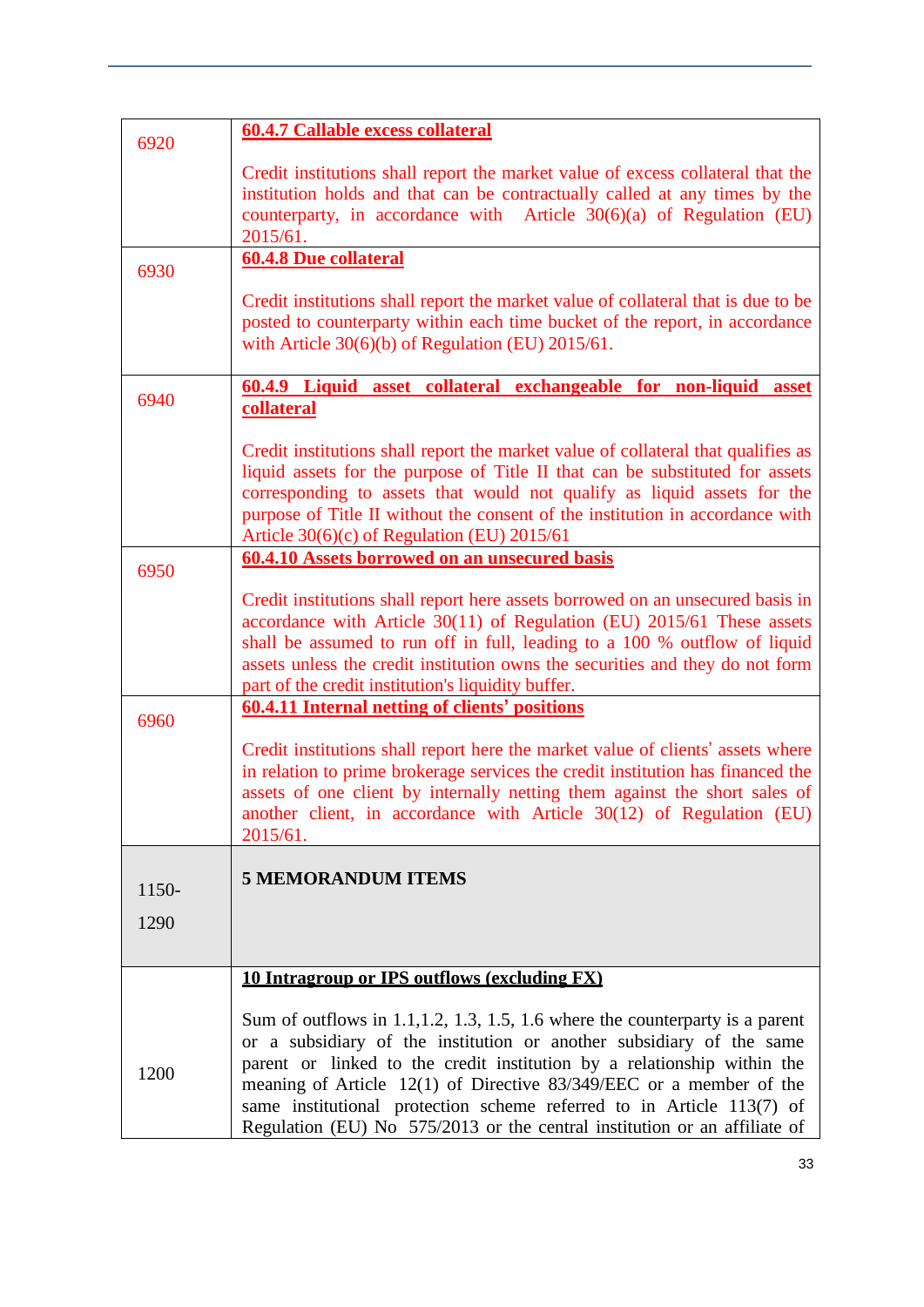| 6920  | <b>60.4.7 Callable excess collateral</b>                                                                                                                                                                                                                                                                                                                                                                                                                        |
|-------|-----------------------------------------------------------------------------------------------------------------------------------------------------------------------------------------------------------------------------------------------------------------------------------------------------------------------------------------------------------------------------------------------------------------------------------------------------------------|
|       | Credit institutions shall report the market value of excess collateral that the<br>institution holds and that can be contractually called at any times by the<br>counterparty, in accordance with Article $30(6)(a)$ of Regulation (EU)<br>2015/61.                                                                                                                                                                                                             |
| 6930  | <b>60.4.8 Due collateral</b>                                                                                                                                                                                                                                                                                                                                                                                                                                    |
|       | Credit institutions shall report the market value of collateral that is due to be<br>posted to counterparty within each time bucket of the report, in accordance<br>with Article $30(6)(b)$ of Regulation (EU) 2015/61.                                                                                                                                                                                                                                         |
| 6940  | 60.4.9 Liquid asset collateral exchangeable for non-liquid asset                                                                                                                                                                                                                                                                                                                                                                                                |
|       | collateral                                                                                                                                                                                                                                                                                                                                                                                                                                                      |
|       | Credit institutions shall report the market value of collateral that qualifies as<br>liquid assets for the purpose of Title II that can be substituted for assets<br>corresponding to assets that would not qualify as liquid assets for the<br>purpose of Title II without the consent of the institution in accordance with<br>Article 30(6)(c) of Regulation (EU) 2015/61                                                                                    |
| 6950  | 60.4.10 Assets borrowed on an unsecured basis                                                                                                                                                                                                                                                                                                                                                                                                                   |
|       | Credit institutions shall report here assets borrowed on an unsecured basis in<br>accordance with Article $30(11)$ of Regulation (EU) $2015/61$ These assets<br>shall be assumed to run off in full, leading to a 100 % outflow of liquid<br>assets unless the credit institution owns the securities and they do not form<br>part of the credit institution's liquidity buffer.                                                                                |
| 6960  | <b>60.4.11 Internal netting of clients' positions</b>                                                                                                                                                                                                                                                                                                                                                                                                           |
|       | Credit institutions shall report here the market value of clients' assets where<br>in relation to prime brokerage services the credit institution has financed the<br>assets of one client by internally netting them against the short sales of<br>another client, in accordance with Article 30(12) of Regulation (EU)<br>2015/61.                                                                                                                            |
|       | <b>5 MEMORANDUM ITEMS</b>                                                                                                                                                                                                                                                                                                                                                                                                                                       |
| 1150- |                                                                                                                                                                                                                                                                                                                                                                                                                                                                 |
| 1290  |                                                                                                                                                                                                                                                                                                                                                                                                                                                                 |
|       | 10 Intragroup or IPS outflows (excluding FX)                                                                                                                                                                                                                                                                                                                                                                                                                    |
| 1200  | Sum of outflows in 1.1, 1.2, 1.3, 1.5, 1.6 where the counterparty is a parent<br>or a subsidiary of the institution or another subsidiary of the same<br>parent or linked to the credit institution by a relationship within the<br>meaning of Article $12(1)$ of Directive 83/349/EEC or a member of the<br>same institutional protection scheme referred to in Article 113(7) of<br>Regulation (EU) No 575/2013 or the central institution or an affiliate of |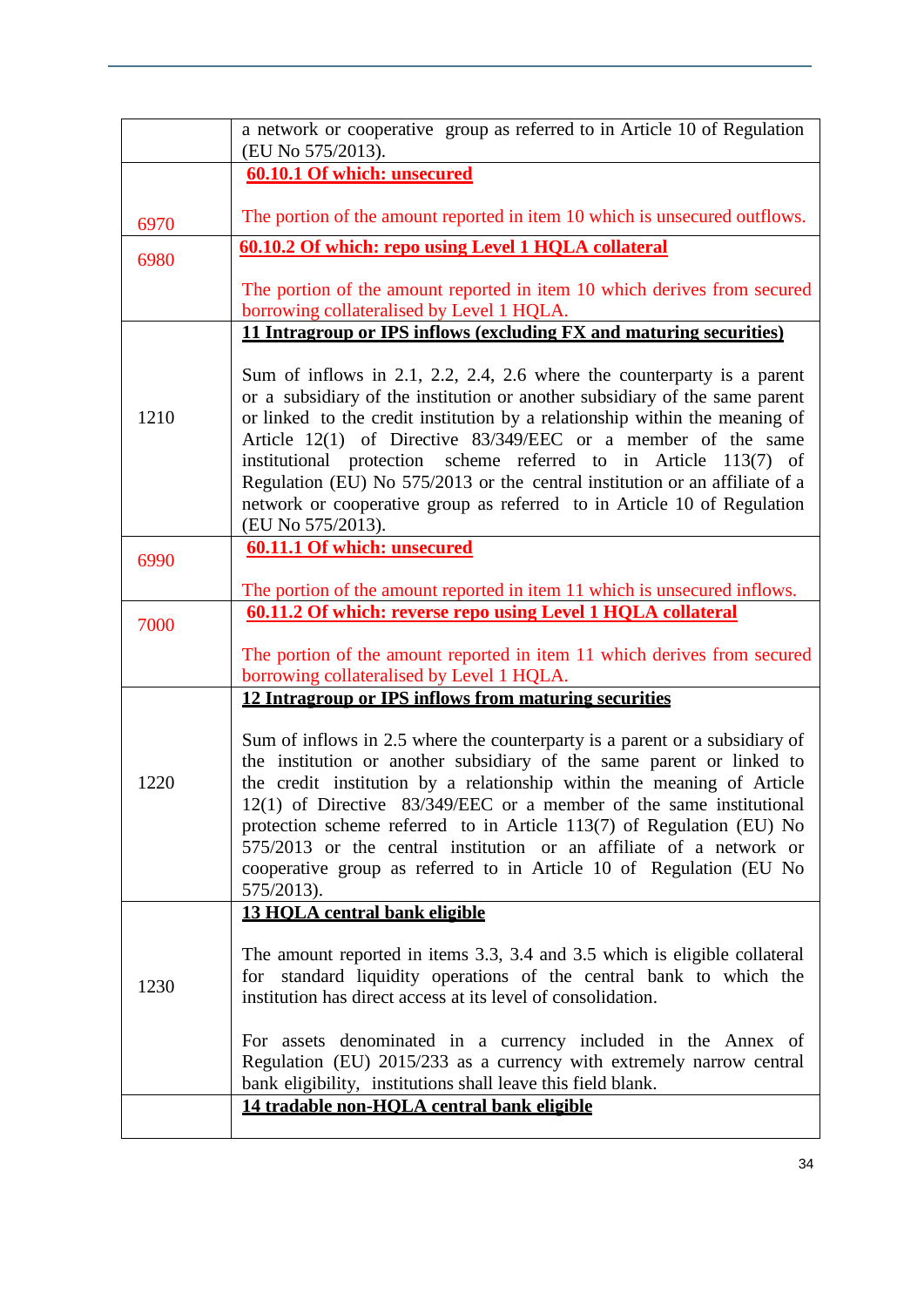|      | a network or cooperative group as referred to in Article 10 of Regulation<br>(EU No 575/2013).                                                                                                                                                                                                                                                                                                                                                                                                                                                              |
|------|-------------------------------------------------------------------------------------------------------------------------------------------------------------------------------------------------------------------------------------------------------------------------------------------------------------------------------------------------------------------------------------------------------------------------------------------------------------------------------------------------------------------------------------------------------------|
|      | 60.10.1 Of which: unsecured                                                                                                                                                                                                                                                                                                                                                                                                                                                                                                                                 |
| 6970 | The portion of the amount reported in item 10 which is unsecured outflows.                                                                                                                                                                                                                                                                                                                                                                                                                                                                                  |
| 6980 | 60.10.2 Of which: repo using Level 1 HQLA collateral                                                                                                                                                                                                                                                                                                                                                                                                                                                                                                        |
|      | The portion of the amount reported in item 10 which derives from secured<br>borrowing collateralised by Level 1 HQLA.                                                                                                                                                                                                                                                                                                                                                                                                                                       |
|      | 11 Intragroup or IPS inflows (excluding FX and maturing securities)                                                                                                                                                                                                                                                                                                                                                                                                                                                                                         |
| 1210 | Sum of inflows in 2.1, 2.2, 2.4, 2.6 where the counterparty is a parent<br>or a subsidiary of the institution or another subsidiary of the same parent<br>or linked to the credit institution by a relationship within the meaning of<br>Article $12(1)$ of Directive 83/349/EEC or a member of the same<br>institutional protection scheme referred to in Article 113(7) of<br>Regulation (EU) No 575/2013 or the central institution or an affiliate of a<br>network or cooperative group as referred to in Article 10 of Regulation<br>(EU No 575/2013). |
| 6990 | <b>60.11.1 Of which: unsecured</b>                                                                                                                                                                                                                                                                                                                                                                                                                                                                                                                          |
|      | The portion of the amount reported in item 11 which is unsecured inflows.<br>60.11.2 Of which: reverse repo using Level 1 HQLA collateral                                                                                                                                                                                                                                                                                                                                                                                                                   |
| 7000 |                                                                                                                                                                                                                                                                                                                                                                                                                                                                                                                                                             |
|      | The portion of the amount reported in item 11 which derives from secured<br>borrowing collateralised by Level 1 HQLA.                                                                                                                                                                                                                                                                                                                                                                                                                                       |
|      | 12 Intragroup or IPS inflows from maturing securities                                                                                                                                                                                                                                                                                                                                                                                                                                                                                                       |
| 1220 | Sum of inflows in 2.5 where the counterparty is a parent or a subsidiary of<br>the institution or another subsidiary of the same parent or linked to<br>the credit institution by a relationship within the meaning of Article<br>12(1) of Directive 83/349/EEC or a member of the same institutional<br>protection scheme referred to in Article 113(7) of Regulation (EU) No<br>575/2013 or the central institution or an affiliate of a network or<br>cooperative group as referred to in Article 10 of Regulation (EU No<br>575/2013).                  |
|      | 13 HOLA central bank eligible                                                                                                                                                                                                                                                                                                                                                                                                                                                                                                                               |
| 1230 | The amount reported in items 3.3, 3.4 and 3.5 which is eligible collateral<br>for standard liquidity operations of the central bank to which the<br>institution has direct access at its level of consolidation.                                                                                                                                                                                                                                                                                                                                            |
|      | For assets denominated in a currency included in the Annex of<br>Regulation (EU) 2015/233 as a currency with extremely narrow central<br>bank eligibility, institutions shall leave this field blank.                                                                                                                                                                                                                                                                                                                                                       |
|      | 14 tradable non-HOLA central bank eligible                                                                                                                                                                                                                                                                                                                                                                                                                                                                                                                  |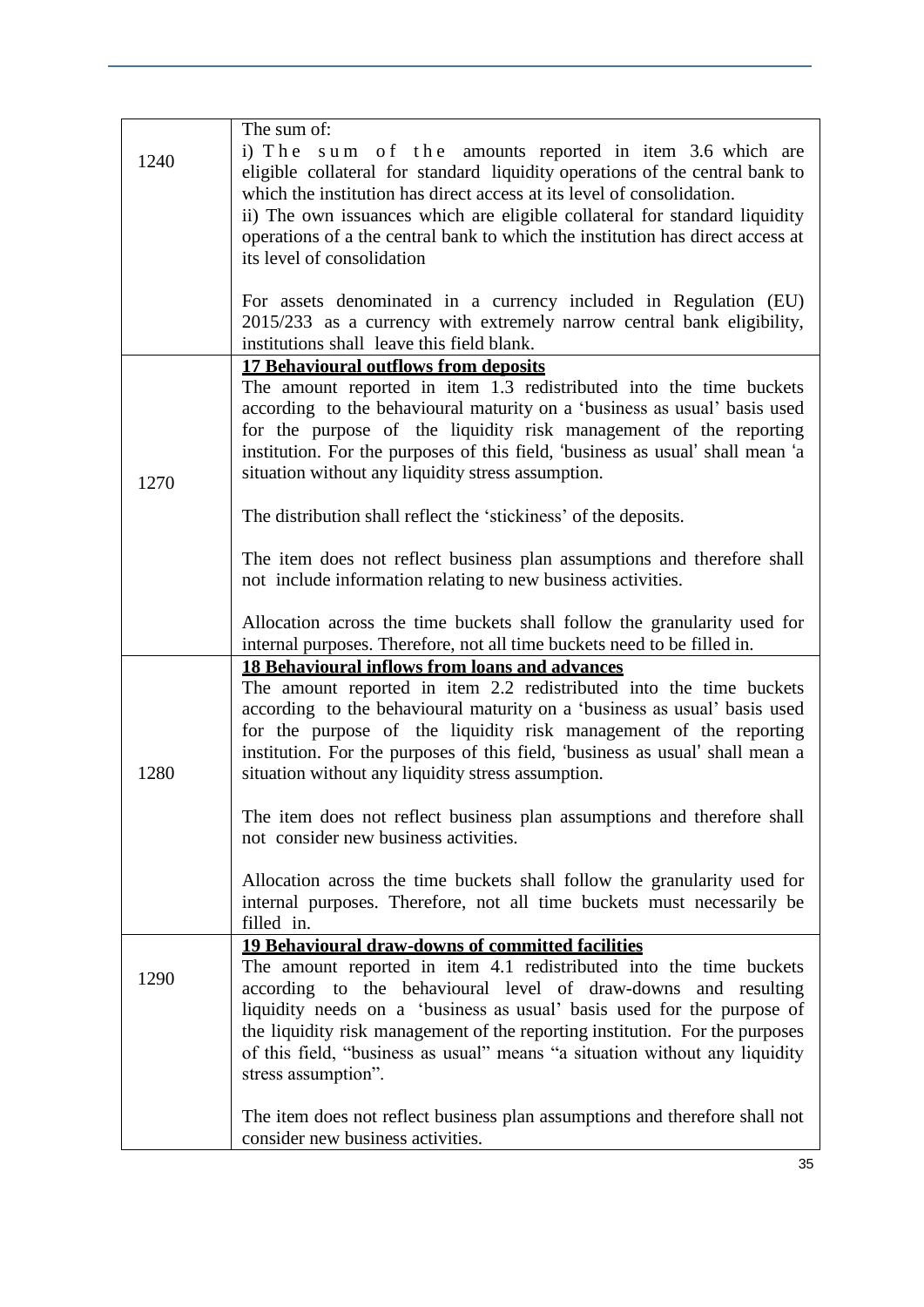| 1240 | The sum of:<br>$i)$ The<br>sum of the amounts reported in item 3.6 which are<br>eligible collateral for standard liquidity operations of the central bank to<br>which the institution has direct access at its level of consolidation.<br>ii) The own issuances which are eligible collateral for standard liquidity<br>operations of a the central bank to which the institution has direct access at<br>its level of consolidation                              |
|------|-------------------------------------------------------------------------------------------------------------------------------------------------------------------------------------------------------------------------------------------------------------------------------------------------------------------------------------------------------------------------------------------------------------------------------------------------------------------|
|      | For assets denominated in a currency included in Regulation (EU)<br>2015/233 as a currency with extremely narrow central bank eligibility,<br>institutions shall leave this field blank.                                                                                                                                                                                                                                                                          |
| 1270 | <b>17 Behavioural outflows from deposits</b><br>The amount reported in item 1.3 redistributed into the time buckets<br>according to the behavioural maturity on a 'business as usual' basis used<br>for the purpose of the liquidity risk management of the reporting<br>institution. For the purposes of this field, 'business as usual' shall mean 'a<br>situation without any liquidity stress assumption.                                                     |
|      | The distribution shall reflect the 'stickiness' of the deposits.                                                                                                                                                                                                                                                                                                                                                                                                  |
|      | The item does not reflect business plan assumptions and therefore shall<br>not include information relating to new business activities.                                                                                                                                                                                                                                                                                                                           |
|      | Allocation across the time buckets shall follow the granularity used for<br>internal purposes. Therefore, not all time buckets need to be filled in.                                                                                                                                                                                                                                                                                                              |
| 1280 | <b>18 Behavioural inflows from loans and advances</b><br>The amount reported in item 2.2 redistributed into the time buckets<br>according to the behavioural maturity on a 'business as usual' basis used<br>for the purpose of the liquidity risk management of the reporting<br>institution. For the purposes of this field, 'business as usual' shall mean a<br>situation without any liquidity stress assumption.                                             |
|      | The item does not reflect business plan assumptions and therefore shall<br>not consider new business activities.                                                                                                                                                                                                                                                                                                                                                  |
|      | Allocation across the time buckets shall follow the granularity used for<br>internal purposes. Therefore, not all time buckets must necessarily be<br>filled in.                                                                                                                                                                                                                                                                                                  |
| 1290 | <b>19 Behavioural draw-downs of committed facilities</b><br>The amount reported in item 4.1 redistributed into the time buckets<br>according to the behavioural level of draw-downs and resulting<br>liquidity needs on a 'business as usual' basis used for the purpose of<br>the liquidity risk management of the reporting institution. For the purposes<br>of this field, "business as usual" means "a situation without any liquidity<br>stress assumption". |
|      | The item does not reflect business plan assumptions and therefore shall not<br>consider new business activities.                                                                                                                                                                                                                                                                                                                                                  |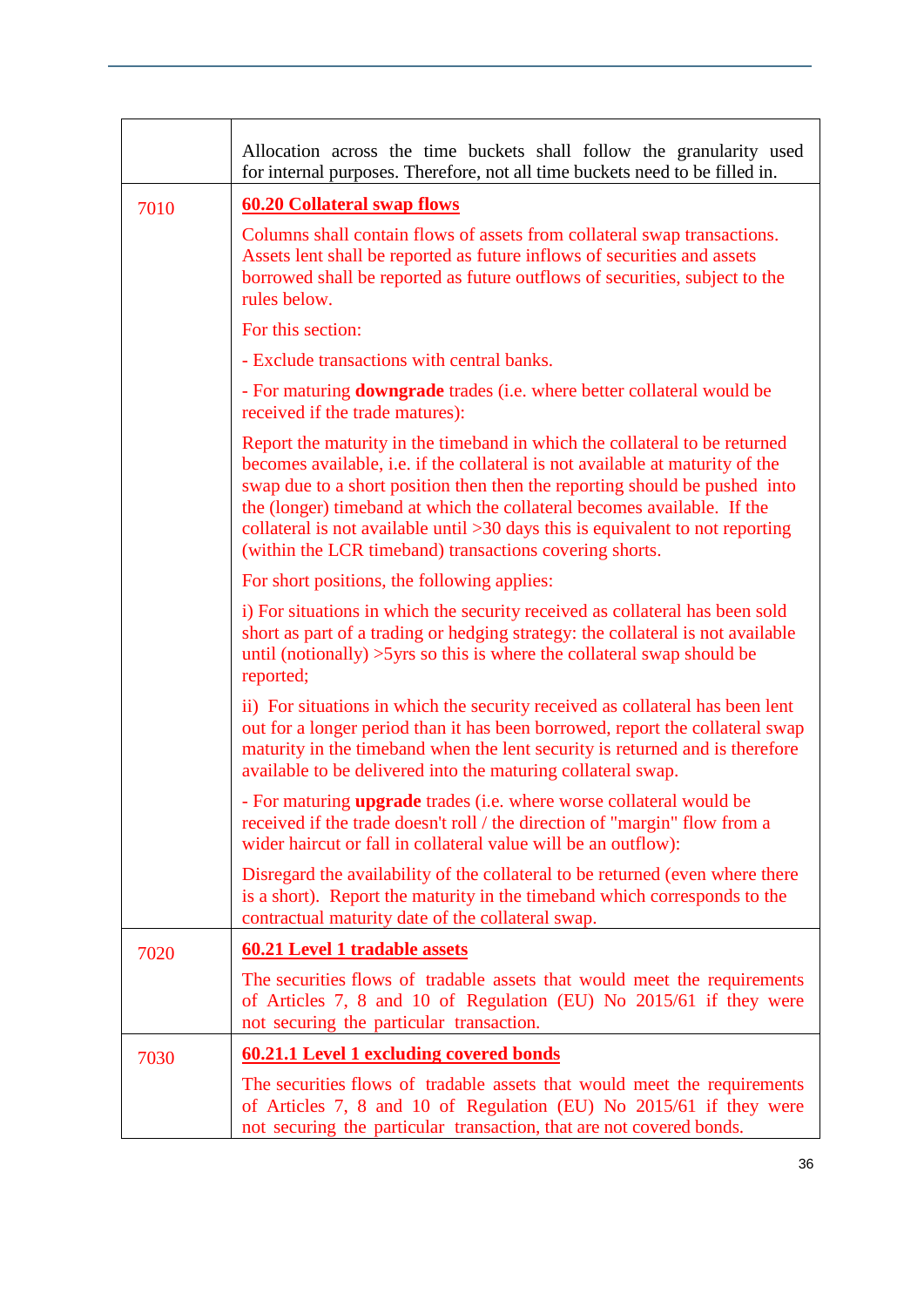|      | Allocation across the time buckets shall follow the granularity used<br>for internal purposes. Therefore, not all time buckets need to be filled in.                                                                                                                                                                                                                                                                                                                |
|------|---------------------------------------------------------------------------------------------------------------------------------------------------------------------------------------------------------------------------------------------------------------------------------------------------------------------------------------------------------------------------------------------------------------------------------------------------------------------|
| 7010 | <b>60.20 Collateral swap flows</b>                                                                                                                                                                                                                                                                                                                                                                                                                                  |
|      | Columns shall contain flows of assets from collateral swap transactions.<br>Assets lent shall be reported as future inflows of securities and assets<br>borrowed shall be reported as future outflows of securities, subject to the<br>rules below.                                                                                                                                                                                                                 |
|      | For this section:                                                                                                                                                                                                                                                                                                                                                                                                                                                   |
|      | - Exclude transactions with central banks.                                                                                                                                                                                                                                                                                                                                                                                                                          |
|      | - For maturing <b>downgrade</b> trades (i.e. where better collateral would be<br>received if the trade matures):                                                                                                                                                                                                                                                                                                                                                    |
|      | Report the maturity in the timeband in which the collateral to be returned<br>becomes available, i.e. if the collateral is not available at maturity of the<br>swap due to a short position then then the reporting should be pushed into<br>the (longer) timeband at which the collateral becomes available. If the<br>collateral is not available until $>30$ days this is equivalent to not reporting<br>(within the LCR timeband) transactions covering shorts. |
|      | For short positions, the following applies:                                                                                                                                                                                                                                                                                                                                                                                                                         |
|      | i) For situations in which the security received as collateral has been sold<br>short as part of a trading or hedging strategy: the collateral is not available<br>until (notionally) $>5$ yrs so this is where the collateral swap should be<br>reported;                                                                                                                                                                                                          |
|      | ii) For situations in which the security received as collateral has been lent<br>out for a longer period than it has been borrowed, report the collateral swap<br>maturity in the timeband when the lent security is returned and is therefore<br>available to be delivered into the maturing collateral swap.                                                                                                                                                      |
|      | - For maturing upgrade trades (i.e. where worse collateral would be<br>received if the trade doesn't roll / the direction of "margin" flow from a<br>wider haircut or fall in collateral value will be an outflow):                                                                                                                                                                                                                                                 |
|      | Disregard the availability of the collateral to be returned (even where there<br>is a short). Report the maturity in the timeband which corresponds to the<br>contractual maturity date of the collateral swap.                                                                                                                                                                                                                                                     |
| 7020 | <b>60.21 Level 1 tradable assets</b>                                                                                                                                                                                                                                                                                                                                                                                                                                |
|      | The securities flows of tradable assets that would meet the requirements<br>of Articles 7, 8 and 10 of Regulation (EU) No 2015/61 if they were<br>not securing the particular transaction.                                                                                                                                                                                                                                                                          |
| 7030 | <b>60.21.1 Level 1 excluding covered bonds</b>                                                                                                                                                                                                                                                                                                                                                                                                                      |
|      | The securities flows of tradable assets that would meet the requirements<br>of Articles 7, 8 and 10 of Regulation (EU) No 2015/61 if they were<br>not securing the particular transaction, that are not covered bonds.                                                                                                                                                                                                                                              |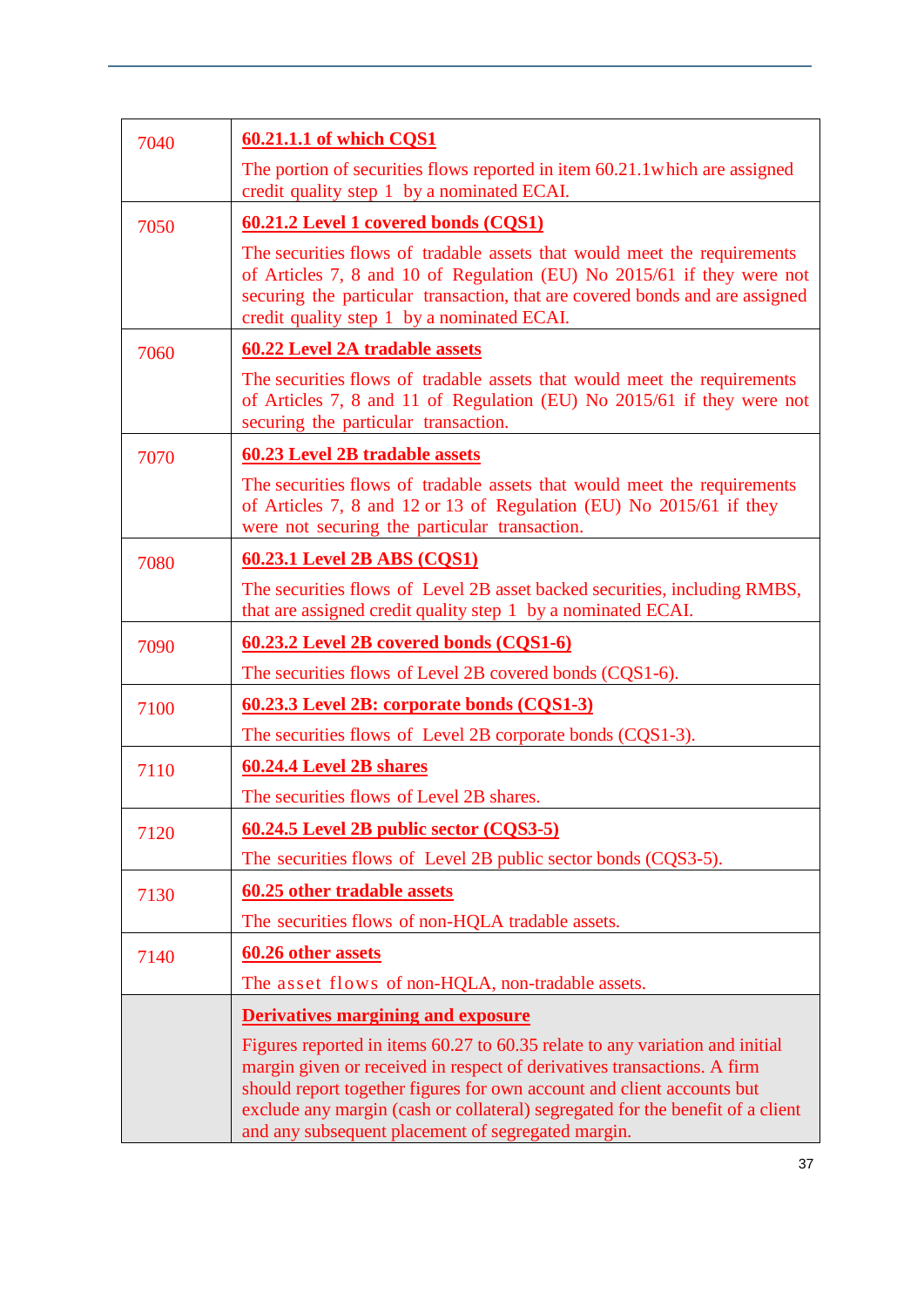| 7040 | 60.21.1.1 of which CQS1                                                                                                                                                                                                                                                                                                                                                   |
|------|---------------------------------------------------------------------------------------------------------------------------------------------------------------------------------------------------------------------------------------------------------------------------------------------------------------------------------------------------------------------------|
|      | The portion of securities flows reported in item 60.21.1 which are assigned<br>credit quality step 1 by a nominated ECAI.                                                                                                                                                                                                                                                 |
| 7050 | 60.21.2 Level 1 covered bonds (CQS1)                                                                                                                                                                                                                                                                                                                                      |
|      | The securities flows of tradable assets that would meet the requirements<br>of Articles 7, 8 and 10 of Regulation (EU) No 2015/61 if they were not<br>securing the particular transaction, that are covered bonds and are assigned<br>credit quality step 1 by a nominated ECAI.                                                                                          |
| 7060 | <b>60.22 Level 2A tradable assets</b>                                                                                                                                                                                                                                                                                                                                     |
|      | The securities flows of tradable assets that would meet the requirements<br>of Articles 7, 8 and 11 of Regulation (EU) No 2015/61 if they were not<br>securing the particular transaction.                                                                                                                                                                                |
| 7070 | <b>60.23 Level 2B tradable assets</b>                                                                                                                                                                                                                                                                                                                                     |
|      | The securities flows of tradable assets that would meet the requirements<br>of Articles 7, 8 and 12 or 13 of Regulation (EU) No 2015/61 if they<br>were not securing the particular transaction.                                                                                                                                                                          |
| 7080 | 60.23.1 Level 2B ABS (CQS1)                                                                                                                                                                                                                                                                                                                                               |
|      | The securities flows of Level 2B asset backed securities, including RMBS,<br>that are assigned credit quality step 1 by a nominated ECAI.                                                                                                                                                                                                                                 |
| 7090 | 60.23.2 Level 2B covered bonds (CQS1-6)                                                                                                                                                                                                                                                                                                                                   |
|      | The securities flows of Level 2B covered bonds (CQS1-6).                                                                                                                                                                                                                                                                                                                  |
| 7100 | 60.23.3 Level 2B: corporate bonds (CQS1-3)                                                                                                                                                                                                                                                                                                                                |
|      | The securities flows of Level 2B corporate bonds (CQS1-3).                                                                                                                                                                                                                                                                                                                |
| 7110 | 60.24.4 Level 2B shares                                                                                                                                                                                                                                                                                                                                                   |
|      | The securities flows of Level 2B shares.                                                                                                                                                                                                                                                                                                                                  |
| 7120 | 60.24.5 Level 2B public sector (CQS3-5)                                                                                                                                                                                                                                                                                                                                   |
|      | The securities flows of Level 2B public sector bonds (CQS3-5).                                                                                                                                                                                                                                                                                                            |
| 7130 | 60.25 other tradable assets                                                                                                                                                                                                                                                                                                                                               |
|      | The securities flows of non-HQLA tradable assets.                                                                                                                                                                                                                                                                                                                         |
| 7140 | 60.26 other assets                                                                                                                                                                                                                                                                                                                                                        |
|      | The asset flows of non-HQLA, non-tradable assets.                                                                                                                                                                                                                                                                                                                         |
|      | <b>Derivatives margining and exposure</b>                                                                                                                                                                                                                                                                                                                                 |
|      | Figures reported in items 60.27 to 60.35 relate to any variation and initial<br>margin given or received in respect of derivatives transactions. A firm<br>should report together figures for own account and client accounts but<br>exclude any margin (cash or collateral) segregated for the benefit of a client<br>and any subsequent placement of segregated margin. |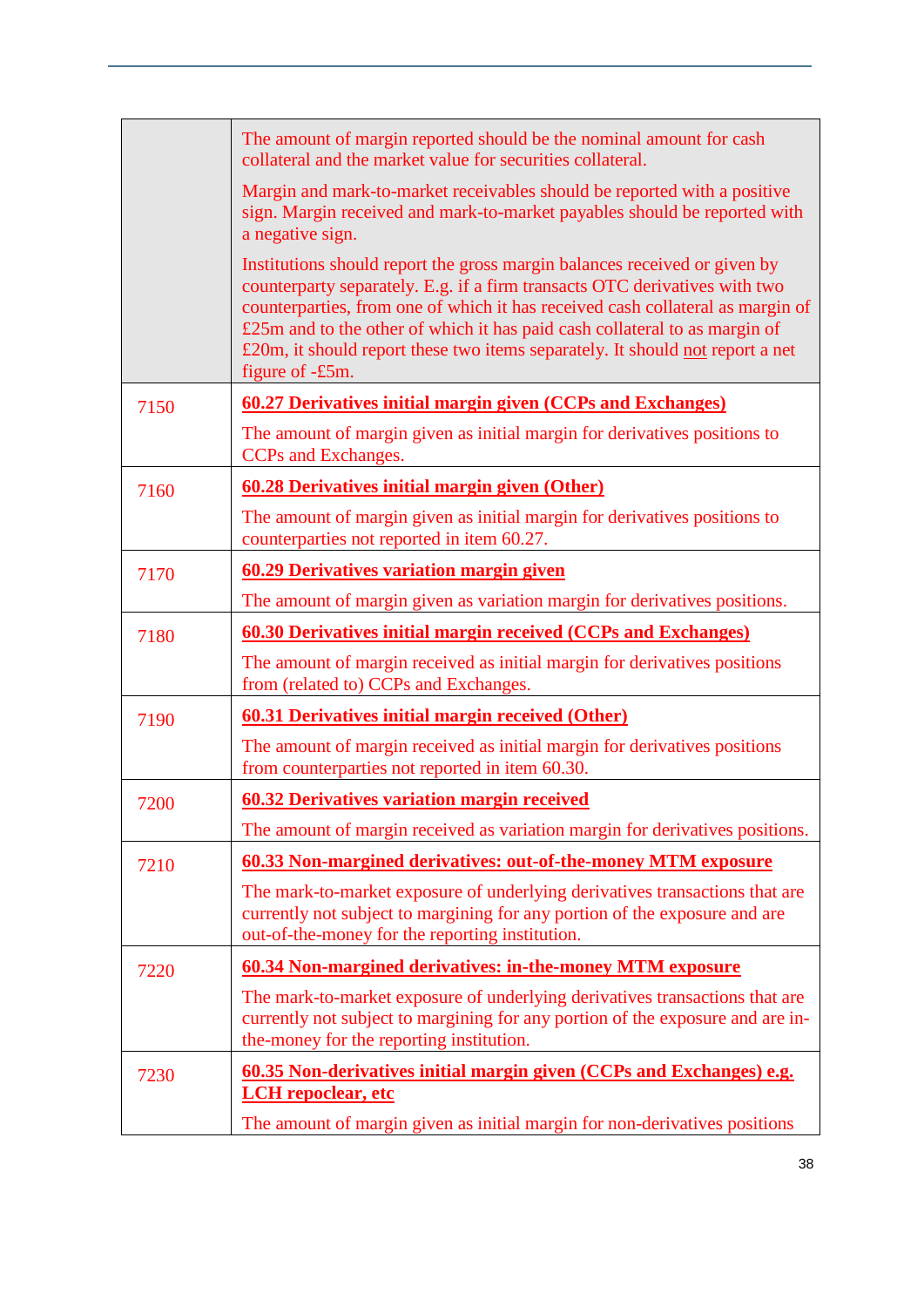|      | The amount of margin reported should be the nominal amount for cash<br>collateral and the market value for securities collateral.                                                                                                                                                                                                                                                                                           |
|------|-----------------------------------------------------------------------------------------------------------------------------------------------------------------------------------------------------------------------------------------------------------------------------------------------------------------------------------------------------------------------------------------------------------------------------|
|      | Margin and mark-to-market receivables should be reported with a positive<br>sign. Margin received and mark-to-market payables should be reported with<br>a negative sign.                                                                                                                                                                                                                                                   |
|      | Institutions should report the gross margin balances received or given by<br>counterparty separately. E.g. if a firm transacts OTC derivatives with two<br>counterparties, from one of which it has received cash collateral as margin of<br>£25m and to the other of which it has paid cash collateral to as margin of<br>£20m, it should report these two items separately. It should not report a net<br>figure of -£5m. |
| 7150 | <u><b>60.27 Derivatives initial margin given (CCPs and Exchanges)</b></u>                                                                                                                                                                                                                                                                                                                                                   |
|      | The amount of margin given as initial margin for derivatives positions to<br>CCPs and Exchanges.                                                                                                                                                                                                                                                                                                                            |
| 7160 | <b>60.28 Derivatives initial margin given (Other)</b>                                                                                                                                                                                                                                                                                                                                                                       |
|      | The amount of margin given as initial margin for derivatives positions to<br>counterparties not reported in item 60.27.                                                                                                                                                                                                                                                                                                     |
| 7170 | <b>60.29 Derivatives variation margin given</b>                                                                                                                                                                                                                                                                                                                                                                             |
|      | The amount of margin given as variation margin for derivatives positions.                                                                                                                                                                                                                                                                                                                                                   |
| 7180 | <b>60.30 Derivatives initial margin received (CCPs and Exchanges)</b>                                                                                                                                                                                                                                                                                                                                                       |
|      | The amount of margin received as initial margin for derivatives positions<br>from (related to) CCPs and Exchanges.                                                                                                                                                                                                                                                                                                          |
| 7190 | <b>60.31 Derivatives initial margin received (Other)</b>                                                                                                                                                                                                                                                                                                                                                                    |
|      | The amount of margin received as initial margin for derivatives positions<br>from counterparties not reported in item 60.30.                                                                                                                                                                                                                                                                                                |
| 7200 | <b>60.32 Derivatives variation margin received</b>                                                                                                                                                                                                                                                                                                                                                                          |
|      | The amount of margin received as variation margin for derivatives positions.                                                                                                                                                                                                                                                                                                                                                |
| 7210 | 60.33 Non-margined derivatives: out-of-the-money MTM exposure                                                                                                                                                                                                                                                                                                                                                               |
|      | The mark-to-market exposure of underlying derivatives transactions that are<br>currently not subject to margining for any portion of the exposure and are<br>out-of-the-money for the reporting institution.                                                                                                                                                                                                                |
| 7220 | 60.34 Non-margined derivatives: in-the-money MTM exposure                                                                                                                                                                                                                                                                                                                                                                   |
|      | The mark-to-market exposure of underlying derivatives transactions that are<br>currently not subject to margining for any portion of the exposure and are in-<br>the-money for the reporting institution.                                                                                                                                                                                                                   |
| 7230 | 60.35 Non-derivatives initial margin given (CCPs and Exchanges) e.g.<br><b>LCH</b> repoclear, etc                                                                                                                                                                                                                                                                                                                           |
|      | The amount of margin given as initial margin for non-derivatives positions                                                                                                                                                                                                                                                                                                                                                  |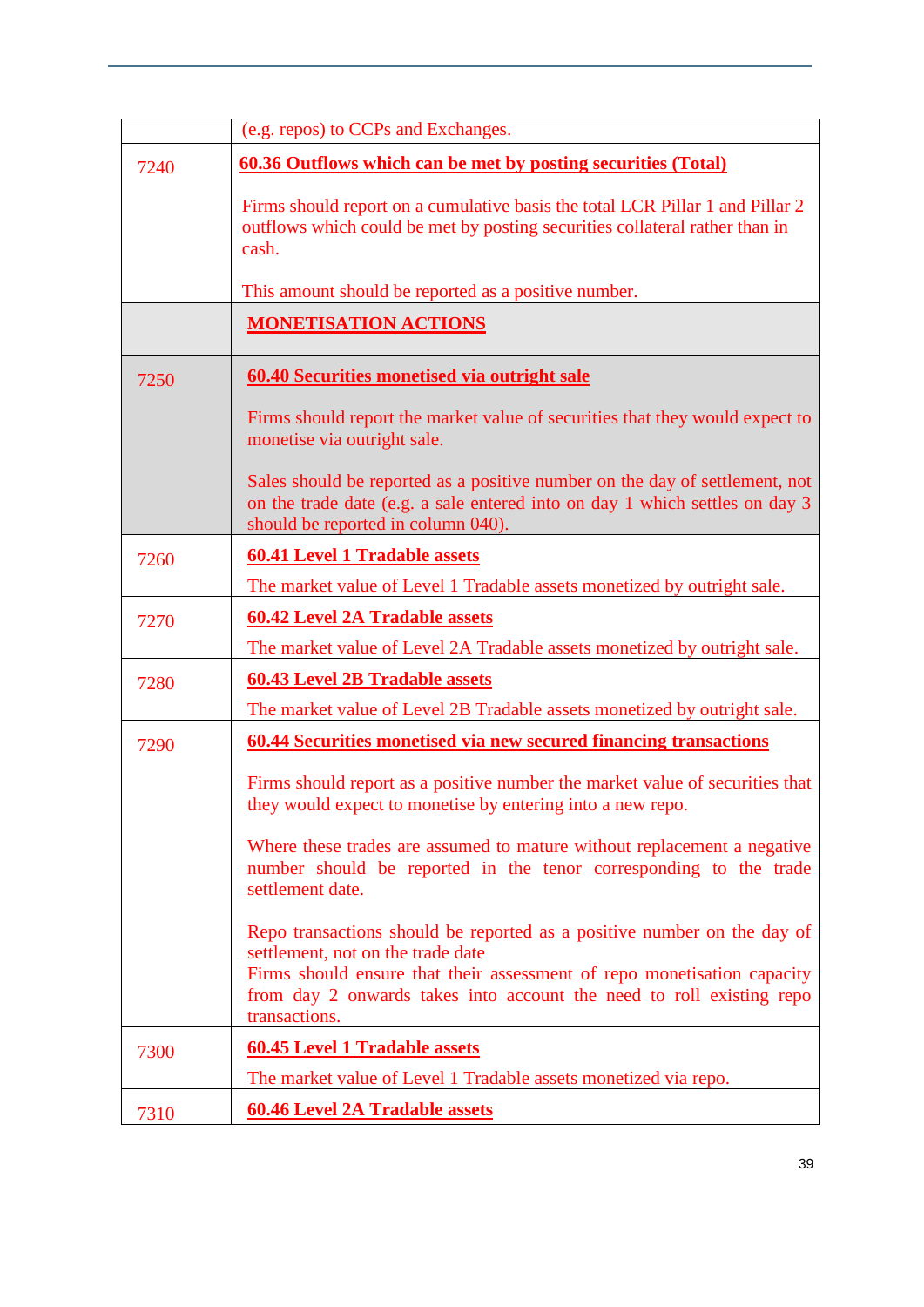|      | (e.g. repos) to CCPs and Exchanges.                                                                                                                                                                                                                                              |
|------|----------------------------------------------------------------------------------------------------------------------------------------------------------------------------------------------------------------------------------------------------------------------------------|
| 7240 | <u>60.36 Outflows which can be met by posting securities (Total)</u>                                                                                                                                                                                                             |
|      | Firms should report on a cumulative basis the total LCR Pillar 1 and Pillar 2<br>outflows which could be met by posting securities collateral rather than in<br>cash.                                                                                                            |
|      | This amount should be reported as a positive number.                                                                                                                                                                                                                             |
|      | <b>MONETISATION ACTIONS</b>                                                                                                                                                                                                                                                      |
| 7250 | 60.40 Securities monetised via outright sale                                                                                                                                                                                                                                     |
|      | Firms should report the market value of securities that they would expect to<br>monetise via outright sale.                                                                                                                                                                      |
|      | Sales should be reported as a positive number on the day of settlement, not<br>on the trade date (e.g. a sale entered into on day 1 which settles on day 3<br>should be reported in column 040).                                                                                 |
| 7260 | <b>60.41 Level 1 Tradable assets</b>                                                                                                                                                                                                                                             |
|      | The market value of Level 1 Tradable assets monetized by outright sale.                                                                                                                                                                                                          |
| 7270 | <b>60.42 Level 2A Tradable assets</b>                                                                                                                                                                                                                                            |
|      | The market value of Level 2A Tradable assets monetized by outright sale.                                                                                                                                                                                                         |
| 7280 | <b>60.43 Level 2B Tradable assets</b>                                                                                                                                                                                                                                            |
|      | The market value of Level 2B Tradable assets monetized by outright sale.                                                                                                                                                                                                         |
| 7290 | 60.44 Securities monetised via new secured financing transactions                                                                                                                                                                                                                |
|      | Firms should report as a positive number the market value of securities that<br>they would expect to monetise by entering into a new repo.                                                                                                                                       |
|      | Where these trades are assumed to mature without replacement a negative<br>number should be reported in the tenor corresponding to the trade<br>settlement date.                                                                                                                 |
|      | Repo transactions should be reported as a positive number on the day of<br>settlement, not on the trade date<br>Firms should ensure that their assessment of repo monetisation capacity<br>from day 2 onwards takes into account the need to roll existing repo<br>transactions. |
| 7300 | <b>60.45 Level 1 Tradable assets</b>                                                                                                                                                                                                                                             |
|      | The market value of Level 1 Tradable assets monetized via repo.                                                                                                                                                                                                                  |
| 7310 | <b>60.46 Level 2A Tradable assets</b>                                                                                                                                                                                                                                            |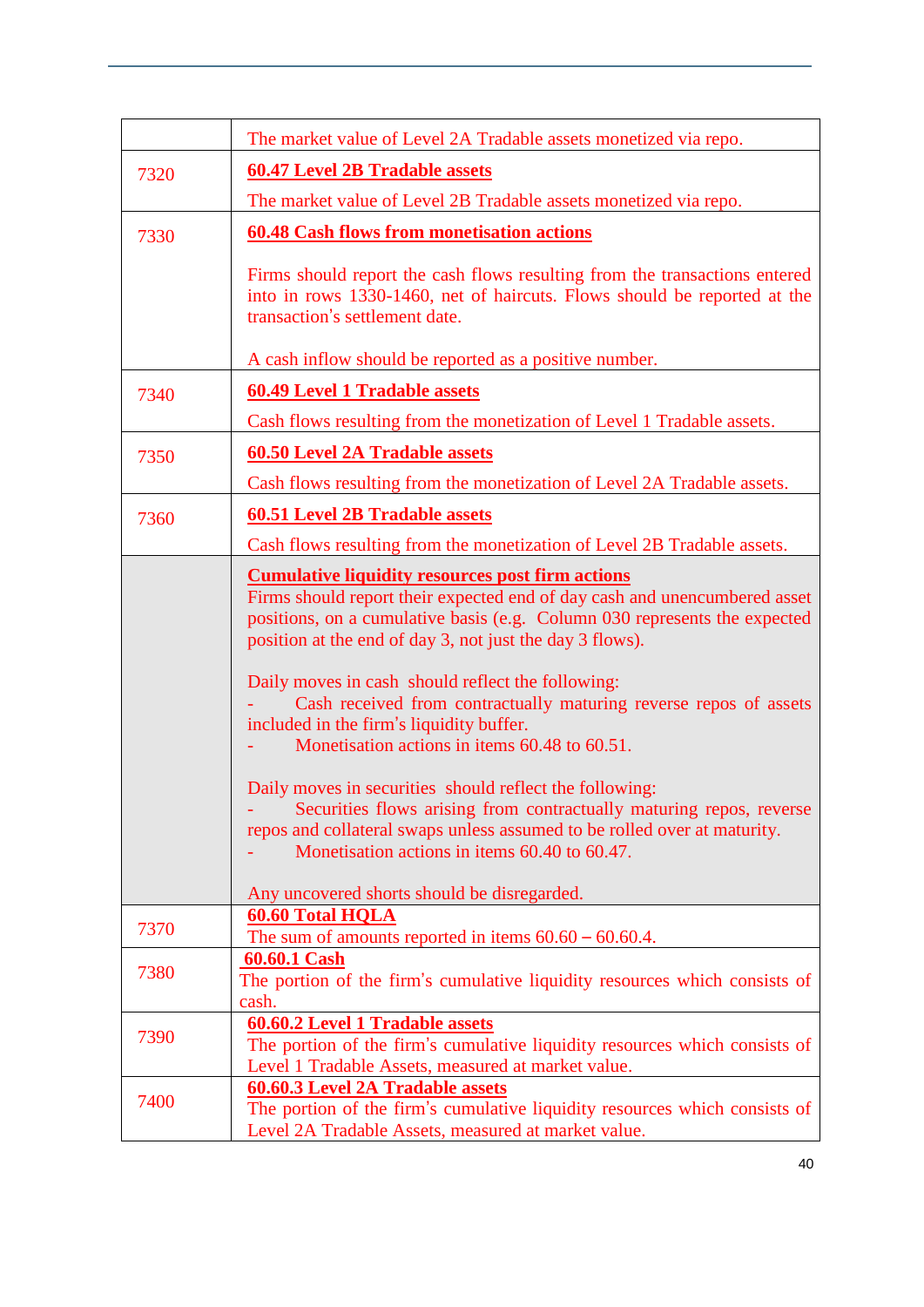|      | The market value of Level 2A Tradable assets monetized via repo.                                                                                                                                                                                                                                           |
|------|------------------------------------------------------------------------------------------------------------------------------------------------------------------------------------------------------------------------------------------------------------------------------------------------------------|
| 7320 | <b>60.47 Level 2B Tradable assets</b>                                                                                                                                                                                                                                                                      |
|      | The market value of Level 2B Tradable assets monetized via repo.                                                                                                                                                                                                                                           |
| 7330 | <b>60.48 Cash flows from monetisation actions</b>                                                                                                                                                                                                                                                          |
|      |                                                                                                                                                                                                                                                                                                            |
|      | Firms should report the cash flows resulting from the transactions entered<br>into in rows 1330-1460, net of haircuts. Flows should be reported at the<br>transaction's settlement date.                                                                                                                   |
|      | A cash inflow should be reported as a positive number.                                                                                                                                                                                                                                                     |
| 7340 | <b>60.49 Level 1 Tradable assets</b>                                                                                                                                                                                                                                                                       |
|      | Cash flows resulting from the monetization of Level 1 Tradable assets.                                                                                                                                                                                                                                     |
| 7350 | <b>60.50 Level 2A Tradable assets</b>                                                                                                                                                                                                                                                                      |
|      | Cash flows resulting from the monetization of Level 2A Tradable assets.                                                                                                                                                                                                                                    |
|      |                                                                                                                                                                                                                                                                                                            |
| 7360 | <b>60.51 Level 2B Tradable assets</b>                                                                                                                                                                                                                                                                      |
|      | Cash flows resulting from the monetization of Level 2B Tradable assets.                                                                                                                                                                                                                                    |
|      | <b>Cumulative liquidity resources post firm actions</b><br>Firms should report their expected end of day cash and unencumbered asset<br>positions, on a cumulative basis (e.g. Column 030 represents the expected<br>position at the end of day 3, not just the day 3 flows).                              |
|      | Daily moves in cash should reflect the following:<br>Cash received from contractually maturing reverse repos of assets<br>included in the firm's liquidity buffer.<br>Monetisation actions in items 60.48 to 60.51.                                                                                        |
|      | Daily moves in securities should reflect the following:<br>Securities flows arising from contractually maturing repos, reverse<br>repos and collateral swaps unless assumed to be rolled over at maturity.<br>Monetisation actions in items 60.40 to 60.47.<br>Any uncovered shorts should be disregarded. |
| 7370 | <b>60.60 Total HQLA</b>                                                                                                                                                                                                                                                                                    |
|      | The sum of amounts reported in items $60.60 - 60.60.4$ .<br>60.60.1 Cash                                                                                                                                                                                                                                   |
| 7380 | The portion of the firm's cumulative liquidity resources which consists of                                                                                                                                                                                                                                 |
|      | cash.                                                                                                                                                                                                                                                                                                      |
| 7390 | <b>60.60.2 Level 1 Tradable assets</b><br>The portion of the firm's cumulative liquidity resources which consists of<br>Level 1 Tradable Assets, measured at market value.                                                                                                                                 |
|      | <b>60.60.3 Level 2A Tradable assets</b>                                                                                                                                                                                                                                                                    |
| 7400 | The portion of the firm's cumulative liquidity resources which consists of<br>Level 2A Tradable Assets, measured at market value.                                                                                                                                                                          |